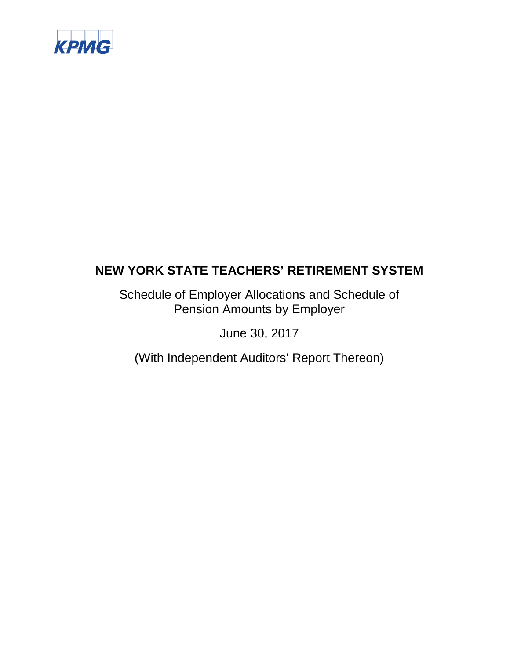

Schedule of Employer Allocations and Schedule of Pension Amounts by Employer

June 30, 2017

(With Independent Auditors' Report Thereon)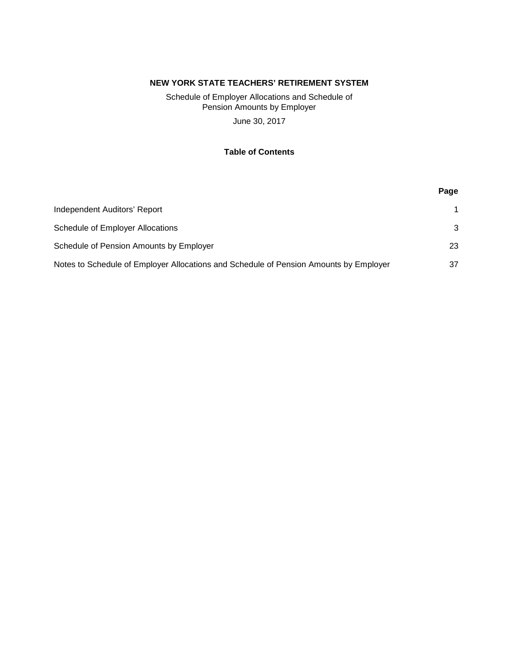Schedule of Employer Allocations and Schedule of Pension Amounts by Employer

June 30, 2017

## **Table of Contents**

|                                                                                       | Page |
|---------------------------------------------------------------------------------------|------|
| Independent Auditors' Report                                                          | 1.   |
| Schedule of Employer Allocations                                                      | 3    |
| Schedule of Pension Amounts by Employer                                               | 23   |
| Notes to Schedule of Employer Allocations and Schedule of Pension Amounts by Employer |      |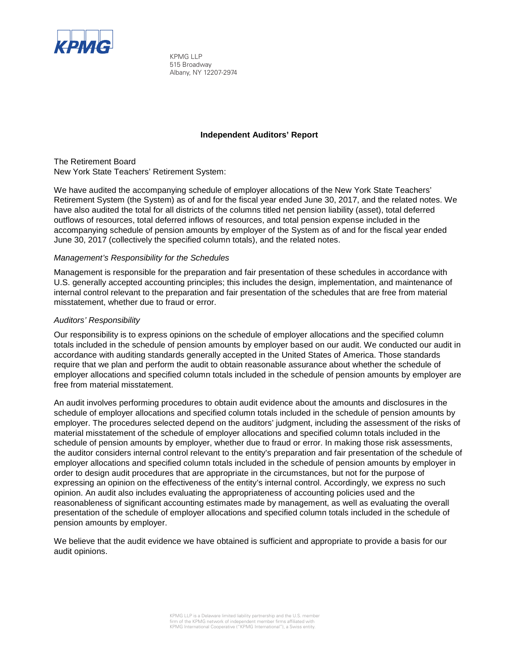

KPMG LLP 515 Broadway Albany, NY 12207-2974

### **Independent Auditors' Report**

The Retirement Board New York State Teachers' Retirement System:

We have audited the accompanying schedule of employer allocations of the New York State Teachers' Retirement System (the System) as of and for the fiscal year ended June 30, 2017, and the related notes. We have also audited the total for all districts of the columns titled net pension liability (asset), total deferred outflows of resources, total deferred inflows of resources, and total pension expense included in the accompanying schedule of pension amounts by employer of the System as of and for the fiscal year ended June 30, 2017 (collectively the specified column totals), and the related notes.

### *Management's Responsibility for the Schedules*

Management is responsible for the preparation and fair presentation of these schedules in accordance with U.S. generally accepted accounting principles; this includes the design, implementation, and maintenance of internal control relevant to the preparation and fair presentation of the schedules that are free from material misstatement, whether due to fraud or error.

## *Auditors' Responsibility*

Our responsibility is to express opinions on the schedule of employer allocations and the specified column totals included in the schedule of pension amounts by employer based on our audit. We conducted our audit in accordance with auditing standards generally accepted in the United States of America. Those standards require that we plan and perform the audit to obtain reasonable assurance about whether the schedule of employer allocations and specified column totals included in the schedule of pension amounts by employer are free from material misstatement.

An audit involves performing procedures to obtain audit evidence about the amounts and disclosures in the schedule of employer allocations and specified column totals included in the schedule of pension amounts by employer. The procedures selected depend on the auditors' judgment, including the assessment of the risks of material misstatement of the schedule of employer allocations and specified column totals included in the schedule of pension amounts by employer, whether due to fraud or error. In making those risk assessments, the auditor considers internal control relevant to the entity's preparation and fair presentation of the schedule of employer allocations and specified column totals included in the schedule of pension amounts by employer in order to design audit procedures that are appropriate in the circumstances, but not for the purpose of expressing an opinion on the effectiveness of the entity's internal control. Accordingly, we express no such opinion. An audit also includes evaluating the appropriateness of accounting policies used and the reasonableness of significant accounting estimates made by management, as well as evaluating the overall presentation of the schedule of employer allocations and specified column totals included in the schedule of pension amounts by employer.

We believe that the audit evidence we have obtained is sufficient and appropriate to provide a basis for our audit opinions.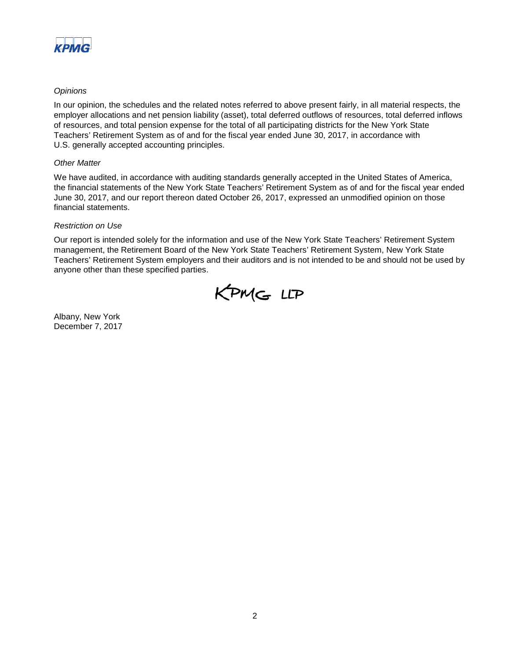

## *Opinions*

In our opinion, the schedules and the related notes referred to above present fairly, in all material respects, the employer allocations and net pension liability (asset), total deferred outflows of resources, total deferred inflows of resources, and total pension expense for the total of all participating districts for the New York State Teachers' Retirement System as of and for the fiscal year ended June 30, 2017, in accordance with U.S. generally accepted accounting principles.

### *Other Matter*

We have audited, in accordance with auditing standards generally accepted in the United States of America, the financial statements of the New York State Teachers' Retirement System as of and for the fiscal year ended June 30, 2017, and our report thereon dated October 26, 2017, expressed an unmodified opinion on those financial statements.

### *Restriction on Use*

Our report is intended solely for the information and use of the New York State Teachers' Retirement System management, the Retirement Board of the New York State Teachers' Retirement System, New York State Teachers' Retirement System employers and their auditors and is not intended to be and should not be used by anyone other than these specified parties.



Albany, New York December 7, 2017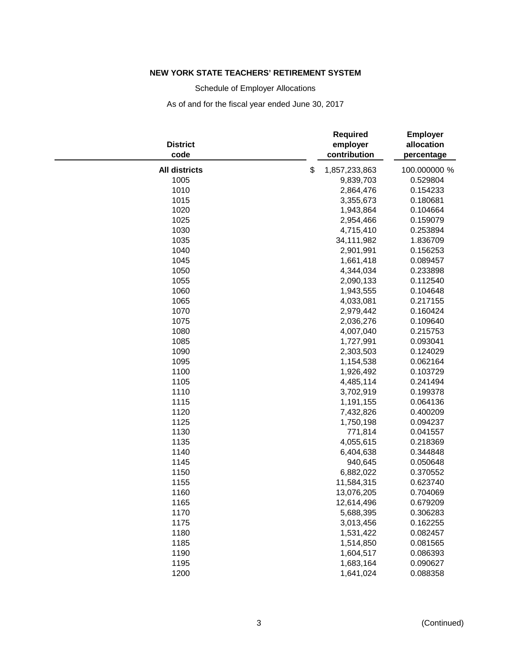Schedule of Employer Allocations

| <b>District</b><br>code | <b>Required</b><br>employer<br>contribution | <b>Employer</b><br>allocation<br>percentage |
|-------------------------|---------------------------------------------|---------------------------------------------|
| <b>All districts</b>    | \$<br>1,857,233,863                         | 100.000000 %                                |
| 1005                    | 9,839,703                                   | 0.529804                                    |
| 1010                    | 2,864,476                                   | 0.154233                                    |
| 1015                    | 3,355,673                                   | 0.180681                                    |
| 1020                    | 1,943,864                                   | 0.104664                                    |
| 1025                    | 2,954,466                                   | 0.159079                                    |
| 1030                    | 4,715,410                                   | 0.253894                                    |
| 1035                    | 34,111,982                                  | 1.836709                                    |
| 1040                    | 2,901,991                                   | 0.156253                                    |
| 1045                    | 1,661,418                                   | 0.089457                                    |
| 1050                    | 4,344,034                                   | 0.233898                                    |
| 1055                    | 2,090,133                                   | 0.112540                                    |
| 1060                    | 1,943,555                                   | 0.104648                                    |
| 1065                    | 4,033,081                                   | 0.217155                                    |
| 1070                    | 2,979,442                                   | 0.160424                                    |
| 1075                    | 2,036,276                                   | 0.109640                                    |
| 1080                    | 4,007,040                                   | 0.215753                                    |
| 1085                    | 1,727,991                                   | 0.093041                                    |
| 1090                    | 2,303,503                                   | 0.124029                                    |
| 1095                    | 1,154,538                                   | 0.062164                                    |
| 1100                    | 1,926,492                                   | 0.103729                                    |
| 1105                    | 4,485,114                                   | 0.241494                                    |
| 1110                    | 3,702,919                                   | 0.199378                                    |
| 1115                    | 1,191,155                                   | 0.064136                                    |
| 1120                    | 7,432,826                                   | 0.400209                                    |
| 1125                    | 1,750,198                                   | 0.094237                                    |
| 1130                    | 771,814                                     | 0.041557                                    |
| 1135                    | 4,055,615                                   | 0.218369                                    |
| 1140                    | 6,404,638                                   | 0.344848                                    |
| 1145                    | 940,645                                     | 0.050648                                    |
| 1150                    | 6,882,022                                   | 0.370552                                    |
| 1155                    | 11,584,315                                  | 0.623740                                    |
| 1160                    | 13,076,205                                  | 0.704069                                    |
| 1165                    | 12,614,496                                  | 0.679209                                    |
| 1170                    | 5,688,395                                   | 0.306283                                    |
| 1175                    | 3,013,456                                   | 0.162255                                    |
| 1180                    | 1,531,422                                   | 0.082457                                    |
| 1185                    | 1,514,850                                   | 0.081565                                    |
| 1190                    | 1,604,517                                   | 0.086393                                    |
| 1195                    | 1,683,164                                   | 0.090627                                    |
| 1200                    | 1,641,024                                   | 0.088358                                    |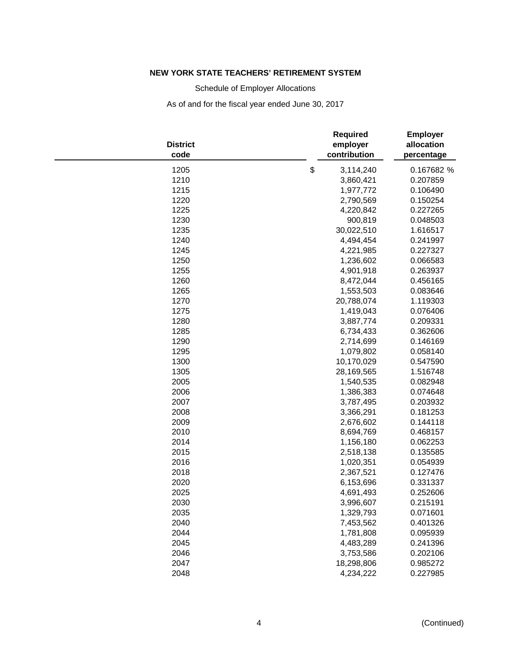Schedule of Employer Allocations

| <b>District</b><br>code | <b>Required</b><br>employer<br>contribution | <b>Employer</b><br>allocation<br>percentage |
|-------------------------|---------------------------------------------|---------------------------------------------|
| 1205                    | \$<br>3,114,240                             | 0.167682 %                                  |
| 1210                    | 3,860,421                                   | 0.207859                                    |
| 1215                    | 1,977,772                                   | 0.106490                                    |
| 1220                    | 2,790,569                                   | 0.150254                                    |
| 1225                    | 4,220,842                                   | 0.227265                                    |
| 1230                    | 900,819                                     | 0.048503                                    |
| 1235                    | 30,022,510                                  | 1.616517                                    |
| 1240                    | 4,494,454                                   | 0.241997                                    |
| 1245                    | 4,221,985                                   | 0.227327                                    |
| 1250                    | 1,236,602                                   | 0.066583                                    |
| 1255                    | 4,901,918                                   | 0.263937                                    |
| 1260                    | 8,472,044                                   | 0.456165                                    |
| 1265                    | 1,553,503                                   | 0.083646                                    |
| 1270                    | 20,788,074                                  | 1.119303                                    |
| 1275                    | 1,419,043                                   | 0.076406                                    |
| 1280                    | 3,887,774                                   | 0.209331                                    |
| 1285                    | 6,734,433                                   | 0.362606                                    |
| 1290                    | 2,714,699                                   | 0.146169                                    |
| 1295                    | 1,079,802                                   | 0.058140                                    |
| 1300                    | 10,170,029                                  | 0.547590                                    |
| 1305                    | 28,169,565                                  | 1.516748                                    |
| 2005                    | 1,540,535                                   | 0.082948                                    |
| 2006                    | 1,386,383                                   | 0.074648                                    |
| 2007                    | 3,787,495                                   | 0.203932                                    |
| 2008                    | 3,366,291                                   | 0.181253                                    |
| 2009                    | 2,676,602                                   | 0.144118                                    |
| 2010                    | 8,694,769                                   | 0.468157                                    |
| 2014                    | 1,156,180                                   | 0.062253                                    |
| 2015                    | 2,518,138                                   | 0.135585                                    |
| 2016                    | 1,020,351                                   | 0.054939                                    |
| 2018                    | 2,367,521                                   | 0.127476                                    |
| 2020                    | 6,153,696                                   | 0.331337                                    |
| 2025                    | 4,691,493                                   | 0.252606                                    |
| 2030                    | 3,996,607                                   | 0.215191                                    |
| 2035                    | 1,329,793                                   | 0.071601                                    |
| 2040                    | 7,453,562                                   | 0.401326                                    |
| 2044                    | 1,781,808                                   | 0.095939                                    |
| 2045                    | 4,483,289                                   | 0.241396                                    |
| 2046                    | 3,753,586                                   | 0.202106                                    |
| 2047                    | 18,298,806                                  | 0.985272                                    |
| 2048                    | 4,234,222                                   | 0.227985                                    |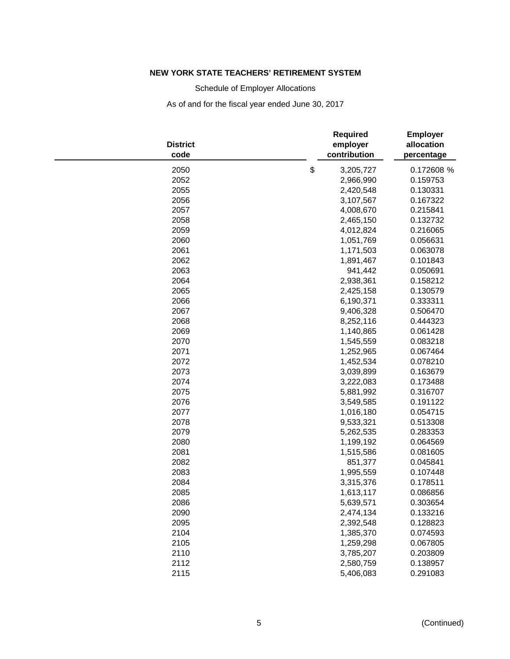Schedule of Employer Allocations

| <b>District</b><br>code | Required<br>employer<br>contribution | <b>Employer</b><br>allocation<br>percentage |
|-------------------------|--------------------------------------|---------------------------------------------|
| 2050                    | \$<br>3,205,727                      | 0.172608 %                                  |
| 2052                    | 2,966,990                            | 0.159753                                    |
| 2055                    | 2,420,548                            | 0.130331                                    |
| 2056                    | 3,107,567                            | 0.167322                                    |
| 2057                    | 4,008,670                            | 0.215841                                    |
| 2058                    | 2,465,150                            | 0.132732                                    |
| 2059                    | 4,012,824                            | 0.216065                                    |
| 2060                    | 1,051,769                            | 0.056631                                    |
| 2061                    | 1,171,503                            | 0.063078                                    |
| 2062                    | 1,891,467                            | 0.101843                                    |
| 2063                    | 941,442                              | 0.050691                                    |
| 2064                    | 2,938,361                            | 0.158212                                    |
| 2065                    | 2,425,158                            | 0.130579                                    |
| 2066                    | 6,190,371                            | 0.333311                                    |
| 2067                    | 9,406,328                            | 0.506470                                    |
| 2068                    | 8,252,116                            | 0.444323                                    |
| 2069                    | 1,140,865                            | 0.061428                                    |
| 2070                    | 1,545,559                            | 0.083218                                    |
| 2071                    | 1,252,965                            | 0.067464                                    |
| 2072                    | 1,452,534                            | 0.078210                                    |
| 2073                    | 3,039,899                            | 0.163679                                    |
| 2074                    | 3,222,083                            | 0.173488                                    |
| 2075                    | 5,881,992                            | 0.316707                                    |
| 2076                    | 3,549,585                            | 0.191122                                    |
| 2077                    | 1,016,180                            | 0.054715                                    |
| 2078                    | 9,533,321                            | 0.513308                                    |
| 2079                    | 5,262,535                            | 0.283353                                    |
| 2080                    | 1,199,192                            | 0.064569                                    |
| 2081                    | 1,515,586                            | 0.081605                                    |
| 2082                    | 851,377                              | 0.045841                                    |
| 2083                    | 1,995,559                            | 0.107448                                    |
| 2084                    | 3,315,376                            | 0.178511                                    |
| 2085                    | 1,613,117                            | 0.086856                                    |
| 2086                    | 5,639,571                            | 0.303654                                    |
| 2090                    | 2,474,134                            | 0.133216                                    |
| 2095                    | 2,392,548                            | 0.128823                                    |
| 2104                    | 1,385,370                            | 0.074593                                    |
| 2105                    | 1,259,298                            | 0.067805                                    |
| 2110                    | 3,785,207                            | 0.203809                                    |
| 2112                    | 2,580,759                            | 0.138957                                    |
| 2115                    | 5,406,083                            | 0.291083                                    |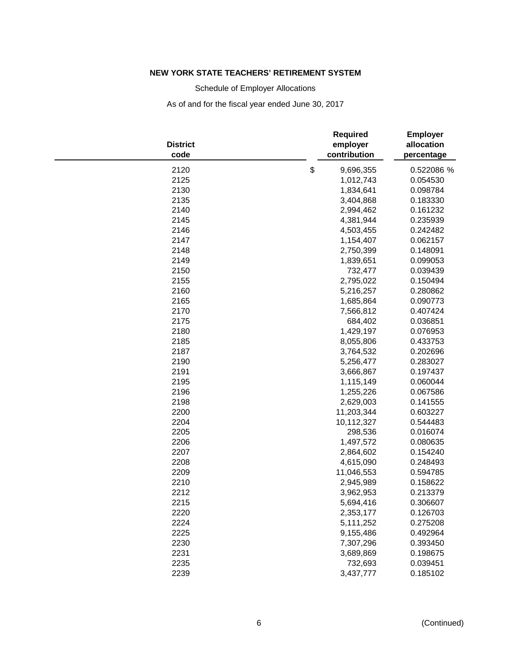Schedule of Employer Allocations

| <b>District</b><br>code | <b>Required</b><br>employer<br>contribution | <b>Employer</b><br>allocation<br>percentage |
|-------------------------|---------------------------------------------|---------------------------------------------|
| 2120                    | \$<br>9,696,355                             | 0.522086 %                                  |
| 2125                    | 1,012,743                                   | 0.054530                                    |
| 2130                    | 1,834,641                                   | 0.098784                                    |
| 2135                    | 3,404,868                                   | 0.183330                                    |
| 2140                    | 2,994,462                                   | 0.161232                                    |
| 2145                    | 4,381,944                                   | 0.235939                                    |
| 2146                    | 4,503,455                                   | 0.242482                                    |
| 2147                    | 1,154,407                                   | 0.062157                                    |
| 2148                    | 2,750,399                                   | 0.148091                                    |
| 2149                    | 1,839,651                                   | 0.099053                                    |
| 2150                    | 732,477                                     | 0.039439                                    |
| 2155                    | 2,795,022                                   | 0.150494                                    |
| 2160                    | 5,216,257                                   | 0.280862                                    |
| 2165                    | 1,685,864                                   | 0.090773                                    |
| 2170                    | 7,566,812                                   | 0.407424                                    |
| 2175                    | 684,402                                     | 0.036851                                    |
| 2180                    | 1,429,197                                   | 0.076953                                    |
| 2185                    | 8,055,806                                   | 0.433753                                    |
| 2187                    | 3,764,532                                   | 0.202696                                    |
| 2190                    | 5,256,477                                   | 0.283027                                    |
| 2191                    | 3,666,867                                   | 0.197437                                    |
| 2195                    | 1,115,149                                   | 0.060044                                    |
| 2196                    | 1,255,226                                   | 0.067586                                    |
| 2198                    | 2,629,003                                   | 0.141555                                    |
| 2200                    | 11,203,344                                  | 0.603227                                    |
| 2204                    | 10,112,327                                  | 0.544483                                    |
| 2205                    | 298,536                                     | 0.016074                                    |
| 2206                    | 1,497,572                                   | 0.080635                                    |
| 2207                    | 2,864,602                                   | 0.154240                                    |
| 2208                    | 4,615,090                                   | 0.248493                                    |
| 2209                    | 11,046,553                                  | 0.594785                                    |
| 2210                    | 2,945,989                                   | 0.158622                                    |
| 2212                    | 3,962,953                                   | 0.213379                                    |
| 2215                    | 5,694,416                                   | 0.306607                                    |
| 2220                    | 2,353,177                                   | 0.126703                                    |
| 2224                    | 5,111,252                                   | 0.275208                                    |
| 2225                    | 9,155,486                                   | 0.492964                                    |
| 2230                    | 7,307,296                                   | 0.393450                                    |
| 2231                    | 3,689,869                                   | 0.198675                                    |
| 2235                    | 732,693                                     | 0.039451                                    |
| 2239                    | 3,437,777                                   | 0.185102                                    |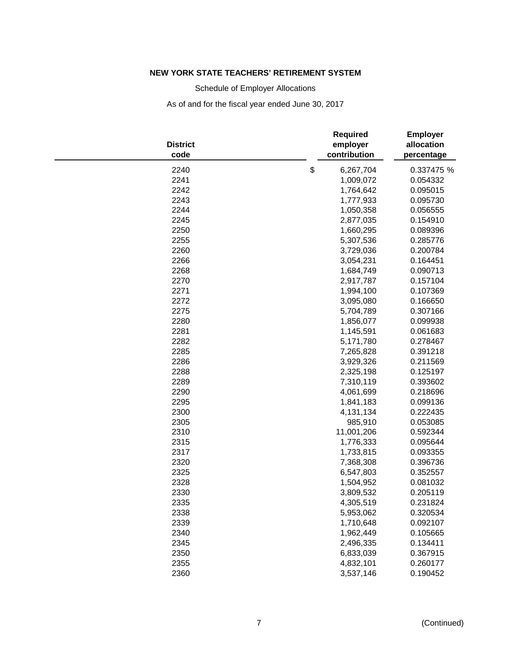Schedule of Employer Allocations

| <b>District</b><br>code | <b>Required</b><br>employer<br>contribution | <b>Employer</b><br>allocation<br>percentage |
|-------------------------|---------------------------------------------|---------------------------------------------|
| 2240                    | \$<br>6,267,704                             | 0.337475 %                                  |
| 2241                    | 1,009,072                                   | 0.054332                                    |
| 2242                    | 1,764,642                                   | 0.095015                                    |
| 2243                    | 1,777,933                                   | 0.095730                                    |
| 2244                    | 1,050,358                                   | 0.056555                                    |
| 2245                    | 2,877,035                                   | 0.154910                                    |
| 2250                    | 1,660,295                                   | 0.089396                                    |
| 2255                    | 5,307,536                                   | 0.285776                                    |
| 2260                    | 3,729,036                                   | 0.200784                                    |
| 2266                    | 3,054,231                                   | 0.164451                                    |
| 2268                    | 1,684,749                                   | 0.090713                                    |
| 2270                    | 2,917,787                                   | 0.157104                                    |
| 2271                    | 1,994,100                                   | 0.107369                                    |
| 2272                    | 3,095,080                                   | 0.166650                                    |
| 2275                    | 5,704,789                                   | 0.307166                                    |
| 2280                    | 1,856,077                                   | 0.099938                                    |
| 2281                    | 1,145,591                                   | 0.061683                                    |
| 2282                    | 5,171,780                                   | 0.278467                                    |
| 2285                    | 7,265,828                                   | 0.391218                                    |
| 2286                    | 3,929,326                                   | 0.211569                                    |
| 2288                    | 2,325,198                                   | 0.125197                                    |
| 2289                    | 7,310,119                                   | 0.393602                                    |
| 2290                    | 4,061,699                                   | 0.218696                                    |
| 2295                    | 1,841,183                                   | 0.099136                                    |
| 2300                    | 4,131,134                                   | 0.222435                                    |
| 2305                    | 985,910                                     | 0.053085                                    |
| 2310                    | 11,001,206                                  | 0.592344                                    |
| 2315                    | 1,776,333                                   | 0.095644                                    |
| 2317                    | 1,733,815                                   | 0.093355                                    |
| 2320                    | 7,368,308                                   | 0.396736                                    |
| 2325                    | 6,547,803                                   | 0.352557                                    |
| 2328                    | 1,504,952                                   | 0.081032                                    |
| 2330                    | 3,809,532                                   | 0.205119                                    |
| 2335                    | 4,305,519                                   | 0.231824                                    |
| 2338                    | 5,953,062                                   | 0.320534                                    |
| 2339                    | 1,710,648                                   | 0.092107                                    |
| 2340                    | 1,962,449                                   | 0.105665                                    |
| 2345                    | 2,496,335                                   | 0.134411                                    |
| 2350                    | 6,833,039                                   | 0.367915                                    |
| 2355                    | 4,832,101                                   | 0.260177                                    |
| 2360                    | 3,537,146                                   | 0.190452                                    |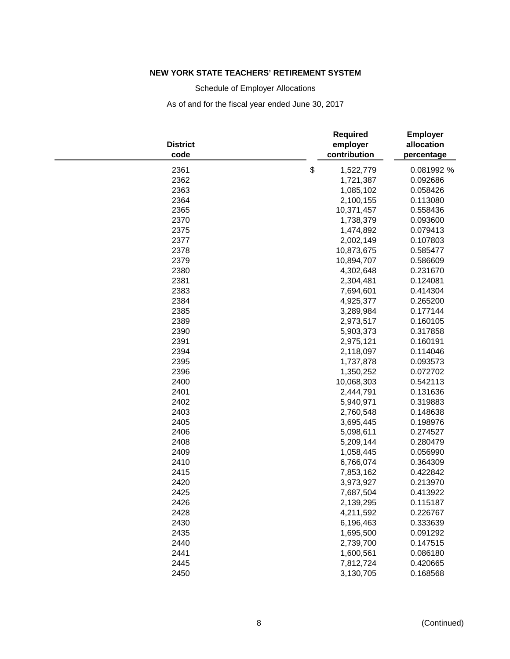Schedule of Employer Allocations

| <b>District</b><br>code | <b>Required</b><br>employer<br>contribution | <b>Employer</b><br>allocation<br>percentage |
|-------------------------|---------------------------------------------|---------------------------------------------|
| 2361                    | \$<br>1,522,779                             | 0.081992 %                                  |
| 2362                    | 1,721,387                                   | 0.092686                                    |
| 2363                    | 1,085,102                                   | 0.058426                                    |
| 2364                    | 2,100,155                                   | 0.113080                                    |
| 2365                    | 10,371,457                                  | 0.558436                                    |
| 2370                    | 1,738,379                                   | 0.093600                                    |
| 2375                    | 1,474,892                                   | 0.079413                                    |
| 2377                    | 2,002,149                                   | 0.107803                                    |
| 2378                    | 10,873,675                                  | 0.585477                                    |
| 2379                    | 10,894,707                                  | 0.586609                                    |
| 2380                    | 4,302,648                                   | 0.231670                                    |
| 2381                    | 2,304,481                                   | 0.124081                                    |
| 2383                    | 7,694,601                                   | 0.414304                                    |
| 2384                    | 4,925,377                                   | 0.265200                                    |
| 2385                    | 3,289,984                                   | 0.177144                                    |
| 2389                    | 2,973,517                                   | 0.160105                                    |
| 2390                    | 5,903,373                                   | 0.317858                                    |
| 2391                    | 2,975,121                                   | 0.160191                                    |
| 2394                    | 2,118,097                                   | 0.114046                                    |
| 2395                    | 1,737,878                                   | 0.093573                                    |
| 2396                    | 1,350,252                                   | 0.072702                                    |
| 2400                    | 10,068,303                                  | 0.542113                                    |
| 2401                    | 2,444,791                                   | 0.131636                                    |
| 2402                    | 5,940,971                                   | 0.319883                                    |
| 2403                    | 2,760,548                                   | 0.148638                                    |
| 2405                    | 3,695,445                                   | 0.198976                                    |
| 2406                    | 5,098,611                                   | 0.274527                                    |
| 2408                    | 5,209,144                                   | 0.280479                                    |
| 2409                    | 1,058,445                                   | 0.056990                                    |
| 2410                    | 6,766,074                                   | 0.364309                                    |
| 2415                    | 7,853,162                                   | 0.422842                                    |
| 2420                    | 3,973,927                                   | 0.213970                                    |
| 2425                    | 7,687,504                                   | 0.413922                                    |
| 2426                    | 2,139,295                                   | 0.115187                                    |
| 2428                    | 4,211,592                                   | 0.226767                                    |
| 2430                    | 6,196,463                                   | 0.333639                                    |
| 2435                    | 1,695,500                                   | 0.091292                                    |
| 2440                    | 2,739,700                                   | 0.147515                                    |
| 2441                    | 1,600,561                                   | 0.086180                                    |
| 2445                    | 7,812,724                                   | 0.420665                                    |
| 2450                    | 3,130,705                                   | 0.168568                                    |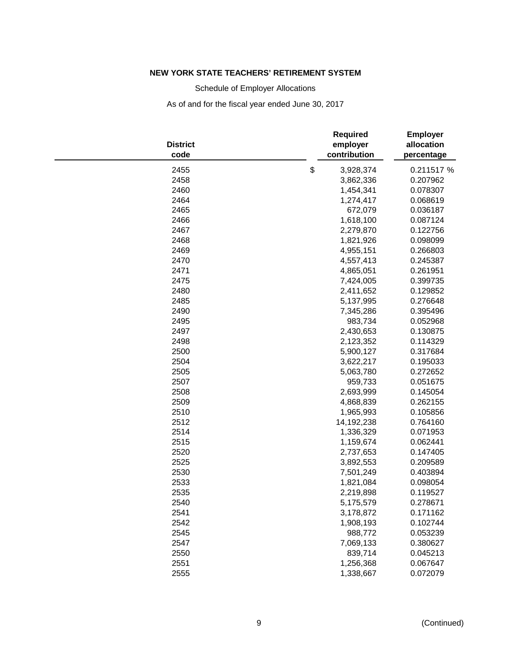Schedule of Employer Allocations

| <b>District</b><br>code | Required<br>employer<br>contribution | <b>Employer</b><br>allocation<br>percentage |
|-------------------------|--------------------------------------|---------------------------------------------|
| 2455                    | \$<br>3,928,374                      | 0.211517 %                                  |
| 2458                    | 3,862,336                            | 0.207962                                    |
| 2460                    | 1,454,341                            | 0.078307                                    |
| 2464                    | 1,274,417                            | 0.068619                                    |
| 2465                    | 672,079                              | 0.036187                                    |
| 2466                    | 1,618,100                            | 0.087124                                    |
| 2467                    | 2,279,870                            | 0.122756                                    |
| 2468                    | 1,821,926                            | 0.098099                                    |
| 2469                    | 4,955,151                            | 0.266803                                    |
| 2470                    | 4,557,413                            | 0.245387                                    |
| 2471                    | 4,865,051                            | 0.261951                                    |
| 2475                    | 7,424,005                            | 0.399735                                    |
| 2480                    | 2,411,652                            | 0.129852                                    |
| 2485                    | 5,137,995                            | 0.276648                                    |
| 2490                    | 7,345,286                            | 0.395496                                    |
| 2495                    | 983,734                              | 0.052968                                    |
| 2497                    | 2,430,653                            | 0.130875                                    |
| 2498                    | 2,123,352                            | 0.114329                                    |
| 2500                    | 5,900,127                            | 0.317684                                    |
| 2504                    | 3,622,217                            | 0.195033                                    |
| 2505                    | 5,063,780                            | 0.272652                                    |
| 2507                    | 959,733                              | 0.051675                                    |
| 2508                    | 2,693,999                            | 0.145054                                    |
| 2509                    | 4,868,839                            | 0.262155                                    |
| 2510                    | 1,965,993                            | 0.105856                                    |
| 2512                    | 14,192,238                           | 0.764160                                    |
| 2514                    | 1,336,329                            | 0.071953                                    |
| 2515                    | 1,159,674                            | 0.062441                                    |
| 2520                    | 2,737,653                            | 0.147405                                    |
| 2525                    | 3,892,553                            | 0.209589                                    |
| 2530                    | 7,501,249                            | 0.403894                                    |
| 2533                    | 1,821,084                            | 0.098054                                    |
| 2535                    | 2,219,898                            | 0.119527                                    |
| 2540                    | 5,175,579                            | 0.278671                                    |
| 2541                    | 3,178,872                            | 0.171162                                    |
| 2542                    | 1,908,193                            | 0.102744                                    |
| 2545                    | 988,772                              | 0.053239                                    |
| 2547                    | 7,069,133                            | 0.380627                                    |
| 2550                    | 839,714                              | 0.045213                                    |
| 2551                    | 1,256,368                            | 0.067647                                    |
| 2555                    | 1,338,667                            | 0.072079                                    |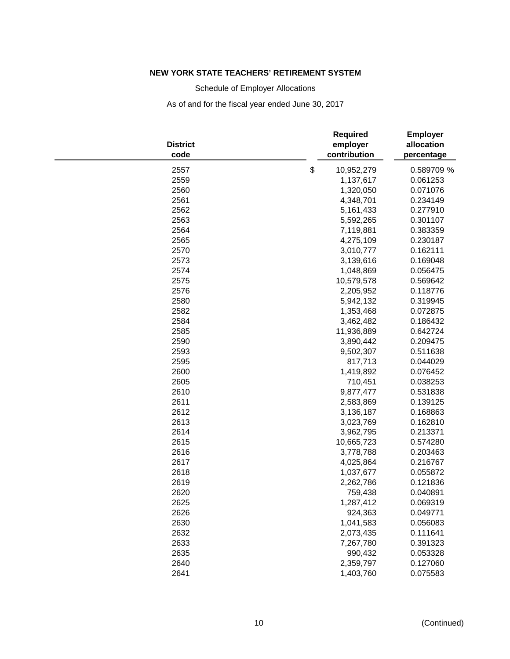Schedule of Employer Allocations

| <b>District</b><br>code | <b>Required</b><br>employer<br>contribution | <b>Employer</b><br>allocation<br>percentage |
|-------------------------|---------------------------------------------|---------------------------------------------|
| 2557                    | \$<br>10,952,279                            | 0.589709 %                                  |
| 2559                    | 1,137,617                                   | 0.061253                                    |
| 2560                    | 1,320,050                                   | 0.071076                                    |
| 2561                    | 4,348,701                                   | 0.234149                                    |
| 2562                    | 5,161,433                                   | 0.277910                                    |
| 2563                    | 5,592,265                                   | 0.301107                                    |
| 2564                    | 7,119,881                                   | 0.383359                                    |
| 2565                    | 4,275,109                                   | 0.230187                                    |
| 2570                    | 3,010,777                                   | 0.162111                                    |
| 2573                    | 3,139,616                                   | 0.169048                                    |
| 2574                    | 1,048,869                                   | 0.056475                                    |
| 2575                    | 10,579,578                                  | 0.569642                                    |
| 2576                    | 2,205,952                                   | 0.118776                                    |
| 2580                    | 5,942,132                                   | 0.319945                                    |
| 2582                    | 1,353,468                                   | 0.072875                                    |
| 2584                    | 3,462,482                                   | 0.186432                                    |
| 2585                    | 11,936,889                                  | 0.642724                                    |
| 2590                    | 3,890,442                                   | 0.209475                                    |
| 2593                    | 9,502,307                                   | 0.511638                                    |
| 2595                    | 817,713                                     | 0.044029                                    |
| 2600                    | 1,419,892                                   | 0.076452                                    |
| 2605                    | 710,451                                     | 0.038253                                    |
| 2610                    | 9,877,477                                   | 0.531838                                    |
| 2611                    | 2,583,869                                   | 0.139125                                    |
| 2612                    | 3,136,187                                   | 0.168863                                    |
| 2613                    | 3,023,769                                   | 0.162810                                    |
| 2614                    | 3,962,795                                   | 0.213371                                    |
| 2615                    | 10,665,723                                  | 0.574280                                    |
| 2616                    | 3,778,788                                   | 0.203463                                    |
| 2617                    | 4,025,864                                   | 0.216767                                    |
| 2618                    | 1,037,677                                   | 0.055872                                    |
| 2619                    | 2,262,786                                   | 0.121836                                    |
| 2620                    | 759,438                                     | 0.040891                                    |
| 2625                    | 1,287,412                                   | 0.069319                                    |
| 2626                    | 924,363                                     | 0.049771                                    |
| 2630                    | 1,041,583                                   | 0.056083                                    |
| 2632                    | 2,073,435                                   | 0.111641                                    |
| 2633                    | 7,267,780                                   | 0.391323                                    |
| 2635                    | 990,432                                     | 0.053328                                    |
| 2640                    | 2,359,797                                   | 0.127060                                    |
| 2641                    | 1,403,760                                   | 0.075583                                    |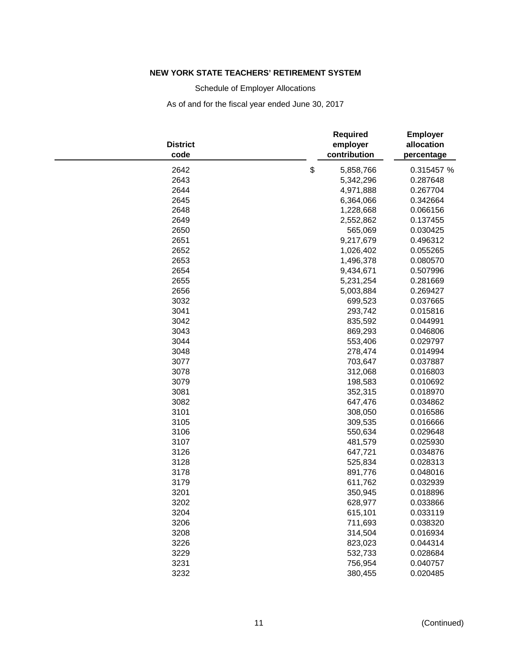Schedule of Employer Allocations

| <b>District</b><br>code | <b>Required</b><br>employer<br>contribution | <b>Employer</b><br>allocation<br>percentage |
|-------------------------|---------------------------------------------|---------------------------------------------|
| 2642                    | \$<br>5,858,766                             | 0.315457 %                                  |
| 2643                    | 5,342,296                                   | 0.287648                                    |
| 2644                    | 4,971,888                                   | 0.267704                                    |
| 2645                    | 6,364,066                                   | 0.342664                                    |
| 2648                    | 1,228,668                                   | 0.066156                                    |
| 2649                    | 2,552,862                                   | 0.137455                                    |
| 2650                    | 565,069                                     | 0.030425                                    |
| 2651                    | 9,217,679                                   | 0.496312                                    |
| 2652                    | 1,026,402                                   | 0.055265                                    |
| 2653                    | 1,496,378                                   | 0.080570                                    |
| 2654                    | 9,434,671                                   | 0.507996                                    |
| 2655                    | 5,231,254                                   | 0.281669                                    |
| 2656                    | 5,003,884                                   | 0.269427                                    |
| 3032                    | 699,523                                     | 0.037665                                    |
| 3041                    | 293,742                                     | 0.015816                                    |
| 3042                    | 835,592                                     | 0.044991                                    |
| 3043                    | 869,293                                     | 0.046806                                    |
| 3044                    | 553,406                                     | 0.029797                                    |
| 3048                    | 278,474                                     | 0.014994                                    |
| 3077                    | 703,647                                     | 0.037887                                    |
| 3078                    | 312,068                                     | 0.016803                                    |
| 3079                    | 198,583                                     | 0.010692                                    |
| 3081                    | 352,315                                     | 0.018970                                    |
| 3082                    | 647,476                                     | 0.034862                                    |
| 3101                    | 308,050                                     | 0.016586                                    |
| 3105                    | 309,535                                     | 0.016666                                    |
| 3106                    | 550,634                                     | 0.029648                                    |
| 3107                    | 481,579                                     | 0.025930                                    |
| 3126                    | 647,721                                     | 0.034876                                    |
| 3128                    | 525,834                                     | 0.028313                                    |
| 3178                    | 891,776                                     | 0.048016                                    |
| 3179                    | 611,762                                     | 0.032939                                    |
| 3201                    | 350,945                                     | 0.018896                                    |
| 3202                    | 628,977                                     | 0.033866                                    |
| 3204                    | 615,101                                     | 0.033119                                    |
| 3206                    | 711,693                                     | 0.038320                                    |
| 3208                    | 314,504                                     | 0.016934                                    |
| 3226                    | 823,023                                     | 0.044314                                    |
| 3229                    | 532,733                                     | 0.028684                                    |
| 3231                    | 756,954                                     | 0.040757                                    |
| 3232                    | 380,455                                     | 0.020485                                    |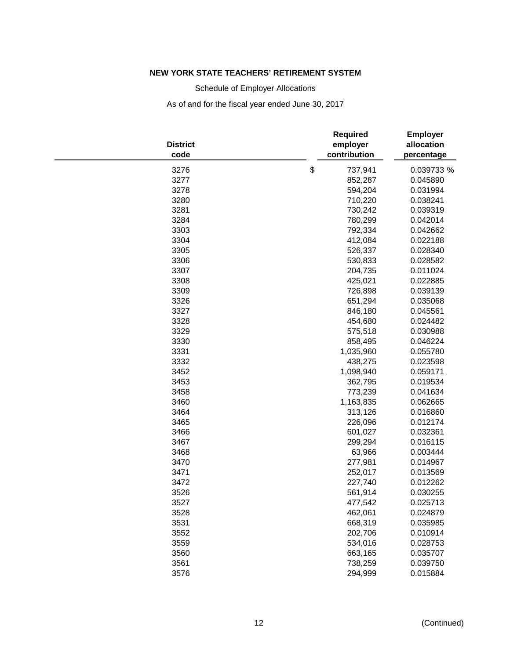Schedule of Employer Allocations

| <b>District</b><br>code | <b>Required</b><br>employer<br>contribution | <b>Employer</b><br>allocation<br>percentage |
|-------------------------|---------------------------------------------|---------------------------------------------|
| 3276                    | \$<br>737,941                               | 0.039733 %                                  |
| 3277                    | 852,287                                     | 0.045890                                    |
| 3278                    | 594,204                                     | 0.031994                                    |
| 3280                    | 710,220                                     | 0.038241                                    |
| 3281                    | 730,242                                     | 0.039319                                    |
| 3284                    | 780,299                                     | 0.042014                                    |
| 3303                    | 792,334                                     | 0.042662                                    |
| 3304                    | 412,084                                     | 0.022188                                    |
| 3305                    | 526,337                                     | 0.028340                                    |
| 3306                    | 530,833                                     | 0.028582                                    |
| 3307                    | 204,735                                     | 0.011024                                    |
| 3308                    | 425,021                                     | 0.022885                                    |
| 3309                    | 726,898                                     | 0.039139                                    |
| 3326                    | 651,294                                     | 0.035068                                    |
| 3327                    | 846,180                                     | 0.045561                                    |
| 3328                    | 454,680                                     | 0.024482                                    |
| 3329                    | 575,518                                     | 0.030988                                    |
| 3330                    | 858,495                                     | 0.046224                                    |
| 3331                    | 1,035,960                                   | 0.055780                                    |
| 3332                    | 438,275                                     | 0.023598                                    |
| 3452                    | 1,098,940                                   | 0.059171                                    |
| 3453                    | 362,795                                     | 0.019534                                    |
| 3458                    | 773,239                                     | 0.041634                                    |
| 3460                    | 1,163,835                                   | 0.062665                                    |
| 3464                    | 313,126                                     | 0.016860                                    |
| 3465                    | 226,096                                     | 0.012174                                    |
| 3466                    | 601,027                                     | 0.032361                                    |
| 3467                    | 299,294                                     | 0.016115                                    |
| 3468                    | 63,966                                      | 0.003444                                    |
| 3470                    | 277,981                                     | 0.014967                                    |
| 3471                    | 252,017                                     | 0.013569                                    |
| 3472                    | 227,740                                     | 0.012262                                    |
| 3526                    | 561,914                                     | 0.030255                                    |
| 3527                    | 477,542                                     | 0.025713                                    |
| 3528                    | 462,061                                     | 0.024879                                    |
| 3531                    | 668,319                                     | 0.035985                                    |
| 3552                    | 202,706                                     | 0.010914                                    |
| 3559                    | 534,016                                     | 0.028753                                    |
| 3560                    | 663,165                                     | 0.035707                                    |
| 3561                    | 738,259                                     | 0.039750                                    |
| 3576                    | 294,999                                     | 0.015884                                    |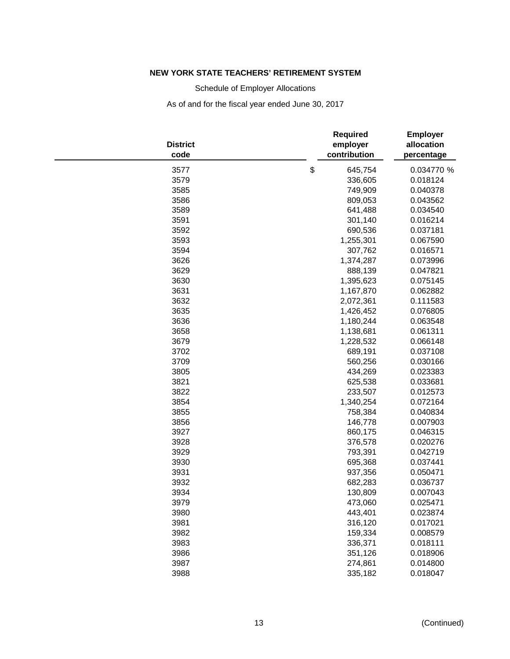Schedule of Employer Allocations

| <b>District</b><br>code | Required<br>employer<br>contribution | <b>Employer</b><br>allocation<br>percentage |
|-------------------------|--------------------------------------|---------------------------------------------|
| 3577                    | \$<br>645,754                        | 0.034770 %                                  |
| 3579                    | 336,605                              | 0.018124                                    |
| 3585                    | 749,909                              | 0.040378                                    |
| 3586                    | 809,053                              | 0.043562                                    |
| 3589                    | 641,488                              | 0.034540                                    |
| 3591                    | 301,140                              | 0.016214                                    |
| 3592                    | 690,536                              | 0.037181                                    |
| 3593                    | 1,255,301                            | 0.067590                                    |
| 3594                    | 307,762                              | 0.016571                                    |
| 3626                    | 1,374,287                            | 0.073996                                    |
| 3629                    | 888,139                              | 0.047821                                    |
| 3630                    | 1,395,623                            | 0.075145                                    |
| 3631                    | 1,167,870                            | 0.062882                                    |
| 3632                    | 2,072,361                            | 0.111583                                    |
| 3635                    | 1,426,452                            | 0.076805                                    |
| 3636                    | 1,180,244                            | 0.063548                                    |
| 3658                    | 1,138,681                            | 0.061311                                    |
| 3679                    | 1,228,532                            | 0.066148                                    |
| 3702                    | 689,191                              | 0.037108                                    |
| 3709                    | 560,256                              | 0.030166                                    |
| 3805                    | 434,269                              | 0.023383                                    |
| 3821                    | 625,538                              | 0.033681                                    |
| 3822                    | 233,507                              | 0.012573                                    |
| 3854                    | 1,340,254                            | 0.072164                                    |
| 3855                    | 758,384                              | 0.040834                                    |
| 3856                    | 146,778                              | 0.007903                                    |
| 3927                    | 860,175                              | 0.046315                                    |
| 3928                    | 376,578                              | 0.020276                                    |
| 3929                    | 793,391                              | 0.042719                                    |
| 3930                    | 695,368                              | 0.037441                                    |
| 3931                    | 937,356                              | 0.050471                                    |
| 3932                    | 682,283                              | 0.036737                                    |
| 3934                    | 130,809                              | 0.007043                                    |
| 3979                    | 473,060                              | 0.025471                                    |
| 3980                    | 443,401                              | 0.023874                                    |
| 3981                    | 316,120                              | 0.017021                                    |
| 3982                    | 159,334                              | 0.008579                                    |
| 3983                    | 336,371                              | 0.018111                                    |
| 3986                    | 351,126                              | 0.018906                                    |
| 3987                    | 274,861                              | 0.014800                                    |
| 3988                    | 335,182                              | 0.018047                                    |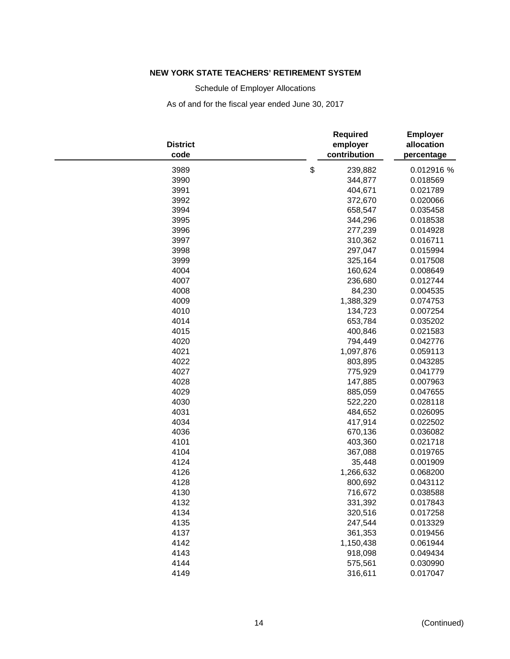Schedule of Employer Allocations

| <b>District</b><br>code | Required<br>employer<br>contribution | <b>Employer</b><br>allocation<br>percentage |  |  |
|-------------------------|--------------------------------------|---------------------------------------------|--|--|
| 3989                    | \$<br>239,882                        | 0.012916 %                                  |  |  |
| 3990                    | 344,877                              | 0.018569                                    |  |  |
| 3991                    | 404,671                              | 0.021789                                    |  |  |
| 3992                    | 372,670                              | 0.020066                                    |  |  |
| 3994                    | 658,547                              | 0.035458                                    |  |  |
| 3995                    | 344,296                              | 0.018538                                    |  |  |
| 3996                    | 277,239                              | 0.014928                                    |  |  |
| 3997                    | 310,362                              | 0.016711                                    |  |  |
| 3998                    | 297,047                              | 0.015994                                    |  |  |
| 3999                    | 325,164                              | 0.017508                                    |  |  |
| 4004                    | 160,624                              | 0.008649                                    |  |  |
| 4007                    | 236,680                              | 0.012744                                    |  |  |
| 4008                    | 84,230                               | 0.004535                                    |  |  |
| 4009                    | 1,388,329                            | 0.074753                                    |  |  |
| 4010                    | 134,723                              | 0.007254                                    |  |  |
| 4014                    | 653,784                              | 0.035202                                    |  |  |
| 4015                    | 400,846                              | 0.021583                                    |  |  |
| 4020                    | 794,449                              | 0.042776                                    |  |  |
| 4021                    | 1,097,876                            | 0.059113                                    |  |  |
| 4022                    | 803,895                              | 0.043285                                    |  |  |
| 4027                    | 775,929                              | 0.041779                                    |  |  |
| 4028                    | 147,885                              | 0.007963                                    |  |  |
| 4029                    | 885,059                              | 0.047655                                    |  |  |
| 4030                    | 522,220                              | 0.028118                                    |  |  |
| 4031                    | 484,652                              | 0.026095                                    |  |  |
| 4034                    | 417,914                              | 0.022502                                    |  |  |
| 4036                    | 670,136                              | 0.036082                                    |  |  |
| 4101                    | 403,360                              | 0.021718                                    |  |  |
| 4104                    | 367,088                              | 0.019765                                    |  |  |
| 4124                    | 35,448                               | 0.001909                                    |  |  |
| 4126                    | 1,266,632                            | 0.068200                                    |  |  |
| 4128                    | 800,692                              | 0.043112                                    |  |  |
| 4130                    | 716,672                              | 0.038588                                    |  |  |
| 4132                    | 331,392                              | 0.017843                                    |  |  |
| 4134                    | 320,516                              | 0.017258                                    |  |  |
| 4135                    | 247,544                              | 0.013329                                    |  |  |
| 4137                    | 361,353                              | 0.019456                                    |  |  |
| 4142                    | 1,150,438                            | 0.061944                                    |  |  |
| 4143                    | 918,098                              | 0.049434                                    |  |  |
| 4144                    | 575,561                              | 0.030990                                    |  |  |
| 4149                    | 316,611                              | 0.017047                                    |  |  |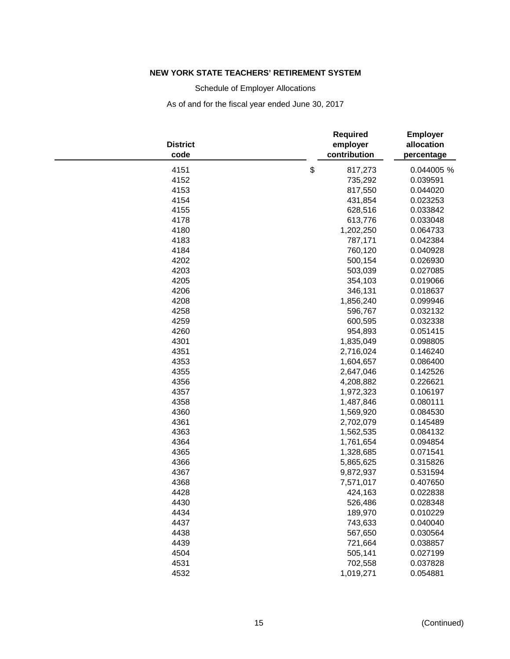Schedule of Employer Allocations

| <b>District</b><br>code | <b>Required</b><br>employer<br>contribution | <b>Employer</b><br>allocation<br>percentage |
|-------------------------|---------------------------------------------|---------------------------------------------|
| 4151                    | \$<br>817,273                               | 0.044005 %                                  |
| 4152                    | 735,292                                     | 0.039591                                    |
| 4153                    | 817,550                                     | 0.044020                                    |
| 4154                    | 431,854                                     | 0.023253                                    |
| 4155                    | 628,516                                     | 0.033842                                    |
| 4178                    | 613,776                                     | 0.033048                                    |
| 4180                    | 1,202,250                                   | 0.064733                                    |
| 4183                    | 787,171                                     | 0.042384                                    |
| 4184                    | 760,120                                     | 0.040928                                    |
| 4202                    | 500,154                                     | 0.026930                                    |
| 4203                    | 503,039                                     | 0.027085                                    |
| 4205                    | 354,103                                     | 0.019066                                    |
| 4206                    | 346,131                                     | 0.018637                                    |
| 4208                    | 1,856,240                                   | 0.099946                                    |
| 4258                    | 596,767                                     | 0.032132                                    |
| 4259                    | 600,595                                     | 0.032338                                    |
| 4260                    | 954,893                                     | 0.051415                                    |
| 4301                    | 1,835,049                                   | 0.098805                                    |
| 4351                    | 2,716,024                                   | 0.146240                                    |
| 4353                    | 1,604,657                                   | 0.086400                                    |
| 4355                    | 2,647,046                                   | 0.142526                                    |
| 4356                    | 4,208,882                                   | 0.226621                                    |
| 4357                    | 1,972,323                                   | 0.106197                                    |
| 4358                    | 1,487,846                                   | 0.080111                                    |
| 4360                    | 1,569,920                                   | 0.084530                                    |
| 4361                    | 2,702,079                                   | 0.145489                                    |
| 4363                    | 1,562,535                                   | 0.084132                                    |
| 4364                    | 1,761,654                                   | 0.094854                                    |
| 4365                    | 1,328,685                                   | 0.071541                                    |
| 4366                    | 5,865,625                                   | 0.315826                                    |
| 4367                    | 9,872,937                                   | 0.531594                                    |
| 4368                    | 7,571,017                                   | 0.407650                                    |
| 4428                    | 424,163                                     | 0.022838                                    |
| 4430                    | 526,486                                     | 0.028348                                    |
| 4434                    | 189,970                                     | 0.010229                                    |
| 4437                    | 743,633                                     | 0.040040                                    |
| 4438                    | 567,650                                     | 0.030564                                    |
| 4439                    | 721,664                                     | 0.038857                                    |
| 4504                    | 505,141                                     | 0.027199                                    |
| 4531                    | 702,558                                     | 0.037828                                    |
| 4532                    | 1,019,271                                   | 0.054881                                    |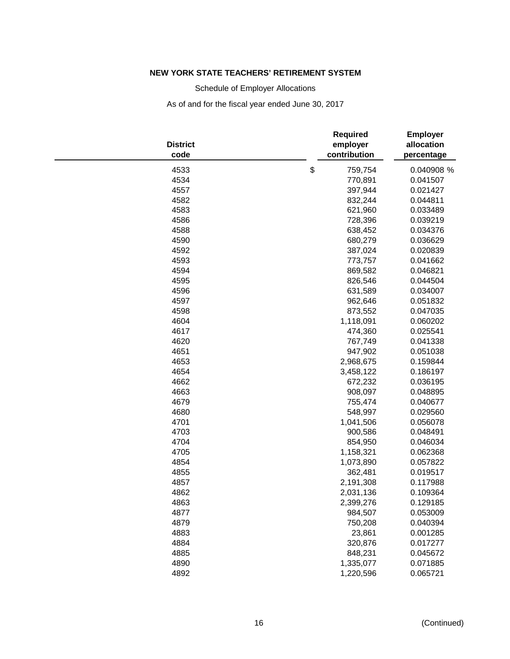Schedule of Employer Allocations

| <b>District</b><br>code | <b>Required</b><br>employer<br>contribution | <b>Employer</b><br>allocation<br>percentage |
|-------------------------|---------------------------------------------|---------------------------------------------|
| 4533                    | \$<br>759,754                               | 0.040908 %                                  |
| 4534                    | 770,891                                     | 0.041507                                    |
| 4557                    | 397,944                                     | 0.021427                                    |
| 4582                    | 832,244                                     | 0.044811                                    |
| 4583                    | 621,960                                     | 0.033489                                    |
| 4586                    | 728,396                                     | 0.039219                                    |
| 4588                    | 638,452                                     | 0.034376                                    |
| 4590                    | 680,279                                     | 0.036629                                    |
| 4592                    | 387,024                                     | 0.020839                                    |
| 4593                    | 773,757                                     | 0.041662                                    |
| 4594                    | 869,582                                     | 0.046821                                    |
| 4595                    | 826,546                                     | 0.044504                                    |
| 4596                    | 631,589                                     | 0.034007                                    |
| 4597                    | 962,646                                     | 0.051832                                    |
| 4598                    | 873,552                                     | 0.047035                                    |
| 4604                    | 1,118,091                                   | 0.060202                                    |
| 4617                    | 474,360                                     | 0.025541                                    |
| 4620                    | 767,749                                     | 0.041338                                    |
| 4651                    | 947,902                                     | 0.051038                                    |
| 4653                    | 2,968,675                                   | 0.159844                                    |
| 4654                    | 3,458,122                                   | 0.186197                                    |
| 4662                    | 672,232                                     | 0.036195                                    |
| 4663                    | 908,097                                     | 0.048895                                    |
| 4679                    | 755,474                                     | 0.040677                                    |
| 4680                    | 548,997                                     | 0.029560                                    |
| 4701                    | 1,041,506                                   | 0.056078                                    |
| 4703                    | 900,586                                     | 0.048491                                    |
| 4704                    | 854,950                                     | 0.046034                                    |
| 4705                    | 1,158,321                                   | 0.062368                                    |
| 4854                    | 1,073,890                                   | 0.057822                                    |
| 4855                    | 362,481                                     | 0.019517                                    |
| 4857                    | 2,191,308                                   | 0.117988                                    |
| 4862                    | 2,031,136                                   | 0.109364                                    |
| 4863                    | 2,399,276                                   | 0.129185                                    |
| 4877                    | 984,507                                     | 0.053009                                    |
| 4879                    | 750,208                                     | 0.040394                                    |
| 4883                    | 23,861                                      | 0.001285                                    |
| 4884                    | 320,876                                     | 0.017277                                    |
| 4885                    | 848,231                                     | 0.045672                                    |
| 4890                    | 1,335,077                                   | 0.071885                                    |
| 4892                    | 1,220,596                                   | 0.065721                                    |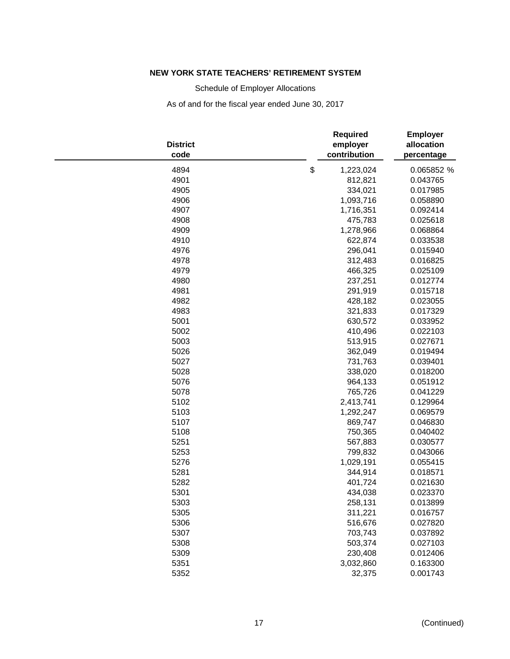Schedule of Employer Allocations

| <b>District</b><br>code | <b>Required</b><br>employer<br>contribution | <b>Employer</b><br>allocation<br>percentage |
|-------------------------|---------------------------------------------|---------------------------------------------|
| 4894                    | \$<br>1,223,024                             | 0.065852 %                                  |
| 4901                    | 812,821                                     | 0.043765                                    |
| 4905                    | 334,021                                     | 0.017985                                    |
| 4906                    | 1,093,716                                   | 0.058890                                    |
| 4907                    | 1,716,351                                   | 0.092414                                    |
| 4908                    | 475,783                                     | 0.025618                                    |
| 4909                    | 1,278,966                                   | 0.068864                                    |
| 4910                    | 622,874                                     | 0.033538                                    |
| 4976                    | 296,041                                     | 0.015940                                    |
| 4978                    | 312,483                                     | 0.016825                                    |
| 4979                    | 466,325                                     | 0.025109                                    |
| 4980                    | 237,251                                     | 0.012774                                    |
| 4981                    | 291,919                                     | 0.015718                                    |
| 4982                    | 428,182                                     | 0.023055                                    |
| 4983                    | 321,833                                     | 0.017329                                    |
| 5001                    | 630,572                                     | 0.033952                                    |
| 5002                    | 410,496                                     | 0.022103                                    |
| 5003                    | 513,915                                     | 0.027671                                    |
| 5026                    | 362,049                                     | 0.019494                                    |
| 5027                    | 731,763                                     | 0.039401                                    |
| 5028                    | 338,020                                     | 0.018200                                    |
| 5076                    | 964,133                                     | 0.051912                                    |
| 5078                    | 765,726                                     | 0.041229                                    |
| 5102                    | 2,413,741                                   | 0.129964                                    |
| 5103                    | 1,292,247                                   | 0.069579                                    |
| 5107                    | 869,747                                     | 0.046830                                    |
| 5108                    | 750,365                                     | 0.040402                                    |
| 5251                    | 567,883                                     | 0.030577                                    |
| 5253                    | 799,832                                     | 0.043066                                    |
| 5276                    | 1,029,191                                   | 0.055415                                    |
| 5281                    | 344,914                                     | 0.018571                                    |
| 5282                    | 401,724                                     | 0.021630                                    |
| 5301                    | 434,038                                     | 0.023370                                    |
| 5303                    | 258,131                                     | 0.013899                                    |
| 5305                    | 311,221                                     | 0.016757                                    |
| 5306                    | 516,676                                     | 0.027820                                    |
| 5307                    | 703,743                                     | 0.037892                                    |
| 5308                    | 503,374                                     | 0.027103                                    |
| 5309                    | 230,408                                     | 0.012406                                    |
| 5351                    | 3,032,860                                   | 0.163300                                    |
| 5352                    | 32,375                                      | 0.001743                                    |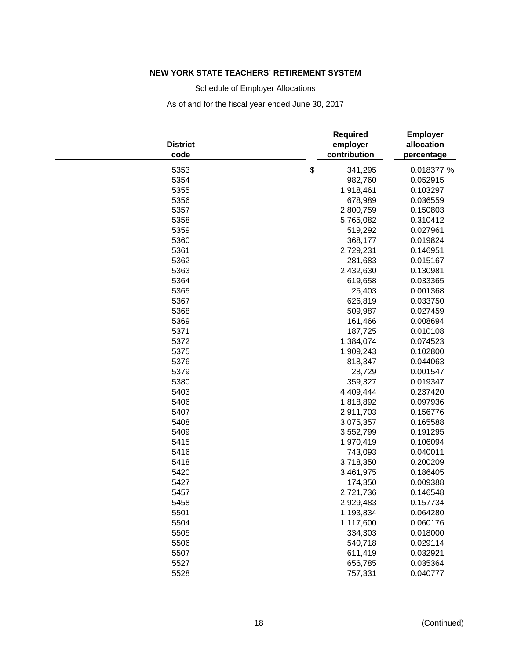Schedule of Employer Allocations

| <b>District</b><br>code | Required<br>employer<br>contribution | <b>Employer</b><br>allocation<br>percentage |  |  |
|-------------------------|--------------------------------------|---------------------------------------------|--|--|
| 5353                    | \$<br>341,295                        | 0.018377 %                                  |  |  |
| 5354                    | 982,760                              | 0.052915                                    |  |  |
| 5355                    | 1,918,461                            | 0.103297                                    |  |  |
| 5356                    | 678,989                              | 0.036559                                    |  |  |
| 5357                    | 2,800,759                            | 0.150803                                    |  |  |
| 5358                    | 5,765,082                            | 0.310412                                    |  |  |
| 5359                    | 519,292                              | 0.027961                                    |  |  |
| 5360                    | 368,177                              | 0.019824                                    |  |  |
| 5361                    | 2,729,231                            | 0.146951                                    |  |  |
| 5362                    | 281,683                              | 0.015167                                    |  |  |
| 5363                    | 2,432,630                            | 0.130981                                    |  |  |
| 5364                    | 619,658                              | 0.033365                                    |  |  |
| 5365                    | 25,403                               | 0.001368                                    |  |  |
| 5367                    | 626,819                              | 0.033750                                    |  |  |
| 5368                    | 509,987                              | 0.027459                                    |  |  |
| 5369                    | 161,466                              | 0.008694                                    |  |  |
| 5371                    | 187,725                              | 0.010108                                    |  |  |
| 5372                    | 1,384,074                            | 0.074523                                    |  |  |
| 5375                    | 1,909,243                            | 0.102800                                    |  |  |
| 5376                    | 818,347                              | 0.044063                                    |  |  |
| 5379                    | 28,729                               | 0.001547                                    |  |  |
| 5380                    | 359,327                              | 0.019347                                    |  |  |
| 5403                    | 4,409,444                            | 0.237420                                    |  |  |
| 5406                    | 1,818,892                            | 0.097936                                    |  |  |
| 5407                    | 2,911,703                            | 0.156776                                    |  |  |
| 5408                    | 3,075,357                            | 0.165588                                    |  |  |
| 5409                    | 3,552,799                            | 0.191295                                    |  |  |
| 5415                    | 1,970,419                            | 0.106094                                    |  |  |
| 5416                    | 743,093                              | 0.040011                                    |  |  |
| 5418                    | 3,718,350                            | 0.200209                                    |  |  |
| 5420                    | 3,461,975                            | 0.186405                                    |  |  |
| 5427                    | 174,350                              | 0.009388                                    |  |  |
| 5457                    | 2,721,736                            | 0.146548                                    |  |  |
| 5458                    | 2,929,483                            | 0.157734                                    |  |  |
| 5501                    | 1,193,834                            | 0.064280                                    |  |  |
| 5504                    | 1,117,600                            | 0.060176                                    |  |  |
| 5505                    | 334,303                              | 0.018000                                    |  |  |
| 5506                    | 540,718                              | 0.029114                                    |  |  |
| 5507                    | 611,419                              | 0.032921                                    |  |  |
| 5527                    | 656,785                              | 0.035364                                    |  |  |
| 5528                    | 757,331                              | 0.040777                                    |  |  |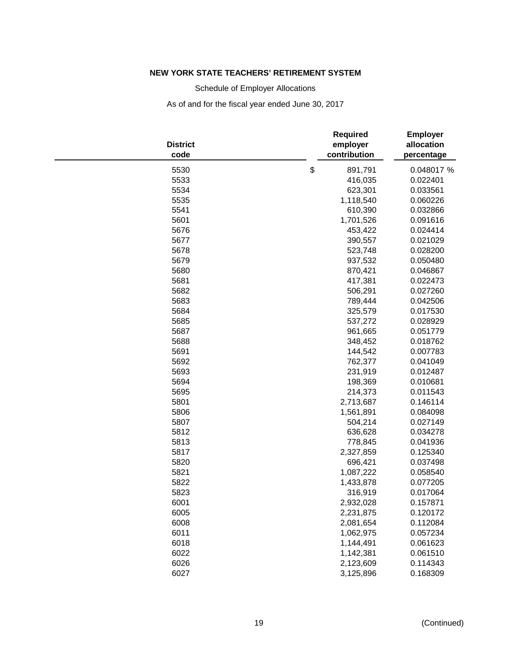Schedule of Employer Allocations

| <b>District</b><br>code | <b>Required</b><br>employer<br>contribution | <b>Employer</b><br>allocation<br>percentage |
|-------------------------|---------------------------------------------|---------------------------------------------|
| 5530                    | \$<br>891,791                               | 0.048017 %                                  |
| 5533                    | 416,035                                     | 0.022401                                    |
| 5534                    | 623,301                                     | 0.033561                                    |
| 5535                    | 1,118,540                                   | 0.060226                                    |
| 5541                    | 610,390                                     | 0.032866                                    |
| 5601                    | 1,701,526                                   | 0.091616                                    |
| 5676                    | 453,422                                     | 0.024414                                    |
| 5677                    | 390,557                                     | 0.021029                                    |
| 5678                    | 523,748                                     | 0.028200                                    |
| 5679                    | 937,532                                     | 0.050480                                    |
| 5680                    | 870,421                                     | 0.046867                                    |
| 5681                    | 417,381                                     | 0.022473                                    |
| 5682                    | 506,291                                     | 0.027260                                    |
| 5683                    | 789,444                                     | 0.042506                                    |
| 5684                    | 325,579                                     | 0.017530                                    |
| 5685                    | 537,272                                     | 0.028929                                    |
| 5687                    | 961,665                                     | 0.051779                                    |
| 5688                    | 348,452                                     | 0.018762                                    |
| 5691                    | 144,542                                     | 0.007783                                    |
| 5692                    | 762,377                                     | 0.041049                                    |
| 5693                    | 231,919                                     | 0.012487                                    |
| 5694                    | 198,369                                     | 0.010681                                    |
| 5695                    | 214,373                                     | 0.011543                                    |
| 5801                    | 2,713,687                                   | 0.146114                                    |
| 5806                    | 1,561,891                                   | 0.084098                                    |
| 5807                    | 504,214                                     | 0.027149                                    |
| 5812                    | 636,628                                     | 0.034278                                    |
| 5813                    | 778,845                                     | 0.041936                                    |
| 5817                    | 2,327,859                                   | 0.125340                                    |
| 5820                    | 696,421                                     | 0.037498                                    |
| 5821                    | 1,087,222                                   | 0.058540                                    |
| 5822                    | 1,433,878                                   | 0.077205                                    |
| 5823                    | 316,919                                     | 0.017064                                    |
| 6001                    | 2,932,028                                   | 0.157871                                    |
| 6005                    | 2,231,875                                   | 0.120172                                    |
| 6008                    | 2,081,654                                   | 0.112084                                    |
| 6011                    | 1,062,975                                   | 0.057234                                    |
| 6018                    | 1,144,491                                   | 0.061623                                    |
| 6022                    | 1,142,381                                   | 0.061510                                    |
| 6026                    | 2,123,609                                   | 0.114343                                    |
| 6027                    | 3,125,896                                   | 0.168309                                    |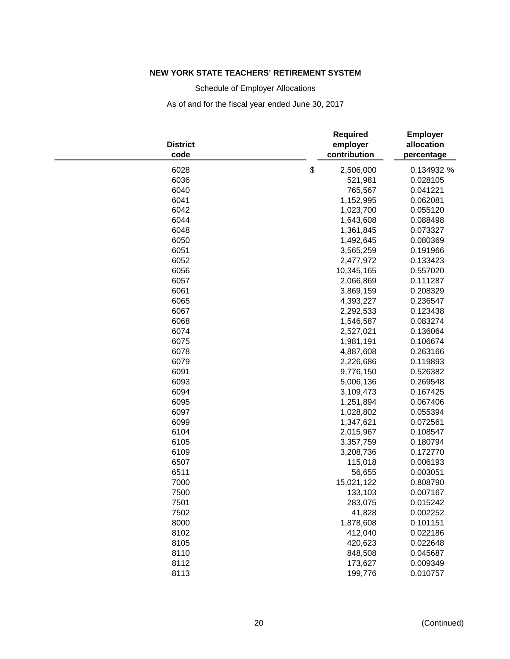Schedule of Employer Allocations

| <b>District</b><br>code | <b>Required</b><br>employer<br>contribution | <b>Employer</b><br>allocation<br>percentage |
|-------------------------|---------------------------------------------|---------------------------------------------|
| 6028                    | \$<br>2,506,000                             | 0.134932 %                                  |
| 6036                    | 521,981                                     | 0.028105                                    |
| 6040                    | 765,567                                     | 0.041221                                    |
| 6041                    | 1,152,995                                   | 0.062081                                    |
| 6042                    | 1,023,700                                   | 0.055120                                    |
| 6044                    | 1,643,608                                   | 0.088498                                    |
| 6048                    | 1,361,845                                   | 0.073327                                    |
| 6050                    | 1,492,645                                   | 0.080369                                    |
| 6051                    | 3,565,259                                   | 0.191966                                    |
| 6052                    | 2,477,972                                   | 0.133423                                    |
| 6056                    | 10,345,165                                  | 0.557020                                    |
| 6057                    | 2,066,869                                   | 0.111287                                    |
| 6061                    | 3,869,159                                   | 0.208329                                    |
| 6065                    | 4,393,227                                   | 0.236547                                    |
| 6067                    | 2,292,533                                   | 0.123438                                    |
| 6068                    | 1,546,587                                   | 0.083274                                    |
| 6074                    | 2,527,021                                   | 0.136064                                    |
| 6075                    | 1,981,191                                   | 0.106674                                    |
| 6078                    | 4,887,608                                   | 0.263166                                    |
| 6079                    | 2,226,686                                   | 0.119893                                    |
| 6091                    | 9,776,150                                   | 0.526382                                    |
| 6093                    | 5,006,136                                   | 0.269548                                    |
| 6094                    | 3,109,473                                   | 0.167425                                    |
| 6095                    | 1,251,894                                   | 0.067406                                    |
| 6097                    | 1,028,802                                   | 0.055394                                    |
| 6099                    | 1,347,621                                   | 0.072561                                    |
| 6104                    | 2,015,967                                   | 0.108547                                    |
| 6105                    | 3,357,759                                   | 0.180794                                    |
| 6109                    | 3,208,736                                   | 0.172770                                    |
| 6507                    | 115,018                                     | 0.006193                                    |
| 6511                    | 56,655                                      | 0.003051                                    |
| 7000                    | 15,021,122                                  | 0.808790                                    |
| 7500                    | 133,103                                     | 0.007167                                    |
| 7501                    | 283,075                                     | 0.015242                                    |
| 7502                    | 41,828                                      | 0.002252                                    |
| 8000                    | 1,878,608                                   | 0.101151                                    |
| 8102                    | 412,040                                     | 0.022186                                    |
| 8105                    | 420,623                                     | 0.022648                                    |
| 8110                    | 848,508                                     | 0.045687                                    |
| 8112                    | 173,627                                     | 0.009349                                    |
| 8113                    | 199,776                                     | 0.010757                                    |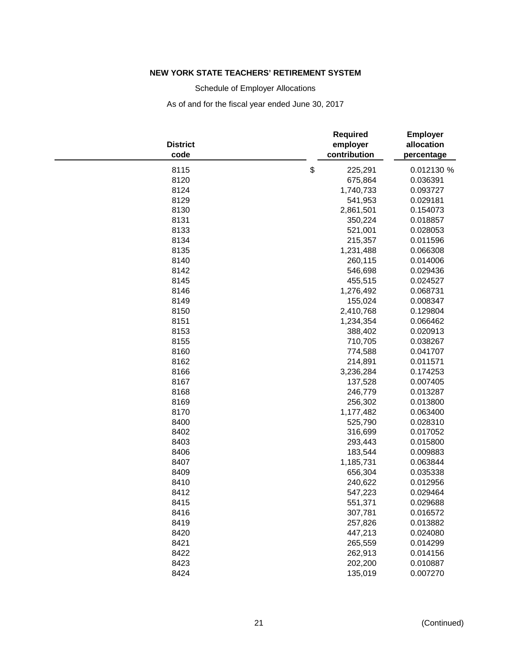Schedule of Employer Allocations

| <b>District</b><br>code | <b>Required</b><br>employer<br>contribution | <b>Employer</b><br>allocation<br>percentage |
|-------------------------|---------------------------------------------|---------------------------------------------|
| 8115                    | \$<br>225,291                               | 0.012130 %                                  |
| 8120                    | 675,864                                     | 0.036391                                    |
| 8124                    | 1,740,733                                   | 0.093727                                    |
| 8129                    | 541,953                                     | 0.029181                                    |
| 8130                    | 2,861,501                                   | 0.154073                                    |
| 8131                    | 350,224                                     | 0.018857                                    |
| 8133                    | 521,001                                     | 0.028053                                    |
| 8134                    | 215,357                                     | 0.011596                                    |
| 8135                    | 1,231,488                                   | 0.066308                                    |
| 8140                    | 260,115                                     | 0.014006                                    |
| 8142                    | 546,698                                     | 0.029436                                    |
| 8145                    | 455,515                                     | 0.024527                                    |
| 8146                    | 1,276,492                                   | 0.068731                                    |
| 8149                    | 155,024                                     | 0.008347                                    |
| 8150                    | 2,410,768                                   | 0.129804                                    |
| 8151                    | 1,234,354                                   | 0.066462                                    |
| 8153                    | 388,402                                     | 0.020913                                    |
| 8155                    | 710,705                                     | 0.038267                                    |
| 8160                    | 774,588                                     | 0.041707                                    |
| 8162                    | 214,891                                     | 0.011571                                    |
| 8166                    | 3,236,284                                   | 0.174253                                    |
| 8167                    | 137,528                                     | 0.007405                                    |
| 8168                    | 246,779                                     | 0.013287                                    |
| 8169                    | 256,302                                     | 0.013800                                    |
| 8170                    | 1,177,482                                   | 0.063400                                    |
| 8400                    | 525,790                                     | 0.028310                                    |
| 8402                    | 316,699                                     | 0.017052                                    |
| 8403                    | 293,443                                     | 0.015800                                    |
| 8406                    | 183,544                                     | 0.009883                                    |
| 8407                    | 1,185,731                                   | 0.063844                                    |
| 8409                    | 656,304                                     | 0.035338                                    |
| 8410                    | 240,622                                     | 0.012956                                    |
| 8412                    | 547,223                                     | 0.029464                                    |
| 8415                    | 551,371                                     | 0.029688                                    |
| 8416                    | 307,781                                     | 0.016572                                    |
| 8419                    | 257,826                                     | 0.013882                                    |
| 8420                    | 447,213                                     | 0.024080                                    |
| 8421                    | 265,559                                     | 0.014299                                    |
| 8422                    | 262,913                                     | 0.014156                                    |
| 8423                    | 202,200                                     | 0.010887                                    |
| 8424                    | 135,019                                     | 0.007270                                    |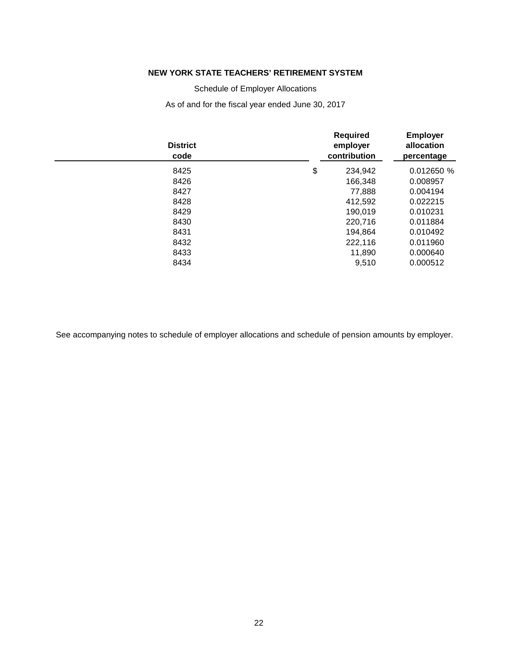Schedule of Employer Allocations

As of and for the fiscal year ended June 30, 2017

| <b>District</b><br>code | Required<br>employer<br>contribution | <b>Employer</b><br>allocation<br>percentage |  |
|-------------------------|--------------------------------------|---------------------------------------------|--|
| 8425                    | \$<br>234,942                        | 0.012650%                                   |  |
| 8426                    | 166,348                              | 0.008957                                    |  |
| 8427                    | 77,888                               | 0.004194                                    |  |
| 8428                    | 412,592                              | 0.022215                                    |  |
| 8429                    | 190,019                              | 0.010231                                    |  |
| 8430                    | 220,716                              | 0.011884                                    |  |
| 8431                    | 194,864                              | 0.010492                                    |  |
| 8432                    | 222,116                              | 0.011960                                    |  |
| 8433                    | 11,890                               | 0.000640                                    |  |
| 8434                    | 9.510                                | 0.000512                                    |  |
|                         |                                      |                                             |  |

See accompanying notes to schedule of employer allocations and schedule of pension amounts by employer.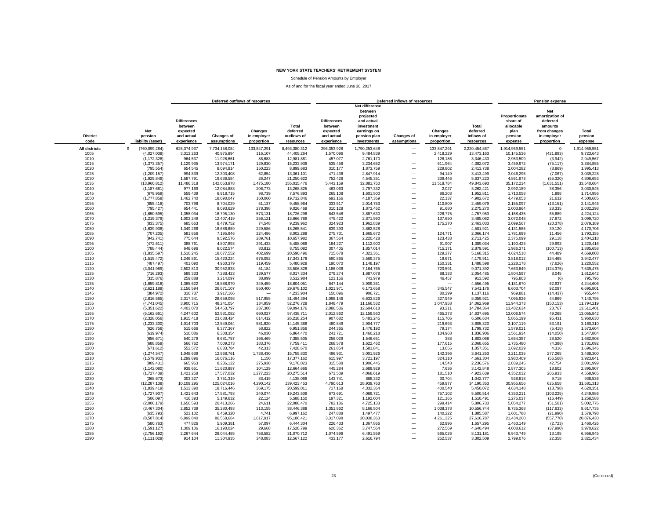Schedule of Pension Amounts by Employer

|                         |                                            |                                                                       |                                  | Deferred outflows of resources       |                                                      |                                                                       |                                                                                                                  | Deferred inflows of resources                 |                                      |                                              |                                                                      | <b>Pension expense</b>                                                                            |                                    |
|-------------------------|--------------------------------------------|-----------------------------------------------------------------------|----------------------------------|--------------------------------------|------------------------------------------------------|-----------------------------------------------------------------------|------------------------------------------------------------------------------------------------------------------|-----------------------------------------------|--------------------------------------|----------------------------------------------|----------------------------------------------------------------------|---------------------------------------------------------------------------------------------------|------------------------------------|
| <b>District</b><br>code | <b>Net</b><br>pension<br>liability (asset) | <b>Differences</b><br>between<br>expected<br>and actual<br>experience | <b>Changes of</b><br>assumptions | Changes<br>in employer<br>proportion | <b>Total</b><br>deferred<br>outflows of<br>resources | <b>Differences</b><br>between<br>expected<br>and actual<br>experience | Net difference<br>between<br>projected<br>and actual<br>investment<br>earnings on<br>pension plan<br>investments | <b>Changes of</b><br>assumptions              | Changes<br>in employer<br>proportion | Total<br>deferred<br>inflows of<br>resources | Proportionate<br>share of<br>allocable<br>plan<br>pension<br>expense | <b>Net</b><br>amortization of<br>deferred<br>amounts<br>from changes<br>in employer<br>proportion | <b>Total</b><br>pension<br>expense |
| All districts           | \$<br>(760,099,284)                        | 625,374,937                                                           | 7,734,158,084                    | 133,847,291                          | 8,493,380,312                                        | 296,353,928                                                           | 1,790,253,648                                                                                                    |                                               | 133,847,291                          | 2,220,454,867                                | 1,914,959,551                                                        | $\mathsf 0$                                                                                       | 1,914,959,551                      |
| 1005                    | (4,027,038)                                | 3,313,263                                                             | 40,975,894                       | 116,107                              | 44,405,264                                           | 1,570,096                                                             | 9.484.839                                                                                                        |                                               | 2,418,229                            | 13.473.163                                   | 10,145,536                                                           | (421, 893)                                                                                        | 9,723,643                          |
| 1010                    | (1, 172, 328)                              | 964,537                                                               | 11,928,661                       | 88,683                               | 12,981,881                                           | 457,077                                                               | 2,761,170                                                                                                        |                                               | 128,186                              | 3,346,433                                    | 2,953,509                                                            | (3,942)                                                                                           | 2,949,567                          |
| 1015                    | (1, 373, 357)                              | 1,129,935                                                             | 13,974,171                       | 129,830                              | 15,233,936                                           | 535,456                                                               | 3,234,652                                                                                                        |                                               | 611,964                              | 4,382,072                                    | 3,459,972                                                            | (75, 117)                                                                                         | 3,384,855                          |
| 1020                    | (795.554)                                  | 654.545                                                               | 8.094.914                        | 150.223                              | 8.899.683                                            | 310.177                                                               | 1,873,759                                                                                                        |                                               | 229.802                              | 2.413.738                                    | 2.004.282                                                            | (8,869)                                                                                           | 1,995,413                          |
| 1025                    | (1,209,157)                                | 994,839                                                               | 12,303,408                       | 62,854                               | 13,361,101                                           | 471,436                                                               | 2,847,914                                                                                                        |                                               | 94,149                               | 3,413,499                                    | 3,046,295                                                            | (7,067)                                                                                           | 3,039,228                          |
| 1030                    | (1,929,849)                                | 1,587,791                                                             | 19,636,584                       | 26,247                               | 21,250,622                                           | 752,426                                                               | 4,545,351                                                                                                        |                                               | 339,446                              | 5,637,223                                    | 4,861,973                                                            | (55, 320)                                                                                         | 4,806,653                          |
| 1035                    | (13,960,812)                               | 11.486.318                                                            | 142.053.978                      | 1.475.180                            | 155.015.476                                          | 5.443.159                                                             | 32.881.750                                                                                                       |                                               | 11,518,784                           | 49.843.693                                   | 35.172.234                                                           | (1,631,551)                                                                                       | 33,540,684                         |
| 1040                    | (1, 187, 681)                              | 977,169                                                               | 12,084,883                       | 206,773                              | 13,268,825                                           | 463,063                                                               | 2,797,332                                                                                                        | $\sim$                                        | 2,027                                | 3,262,421                                    | 2,992,189                                                            | 38,356                                                                                            | 3,030,545                          |
| 1045                    | (679, 959)                                 | 559,439                                                               | 6,918,715                        | 98,739                               | 7,576,893                                            | 265,108                                                               | 1,601,500                                                                                                        |                                               | 86,203                               | 1,952,811                                    | 1,713,058                                                            | 1,898                                                                                             | 1,714,956                          |
| 1050                    | (1,777,858)                                | 1.462.740                                                             | 18.090.047                       | 160.060                              | 19.712.846                                           | 693.166                                                               | 4.187.369                                                                                                        |                                               | 22.137                               | 4,902,672                                    | 4,479,053                                                            | 21.632                                                                                            | 4,500,685                          |
| 1055                    | (855, 416)                                 | 703,798                                                               | 8,704,029                        | 51,137                               | 9,458,964                                            | 333,517                                                               | 2,014,753                                                                                                        | $\sim$                                        | 110,809                              | 2,459,079                                    | 2,155,097                                                            | (13, 151)                                                                                         | 2,141,946                          |
| 1060                    | (795, 427)                                 | 654,441                                                               | 8,093,629                        | 278,398                              | 9,026,469                                            | 310,128                                                               | 1,873,462                                                                                                        | $\overline{\phantom{a}}$                      | 91,680                               | 2,275,270                                    | 2,003,964                                                            | 28,335                                                                                            | 2,032,298                          |
| 1065                    | (1,650,595)                                | 1.358.034                                                             | 16.795.130                       | 573.131                              | 18,726,296                                           | 643.548                                                               | 3.887.630                                                                                                        | $\overline{\phantom{0}}$                      | 226,775                              | 4,757,953                                    | 4.158.435                                                            | 65,689                                                                                            | 4,224,124                          |
| 1070                    | (1,219,379)                                | 1,003,249                                                             | 12,407,419                       | 256,121                              | 13,666,789                                           | 475,422                                                               | 2,871,990                                                                                                        | $\sim$                                        | 137,650                              | 3,485,062                                    | 3,072,048                                                            | 27,672                                                                                            | 3,099,720                          |
| 1075                    | (833, 375)                                 | 685,663                                                               | 8,479,752                        | 74,548                               | 9,239,962                                            | 324,923                                                               | 1,962,839                                                                                                        | $\overline{\phantom{0}}$                      | 175,270                              | 2,463,033                                    | 2,099,567                                                            | (20, 378)                                                                                         | 2,079,189                          |
| 1080                    | (1,639,938)                                | 1.349.266                                                             | 16.686.689                       | 229.586                              | 18.265.541                                           | 639.393                                                               | 3.862.528                                                                                                        |                                               |                                      | 4.501.921                                    | 4,131,585                                                            | 39.120                                                                                            | 4,170,706                          |
| 1085                    | (707, 205)                                 | 581,856                                                               | 7,195,946                        | 224,486                              | 8,002,288                                            | 275,731                                                               | 1,665,672                                                                                                        | $\sim$                                        | 124,771                              | 2,066,174                                    | 1,781,699                                                            | 11,456                                                                                            | 1,793,155                          |
| 1090                    | (942, 741)                                 | 775,644                                                               | 9,592,576                        | 289,761                              | 10,657,982                                           | 367,564                                                               | 2,220,428                                                                                                        | $\overline{\phantom{a}}$                      | 123,433                              | 2,711,425                                    | 2,375,099                                                            | 29,118                                                                                            | 2,404,218                          |
| 1095                    | (472, 511)                                 | 388.761                                                               | 4.807.893                        | 291.433                              | 5.488.086                                            | 184.227                                                               | 1,112,900                                                                                                        | $\overline{\phantom{0}}$                      | 91,907                               | 1.389.034                                    | 1.190.423                                                            | 29.993                                                                                            | 1,220,416                          |
| 1100                    | (788, 444)                                 | 648,696                                                               | 8,022,574                        | 83,812                               | 8,755,082                                            | 307,405                                                               | 1,857,014                                                                                                        | $\sim$                                        | 715,171                              | 2,879,591                                    | 1,986,371                                                            | (100, 713)                                                                                        | 1,885,658                          |
| 1105                    | (1,835,597)                                | 1,510,245                                                             | 18,677,552                       | 402,699                              | 20,590,496                                           | 715,678                                                               | 4,323,361                                                                                                        | $\overline{\phantom{a}}$                      | 129,277                              | 5,168,315                                    | 4,624,518                                                            | 44,489                                                                                            | 4,669,008                          |
| 1110                    | (1,515,472)                                | 1.246.861                                                             | 15.420.224                       | 676.092                              | 17.343.178                                           | 590.865                                                               | 3.569.375                                                                                                        |                                               | 19.671                               | 4.179.911                                    | 3,818,012                                                            | 124.465                                                                                           | 3,942,477                          |
| 1115                    | (487, 497)                                 | 401,090                                                               | 4,960,379                        | 119,459                              | 5,480,928                                            | 190,070                                                               | 1,148,197                                                                                                        | $\sim$                                        | 150,331                              | 1,488,598                                    | 1,228,178                                                            | (7,626)                                                                                           | 1,220,552                          |
| 1120                    | (3,041,989)                                | 2,502,810                                                             | 30,952,833                       | 51,184                               | 33,506,826                                           | 1,186,036                                                             | 7,164,765                                                                                                        | $\overline{\phantom{a}}$                      | 720,591                              | 9,071,392                                    | 7,663,849                                                            | (124, 375)                                                                                        | 7,539,475                          |
| 1125                    | (716, 293)                                 | 589,333                                                               | 7,288,423                        | 139,577                              | 8,017,334                                            | 279,274                                                               | 1,687,078                                                                                                        | $\overline{\phantom{0}}$                      | 88,133                               | 2,054,485                                    | 1,804,597                                                            | 8,045                                                                                             | 1,812,642                          |
| 1130                    | (315, 876)                                 | 259,888                                                               | 3,214,097                        | 38,999                               | 3,512,984                                            | 123,156                                                               | 743,979                                                                                                          | $\equiv$                                      | 46,457                               | 913,592                                      | 795,803                                                              | (6)                                                                                               | 795,796                            |
| 1135                    | (1,659,818)                                | 1,365,622                                                             | 16,888,970                       | 349,459                              | 18,604,051                                           | 647,144                                                               | 3,909,351                                                                                                        |                                               | $\sim$                               | 4,556,495                                    | 4,181,670                                                            | 62,937                                                                                            | 4,244,606                          |
| 1140                    | (2,621,189)                                | 2,156,594                                                             | 26,671,107                       | 850,400                              | 29,678,102                                           | 1,021,971                                                             | 6,173,658                                                                                                        | $\overline{\phantom{0}}$                      | 345,547                              | 7,541,176                                    | 6,603,704                                                            | 92,097                                                                                            | 6,695,801                          |
| 1145                    | (384, 972)                                 | 316,737                                                               | 3,917,166                        | -                                    | 4,233,904                                            | 150,096                                                               | 906,721                                                                                                          | $\sim$                                        | 80,299                               | 1,137,116                                    | 969,881                                                              | (14, 437)                                                                                         | 955,444                            |
| 1150                    | (2,816,565)                                | 2,317,341                                                             | 28,659,098                       | 517,955                              | 31,494,394                                           | 1,098,146                                                             | 6,633,826                                                                                                        |                                               | 327,949                              | 8,059,921                                    | 7,095,926                                                            | 44,869                                                                                            | 7,140,795                          |
| 1155                    | (4,741,045)                                | 3,900,715                                                             | 48,241,054                       | 134,959                              | 52,276,728                                           | 1,848,479                                                             | 11,166,532                                                                                                       | $\overline{\phantom{0}}$                      | 1,047,958                            | 14,062,969                                   | 11,944,373                                                           | (150, 153)                                                                                        | 11,794,219                         |
| 1160                    | (5,351,622)                                | 4,403,070                                                             | 54,453,797                       | 237,308                              | 59,094,176                                           | 2,086,536                                                             | 12,604,618                                                                                                       | $\sim$                                        | 93,211                               | 14,784,364                                   | 13,482,634                                                           | 28,767                                                                                            | 13,511,401                         |
| 1165                    | (5, 162, 661)                              | 4,247,602                                                             | 52,531,082                       | 660,027                              | 57,438,711                                           | 2,012,862                                                             | 12,159,560                                                                                                       | $\overline{\phantom{a}}$                      | 465,273                              | 14,637,695                                   | 13,006,574                                                           | 49,268                                                                                            | 13,055,842                         |
| 1170                    | (2,328,056)                                | 1,915,418                                                             | 23,688,424                       | 614,412                              | 26,218,254                                           | 907,682                                                               | 5,483,245                                                                                                        | $\overline{\phantom{0}}$                      | 115,706                              | 6,506,634                                    | 5,865,199                                                            | 95,431                                                                                            | 5,960,630                          |
| 1175                    | (1,233,300)                                | 1,014,703                                                             | 12,549,064                       | 581,620                              | 14,145,386                                           | 480,849                                                               | 2,904,777                                                                                                        | $\sim$                                        | 219,693                              | 3,605,320                                    | 3,107,119                                                            | 53,191                                                                                            | 3,160,310                          |
| 1180                    | (626, 756)                                 | 515,666                                                               | 6,377,367                        | 58,822                               | 6,951,856                                            | 244,365                                                               | 1,476,192                                                                                                        | $\overline{\phantom{a}}$                      | 79,174                               | 1,799,732                                    | 1,579,021                                                            | (5, 418)                                                                                          | 1,573,604                          |
| 1185                    | (619.974)                                  | 510,086                                                               | 6,308,354                        | 46,030                               | 6,864,470                                            | 241,721                                                               | 1,460,218                                                                                                        | $\overline{\phantom{0}}$                      | 134,968                              | 1,836,906                                    | 1,561,934                                                            | (14,050)                                                                                          | 1,547,884                          |
| 1190                    | (656, 671)                                 | 540,279                                                               | 6,681,757                        | 166,469                              | 7,388,505                                            | 256,029                                                               | 1,546,651                                                                                                        | $\sim$                                        | 388                                  | 1,803,068                                    | 1,654,387                                                            | 28,520                                                                                            | 1,682,908                          |
| 1195                    | (688, 859)                                 | 566,762                                                               | 7,009,273                        | 183,376                              | 7,759,411                                            | 268,578                                                               | 1,622,462                                                                                                        | $\overline{\phantom{0}}$                      | 177,615                              | 2,068,655                                    | 1,735,480                                                            | (4, 388)                                                                                          | 1,731,092                          |
| 1200                    | (671, 612)                                 | 552,572                                                               | 6,833,784                        | 42,313                               | 7,428,670                                            | 261,854                                                               | 1,581,841                                                                                                        | $\overline{\phantom{0}}$                      | 13,656                               | 1,857,351                                    | 1,692,029                                                            | 4,316                                                                                             | 1,696,346                          |
| 1205                    | (1, 274, 547)                              | 1,048,639                                                             | 12,968,761                       | 1,738,430                            | 15,755,830                                           | 496.931                                                               | 3.001.926                                                                                                        | $\sim$                                        | 142,396                              | 3,641,253                                    | 3,211,035                                                            | 277,265                                                                                           | 3,488,300                          |
| 1210                    | (1,579,932)                                | 1,299,896                                                             | 16,076,116                       | 1,150                                | 17,377,162                                           | 615,997                                                               | 3,721,197                                                                                                        | $\sim$                                        | 324,110                              | 4,661,304                                    | 3,980,409                                                            | (56, 568)                                                                                         | 3,923,841                          |
| 1215                    | (809, 431)                                 | 665,963                                                               | 8,236,122                        | 275,938                              | 9,178,023                                            | 315,588                                                               | 1,906,445                                                                                                        | $\overline{\phantom{0}}$                      | 14,543                               | 2,236,576                                    | 2,039,245                                                            | 42,754                                                                                            | 2,081,999                          |
| 1220                    | (1, 142, 080)                              | 939.651                                                               | 11,620,887                       | 104.129                              | 12,664,666                                           | 445,284                                                               | 2,689,929                                                                                                        | $\sim$                                        | 7,636                                | 3,142,848                                    | 2,877,305                                                            | 18,602                                                                                            | 2,895,907                          |
| 1225                    | (1,727,439)                                | 1,421,258                                                             | 17,577,032                       | 1,277,223                            | 20,275,514                                           | 673,509                                                               | 4,068,619                                                                                                        | $\overline{\phantom{a}}$                      | 181,510                              | 4,923,639                                    | 4,352,032                                                            | 206,933                                                                                           | 4,558,965                          |
| 1230                    | (368, 673)                                 | 303,327                                                               | 3,751,319                        | 83,419                               | 4,138,066                                            | 143,741                                                               | 868,332                                                                                                          | $\overline{\phantom{0}}$<br>$\sim$            | 30,704                               | 1,042,777                                    | 928,818                                                              | 9,718                                                                                             | 938,536                            |
| 1235                    | (12, 287, 138)                             | 10,109,295                                                            | 125,024,016                      | 4,290,142                            | 139,423,453                                          | 4,790,613                                                             | 28,939,763                                                                                                       |                                               | 459,977                              | 34,190,353                                   | 30,955,656                                                           | 625,658                                                                                           | 31,581,313                         |
| 1240                    | (1,839,419)                                | 1,513,390                                                             | 18,716,446                       | 369,175                              | 20,599,011                                           | 717,168                                                               | 4,332,364                                                                                                        |                                               | 400,540                              | 5,450,072                                    | 4,634,148                                                            | (13, 798)                                                                                         | 4,620,351                          |
| 1245                    | (1,727,907)                                | 1,421,643                                                             | 17,581,793                       | 240,074<br>22.124                    | 19,243,509                                           | 673,691                                                               | 4,069,721                                                                                                        |                                               | 757,102                              | 5,500,514                                    | 4,353,211                                                            | (103, 225)                                                                                        | 4,249,986                          |
| 1250                    | (506, 097)                                 | 416,393                                                               | 5,149,632                        |                                      | 5,588,150                                            | 197,321                                                               | 1,192,004                                                                                                        |                                               | 121,165                              | 1,510,491                                    | 1,275,037                                                            | (16, 449)                                                                                         | 1,258,588                          |
| 1255<br>1260            | (2,006,179)<br>(3,467,304)                 | 1,650,593<br>2,852,739                                                | 20,413,266<br>35,280,493         | 24,611<br>313,155                    | 22,088,470<br>38,446,388                             | 782,186<br>1,351,862                                                  | 4,725,133<br>8,166,504                                                                                           | $\overline{\phantom{0}}$<br>$\qquad \qquad -$ | 299,414<br>1,038,378                 | 5,806,733<br>10,556,744                      | 5,054,277<br>8,735,368                                               | (51, 501)                                                                                         | 5,002,776<br>8,617,735             |
| 1265                    | (635, 793)                                 | 523,102                                                               | 6,469,320                        | 4.741                                | 6,997,162                                            | 247,888                                                               | 1,497,477                                                                                                        | $\sim$                                        | 140,222                              | 1,885,587                                    | 1,601,788                                                            | (117, 633)<br>(21, 990)                                                                           | 1,579,798                          |
| 1270                    | (8,507,814)                                | 6,999,840                                                             | 86,568,664                       |                                      | 95,186,421                                           |                                                                       | 20,038,363                                                                                                       | $\overline{\phantom{a}}$                      |                                      |                                              | 21,434,200                                                           |                                                                                                   | 20,876,430                         |
| 1275                    | (580, 763)                                 | 477,826                                                               | 5,909,381                        | 1,617,917<br>57,097                  | 6,444,304                                            | 3,317,098<br>226,433                                                  | 1,367,866                                                                                                        |                                               | 4,261,325<br>62,996                  | 27,616,787<br>1,657,295                      | 1,463,149                                                            | (557, 770)                                                                                        |                                    |
| 1280                    | (1,591,127)                                | 1,309,106                                                             | 16,190,024                       | 29,668                               | 17,528,799                                           | 620,362                                                               | 3,747,564                                                                                                        | $\overline{\phantom{0}}$                      | 272,569                              | 4,640,494                                    | 4,008,612                                                            | (2, 723)<br>(37,990)                                                                              | 1,460,426<br>3,970,622             |
| 1285                    | (2,756,162)                                | 2,267,644                                                             | 28,044,485                       | 758,582                              | 31,070,712                                           | 1,074,596                                                             | 6,491,559                                                                                                        | $\sim$                                        | 565,026                              | 8,131,181                                    | 6,943,749                                                            | 13,195                                                                                            | 6,956,945                          |
| 1290                    | (1, 111, 029)                              | 914,104                                                               | 11,304,935                       | 348,083                              | 12,567,122                                           | 433,177                                                               | 2,616,794                                                                                                        |                                               | 252,537                              | 3,302,509                                    | 2,799,076                                                            | 22,358                                                                                            | 2,821,434                          |
|                         |                                            |                                                                       |                                  |                                      |                                                      |                                                                       |                                                                                                                  |                                               |                                      |                                              |                                                                      |                                                                                                   |                                    |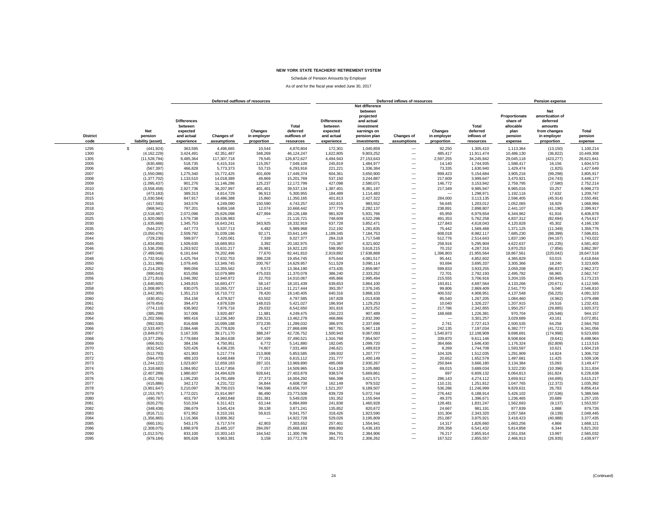Schedule of Pension Amounts by Employer

|                         |                                            |                                                                       |                                  | Deferred outflows of resources       |                                               |                                                                       |                                                                                                                  | Deferred inflows of resources                        |                                      |                                              |                                                                      | <b>Pension expense</b>                                                                            |                             |
|-------------------------|--------------------------------------------|-----------------------------------------------------------------------|----------------------------------|--------------------------------------|-----------------------------------------------|-----------------------------------------------------------------------|------------------------------------------------------------------------------------------------------------------|------------------------------------------------------|--------------------------------------|----------------------------------------------|----------------------------------------------------------------------|---------------------------------------------------------------------------------------------------|-----------------------------|
| <b>District</b><br>code | <b>Net</b><br>pension<br>liability (asset) | <b>Differences</b><br>between<br>expected<br>and actual<br>experience | <b>Changes of</b><br>assumptions | Changes<br>in employer<br>proportion | Total<br>deferred<br>outflows of<br>resources | <b>Differences</b><br>between<br>expected<br>and actual<br>experience | Net difference<br>between<br>projected<br>and actual<br>investment<br>earnings on<br>pension plan<br>investments | <b>Changes of</b><br>assumptions                     | Changes<br>in employer<br>proportion | Total<br>deferred<br>inflows of<br>resources | Proportionate<br>share of<br>allocable<br>plan<br>pension<br>expense | <b>Net</b><br>amortization of<br>deferred<br>amounts<br>from changes<br>in employer<br>proportion | Total<br>pension<br>expense |
| 1295                    | \$<br>(441, 924)                           | 363,595                                                               | 4,496,665                        | 10,544                               | 4,870,804                                     | 172,301                                                               | 1,040,859                                                                                                        | —                                                    | 92,250                               | 1,305,410                                    | 1,113,364                                                            | (13, 150)                                                                                         | 1,100,214                   |
| 1300                    | (4, 162, 229)                              | 3,424,491                                                             | 42,351,487                       | 348,269                              | 46,124,247                                    | 1,622,805                                                             | 9,803,252                                                                                                        |                                                      | 485,417                              | 11,911,474                                   | 10,486,130                                                           | (36, 822)                                                                                         | 10,449,308                  |
| 1305                    | (11,528,794)                               | 9.485.364                                                             | 117,307,718                      | 79.545                               | 126,872,627                                   | 4,494,943                                                             | 27,153,643                                                                                                       | $\overline{\phantom{0}}$                             | 2,597,255                            | 34,245,842                                   | 29.045.118                                                           | (423, 277)                                                                                        | 28,621,841                  |
| 2005                    | (630, 486)                                 | 518,735                                                               | 6,415,316                        | 115,057                              | 7,049,109                                     | 245,819                                                               | 1,484,977                                                                                                        | $\overline{\phantom{0}}$                             | 14,140                               | 1,744,935                                    | 1,588,417                                                            | 16,156                                                                                            | 1,604,573                   |
| 2006                    | (567, 397)                                 | 466,828                                                               | 5,773,373                        | 53,715                               | 6,293,916                                     | 221,221                                                               | 1,336,384                                                                                                        | $\overline{\phantom{0}}$                             | 73,335                               | 1,630,940                                    | 1,429,474                                                            | (1,825)                                                                                           | 1,427,649                   |
| 2007                    | (1,550,086)                                | 1,275,340                                                             | 15,772,425                       | 401,609                              | 17,449,374                                    | 604,361                                                               | 3,650,900                                                                                                        | $\overline{\phantom{0}}$                             | 899,423                              | 5,154,684                                    | 3,905,216                                                            | (99, 298)                                                                                         | 3,805,917                   |
| 2008                    | (1, 377, 702)                              | 1,133,510                                                             | 14,018,389                       | 49,869                               | 15,201,769                                    | 537,150                                                               | 3,244,887                                                                                                        | $\overline{\phantom{0}}$                             | 217,609                              | 3,999,647                                    | 3,470,921                                                            | (24, 743)                                                                                         | 3,446,177                   |
| 2009                    | (1,095,437)                                | 901,276                                                               | 11,146,286                       | 125,237                              | 12,172,799                                    | 427,098                                                               | 2,580,071                                                                                                        | $\overline{\phantom{a}}$                             | 146,772                              | 3,153,942                                    | 2,759,795                                                            | (7,580)                                                                                           | 2,752,214                   |
| 2010                    | (3,558,458)                                | 2,927,736                                                             | 36,207,997                       | 401,401                              | 39,537,134                                    | 1,387,401                                                             | 8,381,197                                                                                                        | $\overline{\phantom{0}}$                             | 217,349                              | 9,985,947                                    | 8,965,016                                                            | 33,257                                                                                            | 8,998,273                   |
| 2014                    | (473, 183)                                 | 389,313                                                               | 4,814,729                        | 96,913                               | 5,300,955                                     | 184,489                                                               | 1,114,483                                                                                                        | $\overline{\phantom{0}}$                             | $\overline{\phantom{0}}$             | 1,298,971                                    | 1,192,116                                                            | 17,632                                                                                            | 1,209,747                   |
| 2015                    | (1,030,584)                                | 847,917                                                               | 10,486,388                       | 15,860                               | 11,350,165                                    | 401,813                                                               | 2,427,322                                                                                                        | $\overline{\phantom{0}}$                             | 284,000                              | 3,113,135                                    | 2,596,405                                                            | (45, 914)                                                                                         | 2,550,491                   |
| 2016                    | (417, 593)                                 | 343,576                                                               | 4,249,090                        | 150,590                              | 4,743,257                                     | 162,815                                                               | 983,552                                                                                                          | $\equiv$                                             | 56,645                               | 1,203,012                                    | 1,052,065                                                            | 16,929                                                                                            | 1,068,994                   |
| 2018                    | (968, 941)                                 | 797,201                                                               | 9,859,168                        | 12,074                               | 10,668,442                                    | 377,779                                                               | 2,282,137                                                                                                        | $\overline{\phantom{0}}$                             | 238,891                              | 2,898,807                                    | 2,441,107                                                            | (41, 190)                                                                                         | 2,399,917                   |
| 2020                    | (2,518,487)                                | 2,072,096                                                             | 25,626,098                       | 427,994                              | 28,126,188                                    | 981,929                                                               | 5,931,766                                                                                                        | $\overline{\phantom{0}}$                             | 65,959                               | 6,979,654                                    | 6,344,962                                                            | 61,916                                                                                            | 6,406,878                   |
| 2025                    | (1,920,060)                                | 1,579,738                                                             | 19,536,983                       | 343,925                              | 21,116,721                                    | 748,609                                                               | 4,522,296<br>3,852,471                                                                                           | $\overline{\phantom{0}}$<br>$\overline{\phantom{0}}$ | 491,353                              | 5,762,258                                    | 4,837,312                                                            | (82, 694)                                                                                         | 4,754,617                   |
| 2030<br>2035            | (1,635,668)<br>(544, 237)                  | 1,345,753<br>447,773                                                  | 16,643,241<br>5,537,713          | 4,482                                | 18,332,919<br>5,989,968                       | 637,728<br>212,192                                                    | 1,281,835                                                                                                        | $\overline{\phantom{0}}$                             | 127,843<br>75,442                    | 4,618,043                                    | 4,120,828<br>1,371,125                                               | 45,302<br>(11, 349)                                                                               | 4,166,130                   |
| 2040                    | (3,050,476)                                | 2,509,792                                                             | 31,039,186                       | 92,171                               | 33,641,149                                    | 1,189,345                                                             | 7,184,753                                                                                                        | <u>.</u>                                             | 608,018                              | 1,569,468<br>8,982,117                       | 7,685,230                                                            | (88, 399)                                                                                         | 1,359,776<br>7,596,831      |
| 2044                    | (729, 230)                                 | 599,977                                                               | 7,420,061                        | 7,339                                | 8,027,377                                     | 284,318                                                               | 1,717,548                                                                                                        | $\overline{\phantom{0}}$                             | 512,776                              | 2,514,643                                    | 1,837,190                                                            | (94, 167)                                                                                         | 1,743,022                   |
| 2045                    | (1,834,850)                                | 1,509,630                                                             | 18,669,953                       | 3,392                                | 20,182,975                                    | 715,387                                                               | 4,321,602                                                                                                        | $\overline{\phantom{0}}$                             | 258,916                              | 5,295,904                                    | 4,622,637                                                            | (41, 235)                                                                                         | 4,581,402                   |
| 2046                    | (1,536,208)                                | 1,263,922                                                             | 15,631,217                       | 26,981                               | 16,922,120                                    | 598,950                                                               | 3,618,215                                                                                                        | $\overline{\phantom{0}}$                             | 70,152                               | 4,287,316                                    | 3,870,253                                                            | (7, 856)                                                                                          | 3,862,397                   |
| 2047                    | (7,489,046)                                | 6,161,644                                                             | 76,202,496                       | 77,670                               | 82,441,810                                    | 2,919,892                                                             | 17,638,868                                                                                                       | $\equiv$                                             | 1,396,803                            | 21,955,564                                   | 18,867,561                                                           | (220, 042)                                                                                        | 18,647,518                  |
| 2048                    | (1,732,916)                                | 1,425,764                                                             | 17,632,753                       | 396,228                              | 19,454,745                                    | 675,644                                                               | 4,081,517                                                                                                        | $\overline{\phantom{0}}$                             | 95,441                               | 4,852,602                                    | 4,365,829                                                            | 53,015                                                                                            | 4,418,844                   |
| 2050                    | (1,311,989)                                | 1,079,445                                                             | 13,349,745                       | 200,767                              | 14,629,957                                    | 511,529                                                               | 3,090,114                                                                                                        | $\overline{\phantom{0}}$                             | 93,694                               | 3,695,337                                    | 3,305,366                                                            | 18,240                                                                                            | 3,323,605                   |
| 2052                    | (1, 214, 283)                              | 999,056                                                               | 12,355,562                       | 9,572                                | 13,364,190                                    | 473,435                                                               | 2,859,987                                                                                                        | $\overline{\phantom{0}}$                             | 599,833                              | 3,933,255                                    | 3,059,208                                                            | (96, 837)                                                                                         | 2,962,372                   |
| 2055                    | (990, 643)                                 | 815.056                                                               | 10.079.989                       | 475.033                              | 11.370.078                                    | 386.240                                                               | 2.333.252                                                                                                        | <u>.</u>                                             | 72,701                               | 2.792.193                                    | 2,495,782                                                            | 66,965                                                                                            | 2,562,747                   |
| 2056                    | (1, 271, 816)                              | 1,046,392                                                             | 12,940,972                       | 22,703                               | 14,010,067                                    | 495,866                                                               | 2,995,494                                                                                                        | $\overline{\phantom{0}}$                             | 215,555                              | 3,706,916                                    | 3,204,155                                                            | (30, 940)                                                                                         | 3,173,215                   |
| 2057                    | (1,640,605)                                | 1,349,815                                                             | 16,693,477                       | 58,147                               | 18,101,439                                    | 639,653                                                               | 3,864,100                                                                                                        | $\overline{\phantom{0}}$                             | 193,811                              | 4,697,564                                    | 4,133,266                                                            | (20, 671)                                                                                         | 4,112,595                   |
| 2058                    | (1,008,897)                                | 830,075                                                               | 10,265,727                       | 121,642                              | 11,217,444                                    | 393,357                                                               | 2,376,245                                                                                                        | $\overline{\phantom{0}}$                             | 99,806                               | 2,869,409                                    | 2,541,770                                                            | 5,040                                                                                             | 2,546,810                   |
| 2059                    | (1,642,305)                                | 1,351,213                                                             | 16,710,772                       | 78,420                               | 18,140,405                                    | 640,316                                                               | 3,868,103                                                                                                        | $\overline{\phantom{0}}$                             | 400,532                              | 4,908,951                                    | 4,137,548                                                            | (56, 225)                                                                                         | 4,081,323                   |
| 2060                    | (430, 451)                                 | 354,156                                                               | 4,379,927                        | 63,502                               | 4,797,585                                     | 167,828                                                               | 1,013,838                                                                                                        | $\overline{\phantom{0}}$                             | 85,540                               | 1,267,205                                    | 1,084,460                                                            | (4,962)                                                                                           | 1,079,498                   |
| 2061                    | (479, 454)                                 | 394,473                                                               | 4,878,539                        | 148,015                              | 5,421,027                                     | 186,934                                                               | 1,129,253                                                                                                        | $\equiv$                                             | 10,040                               | 1,326,227                                    | 1,207,915                                                            | 24,516                                                                                            | 1,232,431                   |
| 2062                    | (774, 110)                                 | 636,902                                                               | 7,876,716                        | 29.032                               | 8,542,650                                     | 301,816                                                               | 1,823,252                                                                                                        | $\overline{\phantom{0}}$                             | 217,786                              | 2,342,855                                    | 1,950,257                                                            | (29, 885)                                                                                         | 1,920,372                   |
| 2063                    | (385, 299)                                 | 317,006                                                               | 3,920,487                        | 11,981                               | 4,249,475                                     | 150,223                                                               | 907,489                                                                                                          | $\overline{\phantom{0}}$                             | 168,668                              | 1,226,381                                    | 970,704                                                              | (26, 546)                                                                                         | 944,157                     |
| 2064                    | (1,202,566)                                | 989,416                                                               | 12,236,340                       | 236,521                              | 13,462,278                                    | 468,866                                                               | 2,832,390                                                                                                        | $\overline{\phantom{0}}$                             |                                      | 3,301,257                                    | 3,029,689                                                            | 43,161                                                                                            | 3,072,851                   |
| 2065<br>2066            | (992, 530)<br>(2,533,497)                  | 816,608<br>2,084,446                                                  | 10,099,188<br>25,778,826         | 373,235<br>5,427                     | 11,289,032<br>27,868,699                      | 386,976<br>987,781                                                    | 2,337,696<br>5,967,118                                                                                           | $\overline{\phantom{a}}$<br>$\overline{\phantom{0}}$ | 2,741<br>242,135                     | 2,727,413<br>7,197,034                       | 2,500,535<br>6,382,777                                               | 64,258<br>(41, 721)                                                                               | 2,564,793<br>6,341,056      |
| 2067                    | (3,849,673)                                | 3,167,335                                                             | 39,171,170                       | 388,247                              | 42,726,752                                    | 1,500,943                                                             | 9,067,093                                                                                                        | —                                                    | 1,540,873                            | 12,108,909                                   | 9,698,691                                                            | (174, 998)                                                                                        | 9,523,693                   |
| 2068                    | (3,377,295)                                | 2,778,684                                                             | 34,364,638                       | 347,199                              | 37,490,521                                    | 1,316,768                                                             | 7,954,507                                                                                                        | $\overline{\phantom{0}}$                             | 339,870                              | 9,611,146                                    | 8,508,604                                                            | (9,641)                                                                                           | 8,498,964                   |
| 2069                    | (466, 915)                                 | 384,156                                                               | 4,750,951                        | 6,772                                | 5,141,880                                     | 182,045                                                               | 1,099,720                                                                                                        | $\overline{\phantom{a}}$                             | 364,666                              | 1,646,430                                    | 1,176,324                                                            | (62, 809)                                                                                         | 1,113,515                   |
| 2070                    | (632, 542)                                 | 520,426                                                               | 6,436,235                        | 74,807                               | 7,031,469                                     | 246,621                                                               | 1,489,819                                                                                                        | $\overline{\phantom{0}}$                             | 8,269                                | 1,744,708                                    | 1,593,597                                                            | 10,621                                                                                            | 1,604,218                   |
| 2071                    | (512, 793)                                 | 421,903                                                               | 5,217,774                        | 213,908                              | 5,853,585                                     | 199,932                                                               | 1,207,777                                                                                                        | $\equiv$                                             | 104,326                              | 1,512,035                                    | 1,291,909                                                            | 14,824                                                                                            | 1,306,732                   |
| 2072                    | (594, 470)                                 | 489,103                                                               | 6,048,848                        | 77,161                               | 6,615,112                                     | 231,777                                                               | 1,400,149                                                                                                        | $\overline{\phantom{0}}$                             | 20,652                               | 1,652,578                                    | 1,497,681                                                            | 11,425                                                                                            | 1,509,106                   |
| 2073                    | (1,244,122)                                | 1.023.607                                                             | 12,659,183                       | 287,101                              | 13.969.890                                    | 485,069                                                               | 2,930,267                                                                                                        | $\overline{\phantom{0}}$                             | 250,844                              | 3,666,180                                    | 3,134,384                                                            | 15,093                                                                                            | 3,149,477                   |
| 2074                    | (1,318,683)                                | 1,084,952                                                             | 13,417,856                       | 7,157                                | 14,509,965                                    | 514,139                                                               | 3,105,880                                                                                                        | $\overline{\phantom{0}}$                             | 69,015                               | 3,689,034                                    | 3,322,230                                                            | (10, 396)                                                                                         | 3,311,834                   |
| 2075                    | (2,407,289)                                | 1,980,607                                                             | 24,494,629                       | 928,641                              | 27,403,878                                    | 938,574                                                               | 5,669,861                                                                                                        | $\overline{\phantom{0}}$                             | 697                                  | 6,609,132                                    | 6,064,813                                                            | 161,824                                                                                           | 6,226,638                   |
| 2076                    | (1,452,718)                                | 1,195,230                                                             | 14,781,689                       | 27,373                               | 16,004,292                                    | 566,398                                                               | 3,421,571                                                                                                        | $\overline{\phantom{0}}$                             | 286,143                              | 4,274,112                                    | 3,659,912                                                            | (44, 695)                                                                                         | 3,615,217                   |
| 2077                    | (415, 886)                                 | 342,172                                                               | 4,231,722                        | 34,844                               | 4,608,738                                     | 162,149                                                               | 979,532                                                                                                          | $\overline{\phantom{0}}$                             | 110,131                              | 1,251,812                                    | 1,047,765                                                            | (12, 372)                                                                                         | 1,035,392                   |
| 2078                    | (3,901,647)                                | 3.210.097                                                             | 39.700.015                       | 746.596                              | 43,656,707                                    | 1,521,207                                                             | 9,189,507                                                                                                        | $\overline{\phantom{0}}$                             | 536,286                              | 11.246.999                                   | 9.829.631                                                            | 26,783                                                                                            | 9,856,414                   |
| 2079                    | (2, 153, 767)                              | 1,772,021                                                             | 21,914,997                       | 86,490                               | 23,773,508                                    | 839,729                                                               | 5,072,744                                                                                                        | $\overline{\phantom{0}}$                             | 276,442                              | 6,188,914                                    | 5,426,102                                                            | (37, 536)                                                                                         | 5,388,566                   |
| 2080                    | (490, 787)                                 | 403,797                                                               | 4,993,848                        | 151,381                              | 5,549,026                                     | 191,352                                                               | 1,155,944                                                                                                        | $\overline{\phantom{0}}$                             | 49,375                               | 1,396,671                                    | 1,236,465                                                            | 20,689                                                                                            | 1,257,155                   |
| 2081                    | (620, 275)<br>(348, 438)                   | 510,334                                                               | 6,311,421<br>3,545,424           | 63,144                               | 6,884,899                                     | 241,838                                                               | 1,460,928<br>820,672                                                                                             | $\overline{\phantom{0}}$                             | 128,481<br>24,667                    | 1,831,247                                    | 1,562,693                                                            | (9, 137)<br>1,888                                                                                 | 1,553,557                   |
| 2082<br>2083            | (816, 711)                                 | 286,679<br>671,952                                                    | 8,310,191                        | 39,138<br>59,615                     | 3,871,241<br>9,041,757                        | 135,852<br>318,426                                                    | 1,923,590                                                                                                        | $\overline{\phantom{0}}$<br>$\overline{\phantom{0}}$ | 101,304                              | 981,191<br>2,343,320                         | 877,839<br>2,057,584                                                 | (9, 139)                                                                                          | 879,726<br>2,048,445        |
| 2084                    | (1,356,865)                                | 1,116,366                                                             | 13,806,362                       |                                      | 14,922,728                                    | 529,026                                                               | 3,195,809                                                                                                        | $\overline{\phantom{0}}$                             | 251,087                              | 3,975,921                                    | 3,418,423                                                            | (40, 988)                                                                                         | 3,377,435                   |
| 2085                    | (660, 191)                                 | 543.175                                                               | 6,717,574                        | 42,903                               | 7,303,652                                     | 257,401                                                               | 1,554,941                                                                                                        | $\overline{\phantom{0}}$                             | 14,317                               | 1,826,660                                    | 1,663,256                                                            | 4,866                                                                                             | 1,668,121                   |
| 2086                    | (2,308,075)                                | 1,898,978                                                             | 23,485,107                       | 284,097                              | 25,668,183                                    | 899,892                                                               | 5,436,183                                                                                                        | ÷,                                                   | 205,358                              | 6,541,432                                    | 5,814,858                                                            | 6,344                                                                                             | 5,821,202                   |
| 2090                    | (1,012,575)                                | 833,100                                                               | 10,303,143                       | 164,542                              | 11,300,786                                    | 394,791                                                               | 2,384,906                                                                                                        | $\overline{\phantom{a}}$                             | 76,217                               | 2,855,914                                    | 2,551,034                                                            | 13,997                                                                                            | 2,565,032                   |
| 2095                    | (979, 184)                                 | 805,628                                                               | 9,963,391                        | 3,158                                | 10,772,178                                    | 381,773                                                               | 2,306,262                                                                                                        |                                                      | 167,522                              | 2,855,557                                    | 2,466,913                                                            | (26, 935)                                                                                         | 2,439,977                   |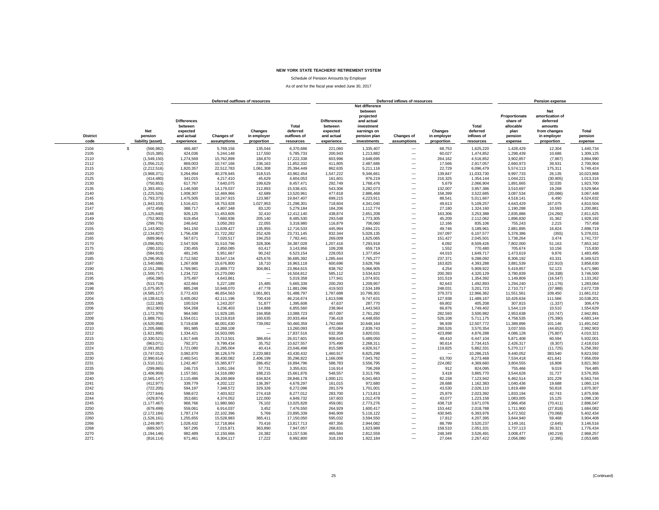Schedule of Pension Amounts by Employer

|                         |                                            | Deferred outflows of resources                                        |                                  |                                      |                                               | Deferred inflows of resources                                         | <b>Pension expense</b>                                                                                           |                                                      |                                             |                                                     |                                                                      |                                                                                                   |                                    |
|-------------------------|--------------------------------------------|-----------------------------------------------------------------------|----------------------------------|--------------------------------------|-----------------------------------------------|-----------------------------------------------------------------------|------------------------------------------------------------------------------------------------------------------|------------------------------------------------------|---------------------------------------------|-----------------------------------------------------|----------------------------------------------------------------------|---------------------------------------------------------------------------------------------------|------------------------------------|
| <b>District</b><br>code | <b>Net</b><br>pension<br>liability (asset) | <b>Differences</b><br>between<br>expected<br>and actual<br>experience | <b>Changes of</b><br>assumptions | Changes<br>in employer<br>proportion | Total<br>deferred<br>outflows of<br>resources | <b>Differences</b><br>between<br>expected<br>and actual<br>experience | Net difference<br>between<br>projected<br>and actual<br>investment<br>earnings on<br>pension plan<br>investments | <b>Changes of</b><br>assumptions                     | <b>Changes</b><br>in employer<br>proportion | <b>Total</b><br>deferred<br>inflows of<br>resources | Proportionate<br>share of<br>allocable<br>plan<br>pension<br>expense | <b>Net</b><br>amortization of<br>deferred<br>amounts<br>from changes<br>in employer<br>proportion | <b>Total</b><br>pension<br>expense |
| 2104                    | S.<br>(566, 982)                           | 466,487                                                               | 5,769,156                        | 135,044                              | 6,370,686                                     | 221,060                                                               | 1,335,407                                                                                                        | —                                                    | 68,753                                      | 1,625,220                                           | 1,428,429                                                            | 12,304                                                                                            | 1,440,734                          |
| 2105                    | (515, 385)                                 | 424,036                                                               | 5,244,148                        | 117,550                              | 5,785,733                                     | 200,943                                                               | 1,213,882                                                                                                        | $\qquad \qquad -$                                    | 60,027                                      | 1,474,852                                           | 1,298,439                                                            | 10,686                                                                                            | 1,309,125                          |
| 2110                    | (1,549,150)                                | 1.274.569                                                             | 15,762,899                       | 184.870                              | 17,222,338                                    | 603,996                                                               | 3,648,695                                                                                                        | $\overline{\phantom{0}}$                             | 264,162                                     | 4,516,852                                           | 3,902,857                                                            | (7, 867)                                                                                          | 3,894,990                          |
| 2112                    | (1,056,212)                                | 869,003                                                               | 10,747,166                       | 236,163                              | 11,852,332                                    | 411,805                                                               | 2,487,686                                                                                                        | $\overline{\phantom{0}}$                             | 17,566                                      | 2,917,057                                           | 2,660,973                                                            | 39,931                                                                                            | 2,700,904                          |
| 2115                    | (2,212,516)                                | 1,820,357                                                             | 22,512,783                       | 1,061,308                            | 25,394,449                                    | 862,635                                                               | 5,211,116                                                                                                        | $\overline{\phantom{a}}$                             | 22,729                                      | 6,096,479                                           | 5,574,113                                                            | 175,311                                                                                           | 5,749,424                          |
| 2120                    | (3,968,371)                                | 3,264,994                                                             | 40,378,945                       | 318,515                              | 43,962,454                                    | 1,547,222                                                             | 9,346,661                                                                                                        | $\overline{\phantom{0}}$                             | 139,847                                     | 11,033,730                                          | 9,997,733                                                            | 26,135                                                                                            | 10,023,868                         |
| 2125                    | (414, 480)                                 | 341,015                                                               | 4,217,410                        | 45,629                               | 4,604,053                                     | 161,601                                                               | 976,219                                                                                                          | $\overline{\phantom{a}}$                             | 216,325                                     | 1,354,144                                           | 1,044,221                                                            | (30, 905)                                                                                         | 1,013,316                          |
| 2130                    | (750, 853)                                 | 617,767                                                               | 7,640,075                        | 199,629                              | 8,457,471                                     | 292,749                                                               | 1,768,476                                                                                                        | $\overline{\phantom{0}}$                             | 5,679                                       | 2,066,904                                           | 1,891,665                                                            | 32,035                                                                                            | 1,923,700                          |
| 2135                    | (1,393,491)                                | 1,146,500                                                             | 14,179,037                       | 212,893                              | 15,538,431                                    | 543,306                                                               | 3,282,073                                                                                                        | $\overline{\phantom{a}}$                             | 132,007                                     | 3,957,386                                           | 3,510,697                                                            | 19,268                                                                                            | 3,529,964                          |
| 2140                    | (1,225,526)                                | 1,008,307                                                             | 12,469,966                       | 42,689                               | 13,520,961                                    | 477,818                                                               | 2,886,468                                                                                                        | $\overline{\phantom{0}}$<br>$\overline{\phantom{0}}$ | 158,399                                     | 3,522,685                                           | 3,087,534                                                            | (20, 086)                                                                                         | 3,067,448                          |
| 2145<br>2146            | (1,793,373)<br>(1,843,103)                 | 1,475,505<br>1,516,421                                                | 18,247,915<br>18,753,928         | 123,987<br>1,027,953                 | 19,847,407<br>21,298,301                      | 699,215<br>718,604                                                    | 4,223,911<br>4,341,040                                                                                           | $\overline{\phantom{0}}$                             | 88,541<br>49,613                            | 5,011,667<br>5,109,257                              | 4,518,141<br>4,643,429                                               | 6,490<br>167,075                                                                                  | 4,524,632<br>4,810,504             |
| 2147                    | (472, 458)                                 | 388,717                                                               | 4,807,348                        | 83,120                               | 5,279,184                                     | 184,206                                                               | 1,112,774                                                                                                        | $\overline{\phantom{0}}$                             | 27,180                                      | 1,324,160                                           | 1,190,288                                                            | 10,593                                                                                            | 1,200,881                          |
| 2148                    | (1, 125, 640)                              | 926,125                                                               | 11,453,605                       | 32,410                               | 12,412,140                                    | 438,874                                                               | 2,651,208                                                                                                        | $\overline{\phantom{a}}$                             | 163,306                                     | 3,253,388                                           | 2,835,886                                                            | (24, 260)                                                                                         | 2,811,625                          |
| 2149                    | (752, 903)                                 | 619,454                                                               | 7,660,936                        | 205,140                              | 8,485,530                                     | 293,548                                                               | 1,773,305                                                                                                        | $\overline{\phantom{0}}$                             | 45,209                                      | 2,112,062                                           | 1,896,830                                                            | 31,362                                                                                            | 1,928,192                          |
| 2150                    | (299, 776)                                 | 246,642                                                               | 3,050,283                        | 22,055                               | 3,318,980                                     | 116,879                                                               | 706,060                                                                                                          | $\overline{\phantom{0}}$                             | 12,166                                      | 835,106                                             | 755,243                                                              | 2,215                                                                                             | 757,458                            |
| 2155                    | (1, 143, 902)                              | 941,150                                                               | 11,639,427                       | 135,955                              | 12,716,533                                    | 445,994                                                               | 2,694,221                                                                                                        | $\overline{\phantom{0}}$                             | 49,746                                      | 3,189,961                                           | 2,881,895                                                            | 16,824                                                                                            | 2,898,719                          |
| 2160                    | (2, 134, 827)                              | 1,756,438                                                             | 21,722,282                       | 252,426                              | 23,731,145                                    | 832,344                                                               | 5,028,135                                                                                                        | $\overline{\phantom{0}}$                             | 247,097                                     | 6,107,577                                           | 5,378,386                                                            | (355)                                                                                             | 5,378,031                          |
| 2165                    | (689, 964)                                 | 567,671                                                               | 7,020,517                        | 194,253                              | 7,782,441                                     | 269,009                                                               | 1,625,065                                                                                                        | $\overline{\phantom{0}}$                             | 151,427                                     | 2,045,501                                           | 1,738,264                                                            | 3,474                                                                                             | 1,741,737                          |
| 2170                    | (3,096,825)                                | 2,547,926                                                             | 31,510,796                       | 328,306                              | 34,387,028                                    | 1,207,416                                                             | 7,293,918                                                                                                        | $\overline{\phantom{0}}$                             | 8,092                                       | 8,509,426                                           | 7,802,000                                                            | 51,163                                                                                            | 7,853,162                          |
| 2175                    | (280, 101)                                 | 230,455                                                               | 2,850,085                        | 63,417                               | 3,143,956                                     | 109,208                                                               | 659,719                                                                                                          | $\overline{\phantom{0}}$                             | 1,552                                       | 770,480                                             | 705,674                                                              | 10,156                                                                                            | 715,830                            |
| 2180                    | (584, 919)                                 | 481,245                                                               | 5,951,667                        | 90,242                               | 6,523,154                                     | 228,053                                                               | 1,377,654                                                                                                        | $\overline{\phantom{0}}$                             | 44,010                                      | 1,649,717                                           | 1,473,619                                                            | 9,876                                                                                             | 1,483,495                          |
| 2185                    | (3,296,953)                                | 2,712,582                                                             | 33,547,134                       | 425,676                              | 36,685,392                                    | 1,285,444                                                             | 7,765,277                                                                                                        | $\overline{\phantom{0}}$                             | 237,371                                     | 9,288,092                                           | 8,306,192                                                            | 43,331                                                                                            | 8,349,523                          |
| 2187                    | (1,540,688)                                | 1,267,608                                                             | 15,676,800                       | 18,710                               | 16,963,118                                    | 600,696                                                               | 3,628,766                                                                                                        | $\overline{\phantom{0}}$                             | 163,825                                     | 4,393,288                                           | 3,881,539                                                            | (22, 910)                                                                                         | 3,858,630                          |
| 2190                    | (2, 151, 288)                              | 1,769,981<br>1.234.722                                                | 21,889,772<br>15.270.090         | 304,861                              | 23,964,615<br>16.504.812                      | 838,762<br>585.112                                                    | 5,066,905                                                                                                        | $\overline{\phantom{0}}$<br>$\overline{\phantom{0}}$ | 4,254                                       | 5,909,922<br>4.320.129                              | 5,419,857                                                            | 52,123                                                                                            | 5,471,980                          |
| 2191<br>2195            | (1,500,717)<br>(456, 390)                  | 375,497                                                               | 4,643,861                        | $\overline{\phantom{a}}$             | 5,019,358                                     | 177,941                                                               | 3,534,623<br>1,074,931                                                                                           | $\overline{\phantom{0}}$                             | 200,393<br>101,519                          | 1,354,392                                           | 3,780,839<br>1,149,809                                               | (34, 338)<br>(16, 547)                                                                            | 3,746,500<br>1,133,262             |
| 2196                    | (513, 719)                                 | 422,664                                                               | 5,227,189                        | 15,485                               | 5,665,339                                     | 200,293                                                               | 1,209,957                                                                                                        | $\overline{\phantom{0}}$                             | 82,643                                      | 1,492,893                                           | 1,294,240                                                            | (11, 176)                                                                                         | 1,283,064                          |
| 2198                    | (1,075,957)                                | 885,248                                                               | 10,948,070                       | 47,778                               | 11,881,096                                    | 419,503                                                               | 2,534,189                                                                                                        | $\overline{\phantom{0}}$                             | 248,031                                     | 3,201,723                                           | 2,710,717                                                            | (37, 988)                                                                                         | 2,672,728                          |
| 2200                    | (4, 585, 127)                              | 3,772,433                                                             | 46,654,563                       | 1,061,801                            | 51,488,797                                    | 1,787,688                                                             | 10,799,301                                                                                                       | $\overline{\phantom{0}}$                             | 379,373                                     | 12,966,362                                          | 11,551,561                                                           | 109,450                                                                                           | 11,661,012                         |
| 2204                    | (4, 138, 613)                              | 3,405,062                                                             | 42,111,196                       | 700,416                              | 46,216,674                                    | 1,613,598                                                             | 9,747,631                                                                                                        | $\overline{\phantom{0}}$                             | 127,938                                     | 11,489,167                                          | 10,426,634                                                           | 111,566                                                                                           | 10,538,201                         |
| 2205                    | (122, 180)                                 | 100,524                                                               | 1,243,207                        | 51,877                               | 1,395,608                                     | 47,637                                                                | 287,770                                                                                                          | $\overline{\phantom{0}}$                             | 69,802                                      | 405,208                                             | 307,815                                                              | (1, 337)                                                                                          | 306,479                            |
| 2206                    | (612,903)                                  | 504,268                                                               | 6,236,403                        | 114,888                              | 6,855,560                                     | 238,964                                                               | 1,443,563                                                                                                        | $\overline{\phantom{0}}$                             | 66,876                                      | 1,749,402                                           | 1,544,119                                                            | 10,510                                                                                            | 1,554,629                          |
| 2207                    | (1, 172, 379)                              | 964,580                                                               | 11,929,185                       | 194,958                              | 13,088,723                                    | 457,097                                                               | 2,761,292                                                                                                        |                                                      | 282,593                                     | 3,500,982                                           | 2,953,638                                                            | (10, 747)                                                                                         | 2,942,891                          |
| 2208                    | (1,888,791)                                | 1,554,011                                                             | 19,218,818                       | 160,635                              | 20,933,464                                    | 736,418                                                               | 4,448,650                                                                                                        | $\overline{\phantom{a}}$                             | 526,108                                     | 5,711,175                                           | 4,758,535                                                            | (75, 390)                                                                                         | 4,683,144                          |
| 2209                    | (4,520,958)                                | 3,719,638                                                             | 46,001,630                       | 739,092                              | 50,460,359                                    | 1,762,669                                                             | 10,648,164                                                                                                       | $\overline{\phantom{0}}$                             | 96,939                                      | 12,507,772                                          | 11,389,896                                                           | 101,146                                                                                           | 11,491,042                         |
| 2210                    | (1,205,688)                                | 991,985                                                               | 12,268,108                       | $\sim$                               | 13,260,093                                    | 470,084                                                               | 2,839,743                                                                                                        | $\overline{\phantom{a}}$                             | 260,526                                     | 3,570,354                                           | 3,037,555                                                            | (44, 652)                                                                                         | 2,992,903                          |
| 2212                    | (1,621,895)                                | 1,334,421                                                             | 16,503,095                       | $\overline{\phantom{a}}$             | 17,837,516                                    | 632,358                                                               | 3,820,031                                                                                                        | $\overline{\phantom{0}}$                             | 423,898                                     | 4,876,288                                           | 4,086,128                                                            | (75, 807)                                                                                         | 4,010,321                          |
| 2215                    | (2,330,521)                                | 1,917,446                                                             | 23,713,501                       | 386,654                              | 26,017,601                                    | 908,643                                                               | 5,489,050                                                                                                        | $\overline{\phantom{0}}$                             | 49,410                                      | 6,447,104                                           | 5,871,408                                                            | 60,594                                                                                            | 5,932,001                          |
| 2220<br>2224            | (963,071)                                  | 792,371                                                               | 9,799,434<br>21,285,004          | 35,752                               | 10,627,557<br>23,046,498                      | 375,490                                                               | 2,268,311<br>4,926,917                                                                                           | $\overline{\phantom{0}}$<br>$\overline{\phantom{0}}$ | 90,614                                      | 2,734,415                                           | 2,426,317<br>5,270,117                                               | (8, 307)                                                                                          | 2,418,010<br>5,258,392             |
| 2225                    | (2,091,852)<br>(3,747,012)                 | 1,721,080<br>3,082,870                                                | 38,126,579                       | 40,414<br>2,220,983                  | 43,430,432                                    | 815,589<br>1,460,917                                                  | 8,825,298                                                                                                        | $\overline{\phantom{0}}$                             | 119,825<br>$\frac{1}{2}$                    | 5,862,331<br>10,286,215                             | 9,440,052                                                            | (11, 725)<br>383,540                                                                              | 9,823,592                          |
| 2230                    | (2,990,614)                                | 2,460,541                                                             | 30,430,082                       | 2,406,199                            | 35,296,822                                    | 1,166,006                                                             | 7,043,762                                                                                                        | $\overline{\phantom{0}}$                             | 63,700                                      | 8,273,468                                           | 7,534,418                                                            | 421,641                                                                                           | 7,956,059                          |
| 2231                    | (1,510,131)                                | 1,242,467                                                             | 15,365,877                       | 286,452                              | 16,894,796                                    | 588,783                                                               | 3,556,795                                                                                                        | $\overline{\phantom{0}}$                             | 224,082                                     | 4,369,660                                           | 3,804,555                                                            | 16,808                                                                                            | 3,821,363                          |
| 2235                    | (299, 865)                                 | 246,715                                                               | 3,051,184                        | 57,731                               | 3,355,631                                     | 116,914                                                               | 706,269                                                                                                          | $\overline{\phantom{a}}$                             | 912                                         | 824,095                                             | 755,466                                                              | 9,019                                                                                             | 764,485                            |
| 2239                    | (1,406,959)                                | 1,157,581                                                             | 14,316,080                       | 188,215                              | 15,661,876                                    | 548,557                                                               | 3,313,795                                                                                                        | $\overline{\phantom{0}}$                             | 3,418                                       | 3,865,770                                           | 3,544,628                                                            | 31,727                                                                                            | 3,576,355                          |
| 2240                    | (2,565,147)                                | 2.110.486                                                             | 26,100,869                       | 634,824                              | 28,846,178                                    | 1,000,121                                                             | 6,041,663                                                                                                        | $\overline{\phantom{0}}$                             | 82,158                                      | 7,123,942                                           | 6,462,514                                                            | 101,229                                                                                           | 6,563,744                          |
| 2241                    | (412, 977)                                 | 339,779                                                               | 4,202,122                        | 136,397                              | 4,678,297                                     | 161,015                                                               | 972,680                                                                                                          | $\overline{\phantom{0}}$                             | 28,688                                      | 1,162,383                                           | 1,040,436                                                            | 19,688                                                                                            | 1,060,124                          |
| 2242                    | (722, 205)                                 | 594.197                                                               | 7,348,572                        | 329.326                              | 8.272.096                                     | 281,579                                                               | 1,701,001                                                                                                        | $\overline{\phantom{0}}$                             | 43.530                                      | 2.026.110                                           | 1,819,489                                                            | 50,818                                                                                            | 1,870,307                          |
| 2243                    | (727, 644)                                 | 598,672                                                               | 7,403,922                        | 274,418                              | 8,277,012                                     | 283,700                                                               | 1,713,813                                                                                                        | $\overline{\phantom{0}}$                             | 25,879                                      | 2,023,392                                           | 1,833,194                                                            | 42,743                                                                                            | 1,875,936                          |
| 2244                    | (429.874)                                  | 353,681                                                               | 4,374,052                        | 122,000                              | 4,849,732                                     | 167,603                                                               | 1,012,478                                                                                                        | $\overline{\phantom{0}}$                             | 43,077                                      | 1,223,158                                           | 1,083,005                                                            | 15,125                                                                                            | 1,098,130                          |
| 2245                    | (1, 177, 467)                              | 968,766                                                               | 11,980,960                       | 76,102                               | 13,025,828                                    | 459,081                                                               | 2,773,276                                                                                                        | $\overline{\phantom{0}}$                             | 438,718                                     | 3,671,076                                           | 2,966,458                                                            | (70, 411)                                                                                         | 2,896,047                          |
| 2250                    | (679, 499)                                 | 559,061                                                               | 6,914,037                        | 3,452                                | 7,476,550                                     | 264,929                                                               | 1,600,417                                                                                                        | $\overline{\phantom{0}}$                             | 153,442                                     | 2,018,788                                           | 1,711,900                                                            | (27, 818)                                                                                         | 1,684,082                          |
| 2255                    | (2, 172, 184)                              | 1,787,174                                                             | 22,102,396                       | 5,769                                | 23,895,339                                    | 846,909                                                               | 5,116,122                                                                                                        | $\overline{\phantom{0}}$                             | 430,945                                     | 6,393,976                                           | 5,472,502                                                            | (70,068)                                                                                          | 5,402,434                          |
| 2260                    | (1,526,161)                                | 1,255,655                                                             | 15,528,983                       | 365,411                              | 17,150,050                                    | 595,032                                                               | 3,594,550                                                                                                        | $\overline{\phantom{0}}$                             | 17,812                                      | 4,207,395                                           | 3,844,940                                                            | 59,468                                                                                            | 3,904,408                          |
| 2266<br>2268            | (1,249,987)                                | 1,028,432<br>567,295                                                  | 12,718,864<br>7,015,871          | 70,416<br>363,890                    | 13,817,713<br>7,947,057                       | 487,356<br>268,831                                                    | 2,944,082<br>1,623,989                                                                                           | $\overline{\phantom{0}}$<br>$\overline{\phantom{0}}$ | 88,799<br>158,510                           | 3,520,237                                           | 3,149,161                                                            | (2,645)<br>39,321                                                                                 | 3,146,516                          |
| 2270                    | (689, 507)<br>(1, 194, 146)                | 982,489                                                               | 12,150,666                       | 24,382                               | 13,157,536                                    | 465,584                                                               | 2,812,559                                                                                                        | $\overline{\phantom{a}}$                             | 248,349                                     | 2,051,331<br>3,526,491                              | 1,737,113<br>3,008,477                                               | (40, 219)                                                                                         | 1,776,434<br>2,968,257             |
| 2271                    | (816, 114)                                 | 671,461                                                               | 8,304,117                        | 17,222                               | 8,992,800                                     | 318,193                                                               | 1,922,184                                                                                                        |                                                      | 27,044                                      | 2,267,422                                           | 2,056,080                                                            | (2, 395)                                                                                          | 2,053,685                          |
|                         |                                            |                                                                       |                                  |                                      |                                               |                                                                       |                                                                                                                  |                                                      |                                             |                                                     |                                                                      |                                                                                                   |                                    |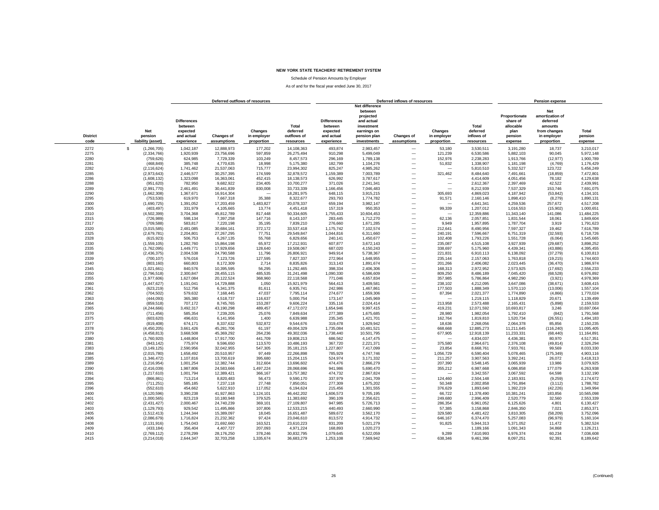Schedule of Pension Amounts by Employer

|                         |                                            |                                                                       | Deferred outflows of resources   |                                      |                                               |                                                                       |                                                                                                                  | Deferred inflows of resources        |                                      |                                              |                                                                      | Pension expense                                                                                   |                             |
|-------------------------|--------------------------------------------|-----------------------------------------------------------------------|----------------------------------|--------------------------------------|-----------------------------------------------|-----------------------------------------------------------------------|------------------------------------------------------------------------------------------------------------------|--------------------------------------|--------------------------------------|----------------------------------------------|----------------------------------------------------------------------|---------------------------------------------------------------------------------------------------|-----------------------------|
| <b>District</b><br>code | <b>Net</b><br>pension<br>liability (asset) | <b>Differences</b><br>between<br>expected<br>and actual<br>experience | <b>Changes of</b><br>assumptions | Changes<br>in employer<br>proportion | Total<br>deferred<br>outflows of<br>resources | <b>Differences</b><br>between<br>expected<br>and actual<br>experience | Net difference<br>between<br>projected<br>and actual<br>investment<br>earnings on<br>pension plan<br>investments | <b>Changes of</b><br>assumptions     | Changes<br>in employer<br>proportion | Total<br>deferred<br>inflows of<br>resources | Proportionate<br>share of<br>allocable<br>plan<br>pension<br>expense | <b>Net</b><br>amortization of<br>deferred<br>amounts<br>from changes<br>in employer<br>proportion | Total<br>pension<br>expense |
| 2272                    | \$<br>(1,266,705)                          | 1,042,187                                                             | 12,888,973                       | 177,202                              | 14,108,363                                    | 493,874                                                               | 2,983,457                                                                                                        | $\qquad \qquad -$                    | 53,180                               | 3,530,511                                    | 3,191,280                                                            | 18,737                                                                                            | 3,210,017                   |
| 2275                    | (2,334,766)                                | 1,920,939                                                             | 23,756,696                       | 597,859                              | 26,275,494                                    | 910,298                                                               | 5,499,049                                                                                                        | $\overline{\phantom{m}}$             | 121,239                              | 6,530,586                                    | 5,882,103                                                            | 90,045                                                                                            | 5,972,148                   |
| 2280                    | (759, 626)                                 | 624.985                                                               | 7,729,339                        | 103,249                              | 8,457,573                                     | 296.169                                                               | 1,789,138                                                                                                        | $\equiv$                             | 152,976                              | 2.238.283                                    | 1,913,766                                                            | (12, 977)                                                                                         | 1,900,789                   |
| 2281                    | (468, 849)                                 | 385,748                                                               | 4,770,635                        | 18,998                               | 5,175,380                                     | 182,799                                                               | 1,104,276                                                                                                        | $\equiv$                             | 51,832                               | 1,338,907                                    | 1,181,198                                                            | (4,769)                                                                                           | 1,176,429                   |
| 2282                    | (2, 116, 624)                              | 1,741,462                                                             | 21,537,063                       | 715,777                              | 23,994,302                                    | 825,247                                                               | 4,985,262                                                                                                        | $\sim$                               |                                      | 5,810,510                                    | 5,332,527                                                            | 123,722                                                                                           | 5,456,249                   |
| 2285                    | (2,973,643)                                | 2,446,577                                                             | 30,257,395                       | 174,599                              | 32,878,572                                    | 1,159,389                                                             | 7,003,789                                                                                                        | $\overline{\phantom{0}}$             | 321,462                              | 8,484,640                                    | 7,491,661                                                            | (18, 859)                                                                                         | 7,472,801                   |
| 2286                    | (1,608,132)                                | 1,323,098                                                             | 16,363,061                       | 452,415                              | 18,138,573                                    | 626,992                                                               | 3,787,617                                                                                                        | $\equiv$                             | $\overline{\phantom{m}}$             | 4,414,609                                    | 4,051,456                                                            | 78,182                                                                                            | 4,129,638                   |
| 2288                    | (951, 620)                                 | 782,950                                                               | 9,682,922                        | 234,405                              | 10,700,277                                    | 371,026                                                               | 2,241,341                                                                                                        | —                                    | $\frac{1}{2}$                        | 2,612,367                                    | 2,397,469                                                            | 42,522                                                                                            | 2,439,991                   |
| 2289                    | (2,991,770)                                | 2,461,491                                                             | 30,441,839                       | 830,008                              | 33,733,339                                    | 1,166,456                                                             | 7,046,483                                                                                                        | $\overline{\phantom{0}}$             | $\sim$                               | 8,212,939                                    | 7,537,329                                                            | 153,746                                                                                           | 7,691,075                   |
| 2290                    | (1,662,308)                                | 1,367,671                                                             | 16,914,304                       | $\overline{\phantom{a}}$             | 18,281,975                                    | 648,115                                                               | 3,915,215                                                                                                        | <u>.</u>                             | 305,693                              | 4,869,023                                    | 4,187,942                                                            | (53, 842)                                                                                         | 4,134,101                   |
| 2295                    | (753, 530)                                 | 619,970                                                               | 7,667,318                        | 35,388                               | 8,322,677                                     | 293,793                                                               | 1,774,782                                                                                                        | $\overline{\phantom{0}}$             | 91,571                               | 2,160,146                                    | 1,898,410                                                            | (8,279)                                                                                           | 1,890,131                   |
| 2300                    | (1,690,725)                                | 1,391,052                                                             | 17,203,459                       | 1,483,827                            | 20,078,337                                    | 659,194                                                               | 3,982,147                                                                                                        | $\equiv$                             |                                      | 4,641,341                                    | 4,259,536                                                            | 257,672                                                                                           | 4,517,208                   |
| 2305                    | (403, 497)                                 | 331,979                                                               | 4,105,665                        | 13,774                               | 4,451,418                                     | 157,319                                                               | 950,353                                                                                                          | $\overline{\phantom{0}}$             | 99,339                               | 1,207,012                                    | 1,016,553                                                            | (15,902)                                                                                          | 1,000,651                   |
| 2310                    | (4,502,399)                                | 3,704,368                                                             | 45,812,789                       | 817,448                              | 50,334,605                                    | 1,755,433                                                             | 10,604,453                                                                                                       | $\overline{\phantom{0}}$             |                                      | 12,359,886                                   | 11,343,140                                                           | 141,086                                                                                           | 11,484,225                  |
| 2315                    | (726, 989)                                 | 598,134                                                               | 7,397,258                        | 147,716                              | 8,143,107                                     | 283,445                                                               | 1,712,270                                                                                                        | $\overline{\phantom{a}}$             | 62,136                               | 2,057,851                                    | 1,831,544                                                            | 18,061                                                                                            | 1,849,604                   |
| 2317<br>2320            | (709, 588)<br>(3,015,585)                  | 583,817<br>2,481,085                                                  | 7,220,198<br>30,684,161          | 35,195<br>372,172                    | 7,839,210<br>33,537,418                       | 276,660<br>1,175,742                                                  | 1,671,285<br>7,102,574                                                                                           | $\overline{\phantom{0}}$<br>$\equiv$ | 9,949<br>212,641                     | 1,957,895<br>8,490,956                       | 1,787,704<br>7,597,327                                               | 3,919<br>19,462                                                                                   | 1,791,623<br>7,616,789      |
| 2325                    | (2,679,781)                                | 2,204,801                                                             | 27,267,295                       | 77,751                               | 29,549,847                                    | 1,044,816                                                             | 6,311,660                                                                                                        | $\overline{\phantom{a}}$             | 240,191                              | 7,596,667                                    | 6,751,319                                                            | (32, 593)                                                                                         | 6,718,726                   |
| 2328                    | (615, 923)                                 | 506,753                                                               | 6,267,135                        | 55,768                               | 6,829,656                                     | 240,141                                                               | 1,450,677                                                                                                        | $\equiv$                             | 102,408                              | 1,793,226                                    | 1,551,728                                                            | (6,064)                                                                                           | 1,545,665                   |
| 2330                    | (1,559,105)                                | 1,282,760                                                             | 15,864,198                       | 65,972                               | 17,212,931                                    | 607,877                                                               | 3,672,143                                                                                                        | $\overline{\phantom{0}}$             | 235,087                              | 4,515,108                                    | 3,927,939                                                            | (29, 687)                                                                                         | 3,898,252                   |
| 2335                    | (1,762,095)                                | 1,449,771                                                             | 17,929,656                       | 128,640                              | 19,508,067                                    | 687,020                                                               | 4,150,243                                                                                                        | $\overline{\phantom{0}}$             | 338,697                              | 5,175,960                                    | 4,439,341                                                            | (43, 886)                                                                                         | 4,395,455                   |
| 2338                    | (2, 436, 375)                              | 2,004,538                                                             | 24,790,588                       | 11,796                               | 26,806,921                                    | 949,914                                                               | 5,738,367                                                                                                        | $\equiv$                             | 221,831                              | 6,910,113                                    | 6,138,092                                                            | (37, 279)                                                                                         | 6,100,813                   |
| 2339                    | (700, 107)                                 | 576,016                                                               | 7,123,726                        | 127,595                              | 7,827,337                                     | 272,964                                                               | 1,648,955                                                                                                        | $\overline{\phantom{0}}$             | 235,144                              | 2,157,063                                    | 1,763,818                                                            | (19, 215)                                                                                         | 1,744,603                   |
| 2340                    | (803, 160)                                 | 660,803                                                               | 8,172,309                        | 2,714                                | 8,835,826                                     | 313,143                                                               | 1,891,674                                                                                                        | $\equiv$                             | 201,266                              | 2,406,082                                    | 2,023,445                                                            | (36, 470)                                                                                         | 1,986,974                   |
| 2345                    | (1,021,661)                                | 840,576                                                               | 10,395,595                       | 56,295                               | 11,292,465                                    | 398,334                                                               | 2,406,306                                                                                                        | $\overline{\phantom{0}}$             | 168,313                              | 2,972,952                                    | 2,573,925                                                            | (17, 692)                                                                                         | 2,556,233                   |
| 2350                    | (2,796,518)                                | 2.300.847                                                             | 28.455.115                       | 485.535                              | 31,241,498                                    | 1,090,330                                                             | 6,586,609                                                                                                        | $\overline{\phantom{0}}$             | 809,250                              | 8.486.189                                    | 7,045,420                                                            | (68, 528)                                                                                         | 6,976,892                   |
| 2355                    | (1,977,606)                                | 1,627,084                                                             | 20,122,524                       | 368,960                              | 22,118,568                                    | 771,046                                                               | 4,657,834                                                                                                        | $\overline{\phantom{0}}$             | 357,985                              | 5,786,864                                    | 4,982,290                                                            | (3,921)                                                                                           | 4,978,369                   |
| 2360                    | (1,447,627)                                | 1,191,041                                                             | 14,729,888                       | 1,050                                | 15,921,979                                    | 564,413                                                               | 3,409,581                                                                                                        | <u>.</u>                             | 238,102                              | 4,212,095                                    | 3,647,086                                                            | (38, 671)                                                                                         | 3,608,415                   |
| 2361                    | (623, 219)                                 | 512,756                                                               | 6,341,375                        | 81,611                               | 6,935,741                                     | 242,986                                                               | 1,467,861                                                                                                        | $\overline{\phantom{0}}$             | 177,503                              | 1,888,349                                    | 1,570,110                                                            | (13,006)                                                                                          | 1,557,104                   |
| 2362                    | (704, 502)                                 | 579,632                                                               | 7,168,445                        | 47,037                               | 7,795,114                                     | 274,677                                                               | 1,659,306                                                                                                        | $\equiv$                             | 87,394                               | 2,021,377                                    | 1,774,890                                                            | (4,866)                                                                                           | 1,770,024                   |
| 2363<br>2364            | (444, 093)                                 | 365,380<br>707,172                                                    | 4,518,737                        | 116,637                              | 5,000,754                                     | 173,147                                                               | 1,045,969                                                                                                        | —<br>$\equiv$                        | 213,958                              | 1,219,115                                    | 1,118,829                                                            | 20,671                                                                                            | 1,139,499<br>2,159,533      |
| 2365                    | (859, 518)<br>(4,244,666)                  | 3,492,317                                                             | 8,745,765<br>43,190,298          | 153,287<br>489,457                   | 9,606,224<br>47,172,072                       | 335,116<br>1,654,946                                                  | 2,024,414<br>9,997,415                                                                                           | $\overline{\phantom{0}}$             | 419,231                              | 2,573,488<br>12,071,592                      | 2,165,431<br>10,693,817                                              | (5,898)<br>3,246                                                                                  | 10,697,064                  |
| 2370                    | (711, 456)                                 | 585,354                                                               | 7,239,205                        | 25,076                               | 7,849,634                                     | 277,389                                                               | 1,675,685                                                                                                        | $\overline{\phantom{0}}$             | 28,980                               | 1,982,054                                    | 1,792,410                                                            | (842)                                                                                             | 1,791,568                   |
| 2375                    | (603, 620)                                 | 496,631                                                               | 6,141,956                        | 1,400                                | 6,639,988                                     | 235,345                                                               | 1,421,701                                                                                                        | $\equiv$                             | 162,764                              | 1,819,810                                    | 1,520,734                                                            | (26, 551)                                                                                         | 1,494,183                   |
| 2377                    | (819, 408)                                 | 674,171                                                               | 8,337,632                        | 532,872                              | 9,544,676                                     | 319,478                                                               | 1,929,942                                                                                                        | $\overline{\phantom{a}}$             | 18,636                               | 2,268,056                                    | 2,064,378                                                            | 85,856                                                                                            | 2,150,235                   |
| 2378                    | (4,450,205)                                | 3,661,426                                                             | 45,281,706                       | 61,197                               | 49,004,329                                    | 1,735,084                                                             | 10,481,521                                                                                                       | $\equiv$                             | 668,668                              | 12,885,273                                   | 11,211,645                                                           | (116, 240)                                                                                        | 11,095,405                  |
| 2379                    | (4,458,813)                                | 3,668,508                                                             | 45,369,292                       | 264,236                              | 49,302,036                                    | 1,738,440                                                             | 10,501,795                                                                                                       | $\qquad \qquad -$                    | 677,905                              | 12,918,139                                   | 11,233,331                                                           | (68, 440)                                                                                         | 11,164,891                  |
| 2380                    | (1,760,920)                                | 1,448,804                                                             | 17,917,700                       | 441,709                              | 19,808,213                                    | 686,562                                                               | 4,147,475                                                                                                        | $\overline{\phantom{0}}$             | $\equiv$                             | 4,834,037                                    | 4,436,381                                                            | 80,970                                                                                            | 4,517,351                   |
| 2381                    | (943, 142)                                 | 775,974                                                               | 9,596,650                        | 113,570                              | 10,486,193                                    | 367,720                                                               | 2,221,371                                                                                                        | $\equiv$                             | 375,580                              | 2,964,671                                    | 2,376,108                                                            | (49, 814)                                                                                         | 2,326,294                   |
| 2383                    | (3, 149, 125)                              | 2,590,956                                                             | 32,042,955                       | 547,305                              | 35, 181, 215                                  | 1,227,807                                                             | 7,417,099                                                                                                        | $\overline{\phantom{0}}$             | 23,854                               | 8,668,761                                    | 7,933,761                                                            | 99,569                                                                                            | 8,033,330                   |
| 2384                    | (2,015,780)                                | 1,658,492                                                             | 20,510,957                       | 97,449                               | 22,266,898                                    | 785,929                                                               | 4,747,746                                                                                                        | $\equiv$                             | 1,056,729                            | 6,590,404                                    | 5,078,465                                                            | (175, 349)                                                                                        | 4,903,116                   |
| 2385                    | (1,346,472)                                | 1,107,816                                                             | 13,700,619                       | 395,680                              | 15,204,115                                    | 524,974                                                               | 3,171,332                                                                                                        | $\qquad \qquad \longleftarrow$       | 211,257                              | 3,907,563                                    | 3,392,241                                                            | 26,072                                                                                            | 3,418,313                   |
| 2389                    | (1, 216, 954)                              | 1,001,254                                                             | 12,382,744                       | 312,604                              | 13,696,602                                    | 474.476                                                               | 2,866,279                                                                                                        | $\overline{\phantom{0}}$             | 207,390                              | 3,548,145                                    | 3,065,939                                                            | 13,986                                                                                            | 3,079,925                   |
| 2390                    | (2,416,039)                                | 1,987,806                                                             | 24,583,666                       | 1,497,224                            | 28,068,696                                    | 941,986                                                               | 5,690,470                                                                                                        | $\overline{\phantom{0}}$             | 355,212                              | 6,987,668                                    | 6,086,858                                                            | 177,079                                                                                           | 6,263,938                   |
| 2391                    | (1,217,610)                                | 1,001,794                                                             | 12,389,421                       | 366,167                              | 13,757,382                                    | 474,732                                                               | 2,867,824                                                                                                        | $\overline{\phantom{a}}$             |                                      | 3,342,557                                    | 3,067,592                                                            | 64,598                                                                                            | 3,132,190                   |
| 2394<br>2395            | (866, 861)<br>(711, 251)                   | 713,214<br>585,185                                                    | 8,820,483<br>7,237,118           | 56.473<br>27,748                     | 9,590,170<br>7,850,051                        | 337,979                                                               | 2,041,709                                                                                                        | $\equiv$<br>$\overline{\phantom{0}}$ | 124,460<br>50,348                    | 2.504.148<br>2,002,858                       | 2,183,931                                                            | (9,259)<br>(3, 112)                                                                               | 2,174,672<br>1,788,782      |
| 2396                    | (552, 610)                                 | 454.662                                                               | 5.622.910                        | 117.052                              | 6.194.624                                     | 277,309<br>215,456                                                    | 1,675,202<br>1,301,555                                                                                           | $\overline{\phantom{0}}$             | 376,629                              | 1.893.640                                    | 1,791,894<br>1,392,219                                               | (42, 226)                                                                                         | 1,349,994                   |
| 2400                    | (4, 120, 596)                              | 3,390,238                                                             | 41,927,863                       | 1,124,101                            | 46,442,202                                    | 1,606,573                                                             | 9,705,195                                                                                                        | $\equiv$                             | 66,722                               | 11,378,490                                   | 10,381,241                                                           | 183,856                                                                                           | 10,565,098                  |
| 2401                    | (1,000,565)                                | 823,219                                                               | 10,180,948                       | 379,525                              | 11,383,692                                    | 390,109                                                               | 2,356,621                                                                                                        | $\overline{\phantom{0}}$             | 249,680                              | 2,996,409                                    | 2,520,779                                                            | 32,560                                                                                            | 2,553,339                   |
| 2402                    | (2,431,427)                                | 2,000,467                                                             | 24,740,239                       | 369,101                              | 27,109,807                                    | 947,985                                                               | 5,726,713                                                                                                        | $\overline{\phantom{0}}$             | 286,354                              | 6,961,052                                    | 6,125,626                                                            | 4,801                                                                                             | 6,130,427                   |
| 2403                    | (1, 129, 793)                              | 929,542                                                               | 11,495,866                       | 107,806                              | 12,533,215                                    | 440,493                                                               | 2,660,990                                                                                                        | $\overline{\phantom{0}}$             | 57,385                               | 3,158,868                                    | 2,846,350                                                            | 7,021                                                                                             | 2,853,371                   |
| 2405                    | (1,512,413)                                | 1,244,344                                                             | 15,389,097                       | 18,045                               | 16,651,487                                    | 589,672                                                               | 3,562,170                                                                                                        | —                                    | 329,580                              | 4,481,422                                    | 3,810,305                                                            | (58, 209)                                                                                         | 3,752,096                   |
| 2406                    | (2,086,679)                                | 1,716,824                                                             | 21,232,362                       | 97,424                               | 23,046,610                                    | 813,572                                                               | 4,914,732                                                                                                        | $\overline{\phantom{0}}$             | 646,167                              | 6,374,470                                    | 5,257,083                                                            | (96, 979)                                                                                         | 5,160,104                   |
| 2408                    | (2, 131, 916)                              | 1,754,043                                                             | 21,692,660                       | 163,521                              | 23,610,223                                    | 831,209                                                               | 5,021,279                                                                                                        | $\overline{\phantom{0}}$             | 91,825                               | 5,944,313                                    | 5,371,052                                                            | 11,472                                                                                            | 5,382,524                   |
| 2409                    | (433, 184)                                 | 356,404                                                               | 4,407,727                        | 207,093                              | 4,971,224                                     | 168,893                                                               | 1,020,273                                                                                                        | $\overline{\phantom{a}}$             |                                      | 1,189,166                                    | 1,091,343                                                            | 34,868                                                                                            | 1,126,211                   |
| 2410                    | (2,769,112)                                | 2,278,299                                                             | 28,176,250                       | 378,246                              | 30,832,795                                    | 1,079,645                                                             | 6,522,059                                                                                                        | $\equiv$                             | 9,289                                | 7,610,993                                    | 6,976,374                                                            | 60,234                                                                                            | 7,036,608                   |
| 2415                    | (3,214,018)                                | 2,644,347                                                             | 32,703,258                       | 1,335,674                            | 36,683,279                                    | 1,253,108                                                             | 7,569,942                                                                                                        |                                      | 638,346                              | 9,461,396                                    | 8,097,251                                                            | 92,391                                                                                            | 8,189,642                   |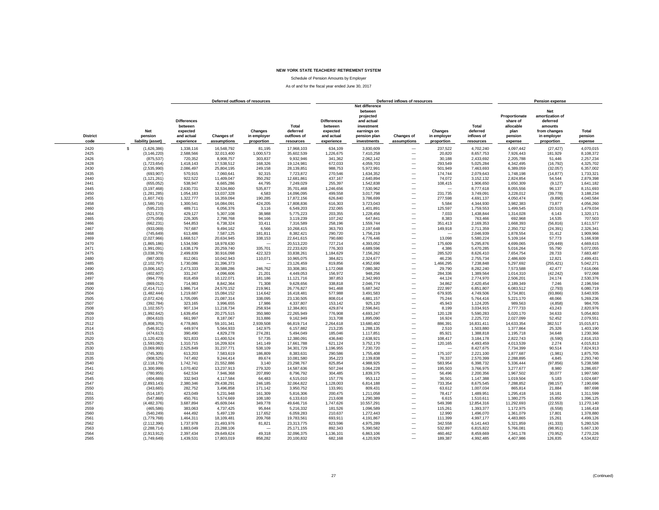Schedule of Pension Amounts by Employer

|                         |                                            |                                                                       | Deferred outflows of resources   |                                      |                                               |                                                                       |                                                                                                                  | Deferred inflows of resources                        |                                      |                                              |                                                                      | <b>Pension expense</b>                                                                            |                             |
|-------------------------|--------------------------------------------|-----------------------------------------------------------------------|----------------------------------|--------------------------------------|-----------------------------------------------|-----------------------------------------------------------------------|------------------------------------------------------------------------------------------------------------------|------------------------------------------------------|--------------------------------------|----------------------------------------------|----------------------------------------------------------------------|---------------------------------------------------------------------------------------------------|-----------------------------|
| <b>District</b><br>code | <b>Net</b><br>pension<br>liability (asset) | <b>Differences</b><br>between<br>expected<br>and actual<br>experience | <b>Changes of</b><br>assumptions | Changes<br>in employer<br>proportion | Total<br>deferred<br>outflows of<br>resources | <b>Differences</b><br>between<br>expected<br>and actual<br>experience | Net difference<br>between<br>projected<br>and actual<br>investment<br>earnings on<br>pension plan<br>investments | <b>Changes of</b><br>assumptions                     | Changes<br>in employer<br>proportion | Total<br>deferred<br>inflows of<br>resources | Proportionate<br>share of<br>allocable<br>plan<br>pension<br>expense | <b>Net</b><br>amortization of<br>deferred<br>amounts<br>from changes<br>in employer<br>proportion | Total<br>pension<br>expense |
|                         |                                            |                                                                       |                                  |                                      |                                               |                                                                       |                                                                                                                  |                                                      |                                      |                                              |                                                                      |                                                                                                   |                             |
| 2420                    | \$<br>(1,626,386)                          | 1,338,116                                                             | 16,548,792                       | 81,195                               | 17,968,103                                    | 634,109                                                               | 3,830,609                                                                                                        | —                                                    | 237,522                              | 4,702,240                                    | 4,097,442                                                            | (27, 427)<br>181,929                                                                              | 4,070,015                   |
| 2425<br>2426            | (3, 146, 220)<br>(875, 537)                | 2,588,566<br>720.352                                                  | 32,013,400<br>8,908,757          | 1,000,573<br>303.837                 | 35,602,539<br>9.932.946                       | 1,226,675<br>341,362                                                  | 7,410,258<br>2.062.142                                                                                           | $\equiv$<br>$\overline{\phantom{0}}$                 | 20,820<br>30,188                     | 8,657,753<br>2.433.692                       | 7,926,443<br>2,205,788                                               | 51,446                                                                                            | 8,108,372                   |
| 2428                    | (1,723,654)                                | 1,418,143                                                             | 17,538,512                       | 168,326                              | 19,124,981                                    | 672,033                                                               | 4,059,703                                                                                                        | $\overline{\phantom{0}}$                             | 293,549                              | 5,025,284                                    | 4,342,495                                                            | (16, 792)                                                                                         | 2,257,234<br>4,325,702      |
| 2430                    | (2,535,990)                                | 2,086,497                                                             | 25,804,195                       | 249,158                              | 28,139,851                                    | 988,753                                                               | 5,972,991                                                                                                        | $\overline{\phantom{a}}$                             | 501,949                              | 7,463,693                                    | 6,389,059                                                            | (32,057)                                                                                          | 6,357,002                   |
| 2435                    | (693, 907)                                 | 570,915                                                               | 7,060,641                        | 92,315                               | 7,723,872                                     | 270,546                                                               | 1,634,352                                                                                                        | $\overline{\phantom{0}}$                             | 174,744                              | 2,079,643                                    | 1,748,198                                                            | (14, 877)                                                                                         | 1,733,321                   |
| 2440                    | (1, 121, 261)                              | 922,522                                                               | 11,409,047                       | 350,292                              | 12,681,861                                    | 437,167                                                               | 2,640,894                                                                                                        | $\overline{\phantom{0}}$                             | 74,072                               | 3,152,132                                    | 2,824,854                                                            | 54,544                                                                                            | 2,879,398                   |
| 2441                    | (655, 052)                                 | 538,947                                                               | 6,665,286                        | 44,795                               | 7,249,029                                     | 255,397                                                               | 1,542,838                                                                                                        | $\overline{\phantom{a}}$                             | 108,415                              | 1,906,650                                    | 1,650,309                                                            | (9, 127)                                                                                          | 1,641,182                   |
| 2445                    | (3, 197, 468)                              | 2,630,731                                                             | 32,534,860                       | 535,877                              | 35,701,468                                    | 1,246,656                                                             | 7,530,962                                                                                                        | $\overline{\phantom{0}}$                             | $\sim$                               | 8,777,618                                    | 8,055,556                                                            | 96,137                                                                                            | 8,151,693                   |
| 2450                    | (1,281,285)                                | 1,054,183                                                             | 13,037,328                       | 4,583                                | 14,096,095                                    | 499,558                                                               | 3,017,798                                                                                                        | $\overline{\phantom{0}}$                             | 231,735                              | 3,749,091                                    | 3,228,012                                                            | (39, 778)                                                                                         | 3,188,234                   |
| 2455                    | (1,607,743)                                | 1,322,777                                                             | 16,359,094                       | 190,285                              | 17,872,156                                    | 626,840                                                               | 3,786,699                                                                                                        | $\overline{\phantom{0}}$                             | 277,598                              | 4,691,137                                    | 4,050,474                                                            | (9,890)                                                                                           | 4,040,584                   |
| 2458                    | (1,580,716)                                | 1,300,541                                                             | 16,084,091                       | 424,205                              | 17,808,836                                    | 616,303                                                               | 3,723,043                                                                                                        | $\equiv$                                             | 5,584                                | 4,344,930                                    | 3,982,383                                                            | 73,877                                                                                            | 4,056,260                   |
| 2460                    | (595, 210)                                 | 489,711                                                               | 6,056,376                        | 3,116                                | 6,549,203                                     | 232,065                                                               | 1,401,891                                                                                                        | $\overline{\phantom{0}}$                             | 125,597                              | 1,759,553                                    | 1,499,545                                                            | (20, 510)                                                                                         | 1,479,034                   |
| 2464                    | (521, 573)                                 | 429,127                                                               | 5,307,108                        | 38.988                               | 5,775,223                                     | 203,355                                                               | 1,228,456                                                                                                        | $\overline{\phantom{a}}$                             | 7,033                                | 1,438,844                                    | 1,314,028                                                            | 6,143                                                                                             | 1,320,171                   |
| 2465                    | (275, 058)                                 | 226,305                                                               | 2,798,768                        | 94,166                               | 3,119,239                                     | 107,242                                                               | 647,841                                                                                                          | $\overline{\phantom{0}}$                             | 8,383                                | 763,466                                      | 692,968                                                              | 14,535                                                                                            | 707,503                     |
| 2466                    | (662, 231)                                 | 544,853                                                               | 6,738,324                        | 33,411                               | 7,316,589                                     | 258,196                                                               | 1,559,744                                                                                                        | $\overline{\phantom{a}}$                             | 351,413                              | 2,169,353                                    | 1,668,393                                                            | (56, 816)                                                                                         | 1,611,577                   |
| 2467                    | (933,069)                                  | 767,687                                                               | 9,494,162                        | 6,566                                | 10,268,415                                    | 363,793                                                               | 2,197,648                                                                                                        | $\overline{\phantom{0}}$                             | 149,918                              | 2,711,359                                    | 2,350,732                                                            | (24, 391)                                                                                         | 2,326,341                   |
| 2468                    | (745, 649)                                 | 613,486                                                               | 7,587,125                        | 181,811                              | 8,382,421                                     | 290,720                                                               | 1,756,219                                                                                                        | $\overline{\phantom{a}}$                             | $\overline{\phantom{a}}$             | 2,046,939                                    | 1,878,554                                                            | 31,412                                                                                            | 1,909,966                   |
| 2469                    | (2,027,966)                                | 1,668,517                                                             | 20,634,945                       | 338,153                              | 22,641,615                                    | 790,680                                                               | 4,776,446                                                                                                        | $\overline{\phantom{0}}$                             | 13,098                               | 5,580,224                                    | 5,109,164                                                            | 57,773                                                                                            | 5,166,938                   |
| 2470                    | (1,865,186)                                | 1,534,590                                                             | 18,978,630                       | $\sim$                               | 20,513,220                                    | 727,214                                                               | 4,393,052                                                                                                        | $\overline{\phantom{0}}$                             | 175,609                              | 5,295,876                                    | 4,699,065                                                            | (29, 449)                                                                                         | 4,669,615                   |
| 2471                    | (1,991,091)                                | 1,638,179                                                             | 20,259,740                       | 335,701                              | 22,233,620                                    | 776,303                                                               | 4,689,596                                                                                                        | $\overline{\phantom{0}}$                             | 4,386                                | 5,470,285                                    | 5,016,264                                                            | 55,790                                                                                            | 5,072,055                   |
| 2475                    | (3,038,379)                                | 2,499,839                                                             | 30,916,098                       | 422,323                              | 33,838,261                                    | 1,184,629                                                             | 7,156,262                                                                                                        | $\equiv$                                             | 285,520                              | 8,626,410                                    | 7,654,754                                                            | 28,733                                                                                            | 7,683,487                   |
| 2480                    | (987,003)                                  | 812,061                                                               | 10,042,943                       | 110,071                              | 10,965,075                                    | 384,821                                                               | 2,324,677                                                                                                        | $\overline{\phantom{0}}$                             | 46,236                               | 2,755,734                                    | 2,486,609                                                            | 12,821                                                                                            | 2,499,431                   |
| 2485                    | (2, 102, 797)                              | 1,730,086                                                             | 21,396,373                       | $\sim$<br>246,762                    | 23,126,459                                    | 819,856                                                               | 4,952,696                                                                                                        | $\overline{\phantom{0}}$                             | 1,466,295                            | 7,238,848                                    | 5,297,692                                                            | (255, 421)                                                                                        | 5,042,271                   |
| 2490<br>2495            | (3,006,162)<br>(402, 607)                  | 2,473,333<br>331.247                                                  | 30,588,286<br>4.096.606          | 21.201                               | 33,308,381<br>4,449,053                       | 1,172,068<br>156.972                                                  | 7,080,382<br>948.256                                                                                             | $\overline{\phantom{0}}$<br>$\overline{\phantom{0}}$ | 29,790<br>284.336                    | 8,282,240<br>1,389,564                       | 7,573,588<br>1,014,310                                               | 42,477<br>(42, 242)                                                                               | 7,616,066<br>972,068        |
| 2497                    | (994, 779)                                 | 818,459                                                               | 10,122,071                       | 181,186                              | 11,121,716                                    | 387,853                                                               | 2,342,993                                                                                                        | $\overline{\phantom{0}}$                             | 44,124                               | 2,774,970                                    | 2,506,201                                                            | 24,174                                                                                            | 2,530,376                   |
| 2498                    | (869, 012)                                 | 714,983                                                               | 8,842,364                        | 71,308                               | 9,628,656                                     | 338,818                                                               | 2,046,774                                                                                                        | <u>.</u>                                             | 34,862                               | 2,420,454                                    | 2,189,349                                                            | 7,246                                                                                             | 2,196,594                   |
| 2500                    | (2, 414, 711)                              | 1,986,714                                                             | 24,570,152                       | 219,961                              | 26,776,827                                    | 941,468                                                               | 5,687,342                                                                                                        | $\overline{\phantom{0}}$                             | 222,997                              | 6,851,807                                    | 6,083,512                                                            | (2,793)                                                                                           | 6,080,719                   |
| 2504                    | (1,482,444)                                | 1,219,687                                                             | 15,084,152                       | 114,642                              | 16,418,481                                    | 577,988                                                               | 3,491,583                                                                                                        | $\overline{\phantom{a}}$                             | 679,935                              | 4,749,506                                    | 3,734,801                                                            | (93, 866)                                                                                         | 3,640,935                   |
| 2505                    | (2,072,424)                                | 1,705,095                                                             | 21,087,314                       | 338,095                              | 23,130,505                                    | 808,014                                                               | 4,881,157                                                                                                        | $\overline{\phantom{0}}$                             | 75,244                               | 5,764,416                                    | 5,221,170                                                            | 48,066                                                                                            | 5,269,236                   |
| 2507                    | (392, 784)                                 | 323,165                                                               | 3,996,655                        | 17,986                               | 4,337,807                                     | 153,142                                                               | 925,120                                                                                                          | $\equiv$                                             | 45,943                               | 1,124,205                                    | 989,563                                                              | (4,858)                                                                                           | 984,705                     |
| 2508                    | (1, 102, 557)                              | 907.134                                                               | 11,218,734                       | 258,934                              | 12,384,801                                    | 429,874                                                               | 2,596,841                                                                                                        | $\overline{\phantom{0}}$                             | 8,199                                | 3,034,915                                    | 2,777,733                                                            | 43,243                                                                                            | 2,820,976                   |
| 2509                    | (1,992,642)                                | 1,639,454                                                             | 20,275,515                       | 350,980                              | 22,265,949                                    | 776,908                                                               | 4,693,247                                                                                                        | $\overline{\phantom{0}}$                             | 120,128                              | 5,590,283                                    | 5,020,170                                                            | 34,633                                                                                            | 5,054,803                   |
| 2510                    | (804, 610)                                 | 661,997                                                               | 8,187,067                        | 313,886                              | 9,162,949                                     | 313,708                                                               | 1,895,090                                                                                                        | $\overline{\phantom{a}}$                             | 16,924                               | 2,225,722                                    | 2,027,099                                                            | 52,452                                                                                            | 2,079,551                   |
| 2512                    | (5,808,375)                                | 4,778,865                                                             | 59,101,341                       | 2,939,508                            | 66,819,714                                    | 2,264,618                                                             | 13,680,402                                                                                                       | $\overline{\phantom{a}}$                             | 886,391                              | 16,831,411                                   | 14,633,354                                                           | 382,517                                                                                           | 15,015,871                  |
| 2514                    | (546, 912)                                 | 449,974                                                               | 5,564,933                        | 142,975                              | 6,157,882                                     | 213,235                                                               | 1,288,135                                                                                                        | $\overline{\phantom{0}}$                             | 2,510                                | 1,503,880                                    | 1,377,864                                                            | 25,326                                                                                            | 1,403,190                   |
| 2515                    | (474, 613)                                 | 390,490                                                               | 4,829,278                        | 274,281                              | 5,494,049                                     | 185,046                                                               | 1,117,851                                                                                                        | $\overline{\phantom{0}}$                             | 85,921                               | 1,388,818                                    | 1,195,718                                                            | 34,648                                                                                            | 1,230,366                   |
| 2520                    | (1, 120, 423)                              | 921,833                                                               | 11,400,524                       | 57,735                               | 12,380,091                                    | 436,840                                                               | 2,638,921                                                                                                        | $\overline{\phantom{0}}$                             | 108,417                              | 3,184,178                                    | 2,822,743                                                            | (6, 590)                                                                                          | 2,816,153                   |
| 2525                    | (1,593,082)                                | 1,310,715                                                             | 16,209,924                       | 141,149                              | 17,661,788                                    | 621,124                                                               | 3,752,170                                                                                                        | $\overline{\phantom{a}}$                             | 120,165                              | 4,493,459                                    | 4,013,539                                                            | 2,274                                                                                             | 4,015,813                   |
| 2530                    | (3,069,993)                                | 2,525,849                                                             | 31,237,771                       | 538,109                              | 34,301,729                                    | 1,196,955                                                             | 7,230,720                                                                                                        | $\overline{\phantom{0}}$                             | $\overline{\phantom{0}}$             | 8,427,675                                    | 7,734,399                                                            | 90,514                                                                                            | 7,824,913                   |
| 2533                    | (745, 305)                                 | 613,203                                                               | 7,583,619                        | 186,809                              | 8,383,631                                     | 290,586                                                               | 1,755,408                                                                                                        | $\equiv$                                             | 175,107                              | 2,221,100                                    | 1,877,687                                                            | (1,981)                                                                                           | 1,875,705                   |
| 2535                    | (908, 525)                                 | 747,492                                                               | 9,244,414                        | 89,674                               | 10,081,580                                    | 354,223                                                               | 2,139,838                                                                                                        | —                                                    | 76,337                               | 2,570,399                                    | 2,288,895                                                            | 4,845                                                                                             | 2,293,740                   |
| 2540                    | (2, 118, 179)                              | 1,742,741                                                             | 21,552,886                       | 3.140                                | 23,298,767                                    | 825,854                                                               | 4,988,925                                                                                                        | $\overline{\phantom{0}}$<br>$\overline{\phantom{0}}$ | 583,954                              | 6,398,732                                    | 5,336,444                                                            | (97, 856)                                                                                         | 5,238,588                   |
| 2541<br>2542            | (1,300,999)<br>(780, 955)                  | 1,070,402<br>642,534                                                  | 13,237,913<br>7,946,368          | 279,320<br>207,890                   | 14,587,636<br>8,796,792                       | 507,244<br>304,485                                                    | 3,064,228<br>1,839,375                                                                                           | $\overline{\phantom{0}}$                             | 195,503<br>56,496                    | 3,766,975<br>2,200,356                       | 3,277,677<br>1,967,502                                               | 8,980<br>30,077                                                                                   | 3,286,657<br>1,997,580      |
| 2545                    | (404, 669)                                 | 332.943                                                               | 4,117,584                        | 64.483                               | 4,515,010                                     | 157,776                                                               | 953,112                                                                                                          | $\overline{\phantom{0}}$                             | 36,501                               | 1,147,388                                    | 1,019,504                                                            | 5,183                                                                                             | 1,024,687                   |
| 2547                    | (2,893,143)                                | 2,380,346                                                             | 29,438,291                       | 246,185                              | 32,064,822                                    | 1,128,003                                                             | 6,814,188                                                                                                        | $\overline{\phantom{0}}$                             | 733,354                              | 8,675,545                                    | 7,288,852                                                            | (98, 157)                                                                                         | 7,190,696                   |
| 2550                    | (343, 665)                                 | 282,752                                                               | 3,496,858                        | 171.142                              | 3,950,752                                     | 133,991                                                               | 809,431                                                                                                          | $\overline{\phantom{0}}$                             | 63,612                               | 1,007,034                                    | 865,814                                                              | 21,884                                                                                            | 887,698                     |
| 2551                    | (514, 187)                                 | 423,049                                                               | 5,231,948                        | 161,309                              | 5,816,306                                     | 200,475                                                               | 1,211,058                                                                                                        | $\overline{\phantom{0}}$                             | 78,417                               | 1,489,951                                    | 1,295,418                                                            | 16,181                                                                                            | 1,311,599                   |
| 2555                    | (547, 868)                                 | 450,761                                                               | 5,574,669                        | 108,180                              | 6,133,610                                     | 213,608                                                               | 1,290,389                                                                                                        | $\overline{\phantom{0}}$                             | 6,615                                | 1,510,611                                    | 1,380,275                                                            | 15,850                                                                                            | 1,396,125                   |
| 2557                    | (4,482,376)                                | 3,687,894                                                             | 45,609,044                       | 349,778                              | 49,646,716                                    | 1,747,626                                                             | 10,557,291                                                                                                       | $\overline{\phantom{0}}$                             | 549,398                              | 12,854,316                                   | 11,292,693                                                           | (22, 553)                                                                                         | 11,270,140                  |
| 2559                    | (465, 586)                                 | 383,063                                                               | 4,737,425                        | 95,844                               | 5,216,332                                     | 181,526                                                               | 1,096,589                                                                                                        | $\overline{\phantom{0}}$                             | 115,261                              | 1,393,377                                    | 1,172,975                                                            | (6, 558)                                                                                          | 1,166,418                   |
| 2560                    | (540, 249)                                 | 444,492                                                               | 5,497,139                        | 117,652                              | 6,059,283                                     | 210,637                                                               | 1,272,443                                                                                                        | $\overline{\phantom{0}}$                             | 12,990                               | 1,496,070                                    | 1,361,079                                                            | 17,801                                                                                            | 1,378,880                   |
| 2561                    | (1,779,768)                                | 1,464,311                                                             | 18,109,481                       | 209,768                              | 19,783,561                                    | 693,911                                                               | 4,191,867                                                                                                        | $\overline{\phantom{0}}$                             | 111,399                              | 4,997,177                                    | 4,483,865                                                            | 15,261                                                                                            | 4,499,126                   |
| 2562                    | (2, 112, 390)                              | 1,737,978                                                             | 21,493,976                       | 81,821                               | 23,313,775                                    | 823,596                                                               | 4,975,289                                                                                                        | $\overline{\phantom{0}}$                             | 342,558                              | 6,141,443                                    | 5,321,859                                                            | (41, 333)                                                                                         | 5,280,526                   |
| 2563                    | (2, 288, 714)                              | 1,883,049                                                             | 23,288,106                       | $\overline{\phantom{0}}$             | 25, 171, 155                                  | 892,343                                                               | 5,390,582                                                                                                        | $\overline{\phantom{a}}$                             | 532,897                              | 6,815,822                                    | 5,766,081                                                            | (98, 951)                                                                                         | 5,667,130                   |
| 2564                    | (2,913,912)                                | 2,397,434                                                             | 29,649,624                       | 49,318                               | 32,096,375                                    | 1,136,101                                                             | 6,863,106                                                                                                        | $\overline{\phantom{a}}$                             | 460,462                              | 8,459,669                                    | 7,341,178                                                            | (70, 952)                                                                                         | 7,270,226                   |
| 2565                    | (1,749,649)                                | 1,439,531                                                             | 17,803,019                       | 858,282                              | 20,100,832                                    | 682,168                                                               | 4,120,929                                                                                                        |                                                      | 189,387                              | 4,992,485                                    | 4,407,986                                                            | 126,835                                                                                           | 4,534,822                   |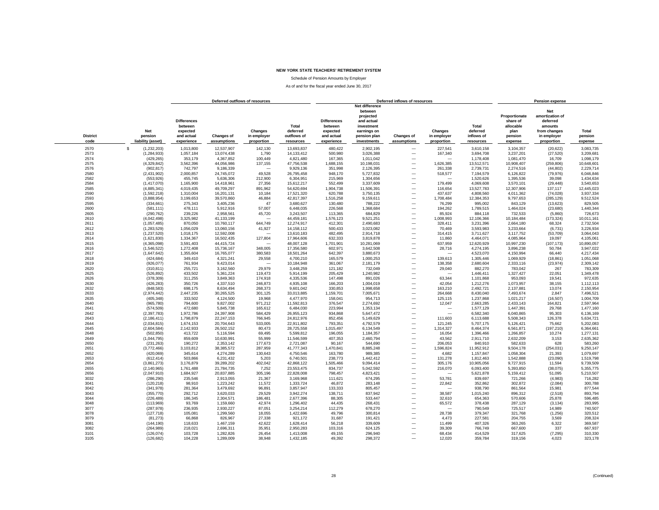Schedule of Pension Amounts by Employer

|                 |                          |                                                         |                        | Deferred outflows of resources |                                  |                                                         |                                                                                                   | Deferred inflows of resources                        |                          |                                 |                                                           | <b>Pension expense</b>                                                              |                      |
|-----------------|--------------------------|---------------------------------------------------------|------------------------|--------------------------------|----------------------------------|---------------------------------------------------------|---------------------------------------------------------------------------------------------------|------------------------------------------------------|--------------------------|---------------------------------|-----------------------------------------------------------|-------------------------------------------------------------------------------------|----------------------|
| <b>District</b> | <b>Net</b><br>pension    | <b>Differences</b><br>between<br>expected<br>and actual | <b>Changes of</b>      | Changes<br>in employer         | Total<br>deferred<br>outflows of | <b>Differences</b><br>between<br>expected<br>and actual | Net difference<br>between<br>projected<br>and actual<br>investment<br>earnings on<br>pension plan | <b>Changes of</b>                                    | Changes<br>in employer   | Total<br>deferred<br>inflows of | Proportionate<br>share of<br>allocable<br>plan<br>pension | <b>Net</b><br>amortization of<br>deferred<br>amounts<br>from changes<br>in employer | Total<br>pension     |
| code            | liability (asset)        | experience                                              | assumptions            | proportion                     | resources                        | experience                                              | investments                                                                                       | assumptions                                          | proportion               | resources                       | expense                                                   | proportion                                                                          | expense              |
| 2570            | \$<br>(1,232,203)        | 1,013,800                                               | 12,537,907             | 142,130                        | 13,693,837                       | 480,422                                                 | 2,902,195                                                                                         | —                                                    | 227,541                  | 3,610,158                       | 3,104,357                                                 | (20, 622)                                                                           | 3,083,735            |
| 2573            | (1,284,933)              | 1,057,184                                               | 13,074,438             | 1,790                          | 14, 133, 412                     | 500,980                                                 | 3,026,388                                                                                         |                                                      | 167,340                  | 3,694,708                       | 3,237,201                                                 | (27, 520)                                                                           | 3,209,681            |
| 2574            | (429.265)                | 353.179                                                 | 4.367.852              | 100.449                        | 4.821.480                        | 167,365                                                 | 1,011,042                                                                                         | $\overline{\phantom{0}}$                             |                          | 1,178,408                       | 1.081.470                                                 | 16.709                                                                              | 1,098,179            |
| 2575            | (4,329,842)              | 3,562,396                                               | 44,056,986             | 137,155                        | 47,756,538                       | 1,688,155                                               | 10,198,031                                                                                        | $\overline{\phantom{a}}$                             | 1,626,385                | 13,512,571                      | 10,908,407                                                | (259, 806)                                                                          | 10,648,601           |
| 2576            | (902, 817)               | 742,797                                                 | 9,186,339              |                                | 9,929,136                        | 351,998                                                 | 2,126,395                                                                                         | $\overline{\phantom{0}}$                             | 261,338                  | 2,739,731                       | 2,274,516                                                 | (44, 802)                                                                           | 2,229,714            |
| 2580            | (2,431,902)              | 2,000,857                                               | 24,745,072             | 49,528                         | 26,795,458                       | 948,170                                                 | 5,727,832                                                                                         | $\overline{\phantom{0}}$                             | 518,577                  | 7,194,579                       | 6,126,822                                                 | (79, 976)                                                                           | 6,046,846            |
| 2582            | (553, 926)               | 455,745                                                 | 5,636,306              | 212,900                        | 6,304,951                        | 215,969                                                 | 1,304,656                                                                                         | $\overline{\phantom{a}}$                             | $\sim$                   | 1,520,626                       | 1,395,536                                                 | 39,098                                                                              | 1,434,634            |
| 2584            | (1,417,070)              | 1,165,900                                               | 14,418,961             | 27,356                         | 15,612,217                       | 552,499                                                 | 3,337,609                                                                                         | $\overline{\phantom{a}}$                             | 179,499                  | 4,069,608                       | 3,570,101                                                 | (29, 448)                                                                           | 3,540,653            |
| 2585            | (4,885,341)              | 4,019,435                                               | 49,709,297             | 891,962                        | 54,620,694                       | 1,904,738                                               | 11,506,391                                                                                        | $\overline{\phantom{a}}$                             | 116,654                  | 13,527,783                      | 12,307,906                                                | 137,117                                                                             | 12,445,023           |
| 2590            | (1,592,218)              | 1,310,004                                               | 16,201,131             | 10,184                         | 17,521,320                       | 620,788                                                 | 3,750,135                                                                                         | $\overline{\phantom{0}}$                             | 437,637                  | 4,808,560                       | 4,011,362                                                 | (74, 028)                                                                           | 3,937,334            |
| 2593            | (3,888,954)              | 3,199,653                                               | 39,570,860             | 46,884                         | 42,817,397                       | 1,516,258                                               | 9,159,611                                                                                         | $\overline{\phantom{0}}$                             | 1,708,484                | 12,384,353                      | 9,797,653                                                 | (285, 129)                                                                          | 9,512,524            |
| 2595            | (334, 661)               | 275,343                                                 | 3,405,236              | 47                             | 3,680,627                        | 130,480                                                 | 788,222                                                                                           | $\overline{\phantom{m}}$                             | 76,299                   | 995,002                         | 843,129                                                   | (13, 623)                                                                           | 829,505              |
| 2600            | (581, 111)               | 478,111                                                 | 5,912,916              | 57,007                         | 6,448,035                        | 226,568                                                 | 1,368,684                                                                                         | $\overline{\phantom{0}}$                             | 194,262                  | 1,789,515                       | 1,464,024                                                 | (23,680)                                                                            | 1,440,344            |
| 2605            | (290, 762)               | 239.226                                                 | 2,958,561              | 45,720                         | 3,243,507                        | 113,365                                                 | 684,829                                                                                           | $\overline{\phantom{a}}$                             | 85,924                   | 884,118                         | 732,533                                                   | (5,860)                                                                             | 726,673              |
| 2610            | (4,042,498)              | 3,325,982                                               | 41,133,199             |                                | 44,459,181                       | 1,576,123                                               | 9,521,251                                                                                         | —                                                    | 1,008,993                | 12,106,366                      | 10,184,484                                                | (173, 324)                                                                          | 10,011,161           |
| 2611            | (1,057,485)              | 870.050                                                 | 10,760,117             | 644.749                        | 12,274,917                       | 412,301                                                 | 2,490,683                                                                                         | $\overline{\phantom{0}}$                             | 328,411                  | 3,231,396                       | 2.664.180                                                 | 68,324                                                                              | 2,732,504            |
| 2612            | (1,283,529)              | 1,056,029                                               | 13,060,156             | 41,927                         | 14, 158, 112                     | 500,433                                                 | 3,023,082                                                                                         | $\overline{\phantom{0}}$                             | 70,469                   | 3,593,983                       | 3,233,664                                                 | (6,731)                                                                             | 3,226,934            |
| 2613            | (1,237,520)              | 1,018,175                                               | 12,592,008             |                                | 13,610,183                       | 482,495                                                 | 2,914,718                                                                                         | <u>.</u>                                             | 314,415                  | 3,711,627                       | 3,117,752                                                 | (53,709)                                                                            | 3,064,043            |
| 2614            | (1,621,830)              | 1,334,367                                               | 16,502,435             | 127,804                        | 17,964,606                       | 632,333                                                 | 3,819,878                                                                                         | $\overline{\phantom{0}}$                             | 11,860                   | 4,464,071                       | 4,085,964                                                 | 19,097                                                                              | 4,105,061            |
| 2615            | (4,365,098)              | 3,591,403                                               | 44,415,724             | $\sim$                         | 48,007,128                       | 1,701,901                                               | 10,281,069                                                                                        | $\overline{\phantom{0}}$                             | 637,959                  | 12,620,929                      | 10,997,230                                                | (107, 173)                                                                          | 10,890,057           |
| 2616            | (1,546,522)              | 1,272,408                                               | 15,736,167             | 348.005                        | 17,356,580                       | 602,971                                                 | 3,642,508                                                                                         | $\overline{\phantom{0}}$                             | 28,716                   | 4,274,195                       | 3,896,238                                                 | 50,784                                                                              | 3,947,022            |
| 2617            | (1,647,642)              | 1,355,604                                               | 16,765,077             | 380,583                        | 18,501,264                       | 642,397                                                 | 3,880,673                                                                                         | $\equiv$                                             |                          | 4,523,070                       | 4,150,994                                                 | 66,440                                                                              | 4,217,434            |
| 2618            | (424, 684)               | 349,410                                                 | 4,321,241              | 29,558                         | 4,700,210                        | 165,579                                                 | 1,000,253                                                                                         | $\overline{\phantom{0}}$                             | 139,613                  | 1,305,446                       | 1,069,929                                                 | (18, 861)                                                                           | 1,051,068            |
| 2619            | (926, 077)               | 761,934                                                 | 9,423,014              | $\overline{\phantom{0}}$       | 10,184,948                       | 361,067                                                 | 2,181,179                                                                                         | $\overline{\phantom{0}}$                             | 138,358                  | 2,680,604                       | 2,333,116                                                 | (23, 974)                                                                           | 2,309,142            |
| 2620            | (310, 811)               | 255,721<br>433.502                                      | 3,162,560<br>5.361.224 | 29,979<br>119.473              | 3,448,259<br>5.914.199           | 121,182<br>205.429                                      | 732,049<br>1.240.982                                                                              | $\overline{\phantom{0}}$<br><u>.</u>                 | 29,040                   | 882,270<br>1.446.411            | 783,042                                                   | 267                                                                                 | 783,309              |
| 2625            | (526, 892)               |                                                         |                        |                                |                                  |                                                         |                                                                                                   | $\overline{\phantom{0}}$                             |                          |                                 | 1,327,427                                                 | 22,051                                                                              | 1,349,478            |
| 2626<br>2630    | (378, 309)<br>(426, 283) | 311,255<br>350,726                                      | 3,849,363<br>4,337,510 | 174,918<br>246,873             | 4,335,536<br>4,935,108           | 147,498<br>166,203                                      | 891,026<br>1,004,019                                                                              | $\overline{\phantom{0}}$                             | 63,344<br>42,054         | 1,101,868                       | 953,093<br>1,073,957                                      | 19,541<br>38,155                                                                    | 972,635<br>1,112,113 |
| 2632            | (848, 583)               | 698,175                                                 | 8,634,494              | 268,373                        | 9,601,042                        | 330,853                                                 | 1,998,658                                                                                         | $\overline{\phantom{0}}$                             | 163,210                  | 1,212,276                       | 2,137,881                                                 | 13,074                                                                              | 2,150,954            |
| 2633            | (2,974,442)              | 2,447,235                                               | 30,265,525             | 301,125                        | 33,013,885                       | 1,159,701                                               | 7,005,671                                                                                         | $\overline{\phantom{a}}$                             | 264,668                  | 2,492,721<br>8,430,040          | 7,493,674                                                 | 2,847                                                                               | 7,496,521            |
| 2635            | (405, 348)               | 333,502                                                 | 4,124,500              | 19,968                         | 4,477,970                        | 158,041                                                 | 954,713                                                                                           | $\overline{\phantom{0}}$                             | 125,115                  | 1,237,868                       | 1,021,217                                                 | (16, 507)                                                                           | 1,004,709            |
| 2640            | (965, 780)               | 794,600                                                 | 9,827,002              | 971,212                        | 11,592,813                       | 376,547                                                 | 2,274,692                                                                                         | $\equiv$                                             | 12,047                   | 2,663,285                       | 2,433,143                                                 | 164,821                                                                             | 2,597,964            |
| 2641            | (574, 509)               | 472,680                                                 | 5,845,738              | 165,612                        | 6,484,030                        | 223,994                                                 | 1,353,134                                                                                         | $\overline{\phantom{0}}$                             | $\overline{\phantom{a}}$ | 1,577,129                       | 1,447,391                                                 | 29,768                                                                              | 1,477,160            |
| 2642            | (2, 397, 783)            | 1,972,786                                               | 24,397,908             | 584,429                        | 26,955,123                       | 934,868                                                 | 5,647,472                                                                                         | $\overline{\phantom{0}}$                             |                          | 6,582,340                       | 6,040,865                                                 | 95,303                                                                              | 6,136,169            |
| 2643            | (2, 186, 411)            | 1,798,879                                               | 22,247,153             | 766,945                        | 24,812,976                       | 852,456                                                 | 5,149,629                                                                                         | $\overline{\phantom{a}}$                             | 111,603                  | 6,113,688                       | 5,508,343                                                 | 126,378                                                                             | 5,634,721            |
| 2644            | (2,034,815)              | 1,674,153                                               | 20,704,643             | 533,005                        | 22,911,802                       | 793,351                                                 | 4,792,579                                                                                         | $\overline{\phantom{a}}$                             | 121,245                  | 5,707,175                       | 5,126,421                                                 | 75,662                                                                              | 5,202,083            |
| 2645            | (2,604,584)              | 2,142,933                                               | 26,502,152             | 80,473                         | 28,725,558                       | 1,015,497                                               | 6,134,549                                                                                         | $\overline{\phantom{a}}$                             | 1,314,327                | 8,464,374                       | 6,561,871                                                 | (197, 210)                                                                          | 6,364,661            |
| 2648            | (502, 850)               | 413,722                                                 | 5,116,594              | 69,495                         | 5,599,812                        | 196,055                                                 | 1,184,357                                                                                         | $\overline{\phantom{0}}$                             | 16,054                   | 1,396,466                       | 1,266,857                                                 | 10,274                                                                              | 1,277,131            |
| 2649            | (1,044,795)              | 859,609                                                 | 10,630,991             | 55,999                         | 11,546,599                       | 407,353                                                 | 2,460,794                                                                                         | $\overline{\phantom{0}}$                             | 43,562                   | 2,911,710                       | 2,632,209                                                 | 3,153                                                                               | 2,635,362            |
| 2650            | (231, 263)               | 190,272                                                 | 2,353,142              | 177,673                        | 2,721,087                        | 90,167                                                  | 544,690                                                                                           | $\overline{\phantom{a}}$                             | 206,053                  | 840,910                         | 582,633                                                   | 628                                                                                 | 583,260              |
| 2651            | (3,772,466)              | 3,103,812                                               | 38,385,572             | 287,959                        | 41,777,343                       | 1,470,841                                               | 8,885,248                                                                                         | $\overline{\phantom{0}}$                             | 1,596,824                | 11,952,912                      | 9,504,178                                                 | (254, 031)                                                                          | 9,250,147            |
| 2652            | (420,069)                | 345,614                                                 | 4,274,289              | 130,643                        | 4,750,546                        | 163,780                                                 | 989,385                                                                                           | $\equiv$                                             | 4,682                    | 1,157,847                       | 1,058,304                                                 | 21,393                                                                              | 1,079,697            |
| 2653            | (612, 414)               | 503,866                                                 | 6,231,432              | 5,203                          | 6,740,501                        | 238,773                                                 | 1,442,412                                                                                         | $\overline{\phantom{0}}$                             | 131,278                  | 1,812,463                       | 1,542,888                                                 | (23,090)                                                                            | 1,519,798            |
| 2654            | (3,861,273)              | 3.176.879                                               | 39,289,202             | 402.042                        | 42.868.122                       | 1,505,466                                               | 9,094,414                                                                                         | $\overline{\phantom{0}}$                             | 305.176                  | 10,905,056                      | 9,727,915                                                 | 11,594                                                                              | 9,739,509            |
| 2655            | (2, 140, 965)            | 1,761,488                                               | 21,784,735             | 7,252                          | 23,553,475                       | 834,737                                                 | 5,042,592                                                                                         | $\overline{\phantom{0}}$                             | 216,070                  | 6,093,400                       | 5,393,850                                                 | (38,075)                                                                            | 5,355,775            |
| 2656            | (2,047,910)              | 1,684,927                                               | 20,837,885             | 305,196                        | 22,828,008                       | 798,457                                                 | 4,823,421                                                                                         | $\overline{\phantom{0}}$                             | $\overline{\phantom{a}}$ | 5,621,878                       | 5,159,412                                                 | 51,095                                                                              | 5,210,507            |
| 3032            | (286, 290)               | 235,546                                                 | 2,913,055              | 21,367                         | 3,169,968                        | 111,621                                                 | 674,295                                                                                           | $\overline{\phantom{0}}$                             | 53,781                   | 839,697                         | 721,266                                                   | (4,983)                                                                             | 716,282              |
| 3041            | (120, 218)               | 98,910                                                  | 1,223,242              | 11,572                         | 1,333,724                        | 46,872                                                  | 283,148                                                                                           | $\overline{\phantom{0}}$                             | 22,842                   | 352,862                         | 302,872                                                   | (2,084)                                                                             | 300,788              |
| 3042            | (341.978)                | 281.364                                                 | 3.479.692              | 96.891                         | 3.857.947                        | 133.333                                                 | 805.457                                                                                           | $\overline{\phantom{0}}$                             | $\overline{\phantom{0}}$ | 938.790                         | 861,564                                                   | 15.981                                                                              | 877,544              |
| 3043            | (355, 770)               | 292,712                                                 | 3,620,033              | 29,529                         | 3,942,274                        | 138,711                                                 | 837,942                                                                                           | $\overline{\phantom{0}}$                             | 38,587                   | 1,015,240                       | 896,312                                                   | (2, 518)                                                                            | 893,794              |
| 3044            | (226, 489)               | 186,345                                                 | 2,304,571              | 186,481                        | 2,677,396                        | 88,305                                                  | 533,447                                                                                           | $\overline{\phantom{0}}$                             | 32,610                   | 654,363                         | 570,606                                                   | 25,878                                                                              | 596,485              |
| 3048            | (113,969)                | 93,769                                                  | 1,159,660<br>2,930,227 | 42,974                         | 1,296,402<br>3,254,214           | 44,435<br>112,279                                       | 268,431<br>678,270                                                                                | $\overline{\phantom{0}}$                             | 65,572<br>$\sim$         | 378,438                         | 287,129<br>725,517                                        | (3, 134)<br>14,989                                                                  | 283,995              |
| 3077<br>3078    | (287, 978)<br>(127, 718) | 236,935<br>105,081                                      | 1,299,560              | 87,051<br>18,055               | 1,422,696                        | 49,796                                                  | 300,814                                                                                           | $\overline{\phantom{0}}$<br>$\overline{\phantom{a}}$ | 28,738                   | 790,549<br>379,347              | 321,768                                                   | (1,256)                                                                             | 740,507<br>320,512   |
| 3079            | (81, 273)                | 66,868                                                  | 826,967                | 27,338                         | 921,172                          | 31,687                                                  | 191,421                                                                                           | $\overline{\phantom{0}}$                             | 4,473                    | 227,581                         | 204,755                                                   | 3,569                                                                               | 208,324              |
| 3081            | (144, 190)               | 118,633                                                 | 1,467,159              | 42,622                         | 1,628,414                        | 56,218                                                  | 339,609                                                                                           | ÷,                                                   | 11,499                   | 407,326                         | 363,265                                                   | 6,322                                                                               | 369,587              |
| 3082            | (264, 989)               | 218,021                                                 | 2,696,311              | 35,951                         | 2,950,283                        | 103,316                                                 | 624,125                                                                                           | ÷,                                                   | 39,309                   | 766,749                         | 667,600                                                   | 337                                                                                 | 667,937              |
| 3101            | (126, 074)               | 103,728                                                 | 1,282,826              | 26,454                         | 1,413,008                        | 49,155                                                  | 296,940                                                                                           | $\overline{\phantom{0}}$                             | 68,434                   | 414,529                         | 317,625                                                   | (7, 295)                                                                            | 310,330              |
| 3105            | (126, 682)               | 104,228                                                 | 1,289,009              | 38,948                         | 1,432,185                        | 49,392                                                  | 298,372                                                                                           |                                                      | 12,020                   | 359,784                         | 319,156                                                   | 4,023                                                                               | 323,178              |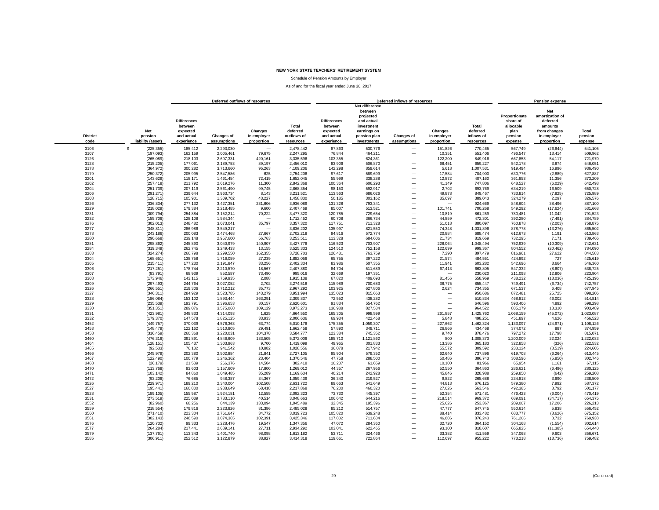Schedule of Pension Amounts by Employer

|                         |                                            |                                                                       | Deferred outflows of resources   |                                      |                                               |                                                                       |                                                                                                                  | Deferred inflows of resources        |                                      |                                              |                                                                      | <b>Pension expense</b>                                                                            |                                    |
|-------------------------|--------------------------------------------|-----------------------------------------------------------------------|----------------------------------|--------------------------------------|-----------------------------------------------|-----------------------------------------------------------------------|------------------------------------------------------------------------------------------------------------------|--------------------------------------|--------------------------------------|----------------------------------------------|----------------------------------------------------------------------|---------------------------------------------------------------------------------------------------|------------------------------------|
| <b>District</b><br>code | <b>Net</b><br>pension<br>liability (asset) | <b>Differences</b><br>between<br>expected<br>and actual<br>experience | <b>Changes of</b><br>assumptions | Changes<br>in employer<br>proportion | Total<br>deferred<br>outflows of<br>resources | <b>Differences</b><br>between<br>expected<br>and actual<br>experience | Net difference<br>between<br>projected<br>and actual<br>investment<br>earnings on<br>pension plan<br>investments | <b>Changes of</b><br>assumptions     | Changes<br>in employer<br>proportion | Total<br>deferred<br>inflows of<br>resources | Proportionate<br>share of<br>allocable<br>plan<br>pension<br>expense | <b>Net</b><br>amortization of<br>deferred<br>amounts<br>from changes<br>in employer<br>proportion | <b>Total</b><br>pension<br>expense |
| 3106                    | S.<br>(225, 355)                           | 185,412                                                               | 2,293,030                        | $\sim$                               | 2,478,442                                     | 87,863                                                                | 530,776                                                                                                          |                                      | 151,826                              | 770,465                                      | 567,749                                                              | (26, 644)                                                                                         | 541,105                            |
| 3107                    | (197.093)                                  | 162.159                                                               | 2.005.461                        | 79.675                               | 2,247,295                                     | 76.844                                                                | 464.211                                                                                                          | $\overline{\phantom{0}}$             | 10,351                               | 551.406                                      | 496.547                                                              | 13,414                                                                                            | 509.962                            |
| 3126                    | (265, 089)                                 | 218,103                                                               | 2,697,331                        | 420,161                              | 3,335,596                                     | 103,355                                                               | 624,361                                                                                                          | $\equiv$                             | 122,200                              | 849,916                                      | 667,853                                                              | 54,117                                                                                            | 721,970                            |
| 3128                    | (215, 205)                                 | 177,061                                                               | 2,189,753                        | 89,197                               | 2,456,010                                     | 83,906                                                                | 506,870                                                                                                          | $\overline{\phantom{0}}$             | 68,451                               | 659,227                                      | 542,178                                                              | 3,874                                                                                             | 546,051                            |
| 3178                    | (364.972)                                  | 300.282                                                               | 3.713.660                        | 95.263                               | 4.109.206                                     | 142.298                                                               | 859.614                                                                                                          | $\overline{\phantom{0}}$             | 5.618                                | 1,007,531                                    | 919.494                                                              | 16.996                                                                                            | 936.490                            |
| 3179                    | (250, 372)                                 | 205,995                                                               | 2,547,586                        | 625                                  | 2,754,206                                     | 97,617                                                                | 589,699                                                                                                          | $\overline{\phantom{a}}$             | 17,584                               | 704,900                                      | 630,776                                                              | (2,889)                                                                                           | 627,887                            |
| 3201                    | (143, 629)                                 | 118,171                                                               | 1,461,454                        | 72,419                               | 1,652,045                                     | 55,999                                                                | 338,288                                                                                                          | $\overline{\phantom{0}}$             | 12,872                               | 407,160                                      | 361,853                                                              | 11,356                                                                                            | 373,209                            |
| 3202                    | (257.418)                                  | 211.792                                                               | 2.619.276                        | 11.300                               | 2.842.368                                     | 100.364                                                               | 606.293                                                                                                          | $\overline{\phantom{0}}$             | 41.149                               | 747,806                                      | 648.527                                                              | (6,029)                                                                                           | 642,498                            |
| 3204                    | (251, 739)                                 | 207,119                                                               | 2,561,490                        | 99,745                               | 2,868,354                                     | 98,150                                                                | 592,917                                                                                                          | $\overline{\phantom{a}}$             | 2,702                                | 693,769                                      | 634,219                                                              | 16,509                                                                                            | 650,728                            |
| 3206                    | (291, 271)                                 | 239,644                                                               | 2,963,734                        | 8,143                                | 3,211,521                                     | 113,563                                                               | 686,026                                                                                                          | $\overline{\phantom{0}}$             | 49,878                               | 849,467                                      | 733,814                                                              | (7, 825)                                                                                          | 725,989                            |
| 3208                    | (128.715)                                  | 105.901                                                               | 1.309.702                        | 43.227                               | 1.458.830                                     | 50.185                                                                | 303.162                                                                                                          | $\overline{\phantom{0}}$             | 35,697                               | 389.043                                      | 324.279                                                              | 2.297                                                                                             | 326,576                            |
| 3226                    | (336, 834)                                 | 277,132                                                               | 3,427,351                        | 231,606                              | 3,936,089                                     | 131,328                                                               | 793,341                                                                                                          | $\overline{\phantom{0}}$             | $\overline{\phantom{m}}$             | 924,669                                      | 848,604                                                              | 38,496                                                                                            | 887,100                            |
| 3229                    | (218, 029)                                 | 179,384                                                               | 2,218,485                        | 9,600                                | 2,407,469                                     | 85,007                                                                | 513,521                                                                                                          | $\overline{\phantom{0}}$             | 101,741                              | 700,268                                      | 549,292                                                              | (17, 624)                                                                                         | 531,668                            |
| 3231                    | (309.794)                                  | 254.884                                                               | 3.152.214                        | 70,222                               | 3.477.320                                     | 120.785                                                               | 729.654                                                                                                          | $\overline{\phantom{0}}$             | 10.819                               | 861.259                                      | 780.481                                                              | 11,042                                                                                            | 791,523                            |
| 3232                    | (155, 706)                                 | 128,108                                                               | 1,584,344                        |                                      | 1,712,452                                     | 60,708                                                                | 366,734                                                                                                          | $\equiv$                             | 44,859                               | 472,301                                      | 392,280                                                              | (7, 491)                                                                                          | 384,789                            |
| 3276                    | (302, 013)                                 | 248,482                                                               | 3,073,041                        | 35,797                               | 3,357,320                                     | 117,751                                                               | 711,328                                                                                                          | $\overline{\phantom{0}}$             | 51,018                               | 880,097                                      | 760,878                                                              | (2,003)                                                                                           | 758,875                            |
| 3277                    | (348.811)                                  | 286,986                                                               | 3.549.217                        |                                      | 3.836.202                                     | 135.997                                                               | 821.550                                                                                                          | $\overline{\phantom{0}}$             | 74.348                               | 1,031,896                                    | 878,778                                                              | (13, 276)                                                                                         | 865,502                            |
| 3278                    | (243, 186)                                 | 200,083                                                               | 2.474.468                        | 27,667                               | 2,702,218                                     | 94,816                                                                | 572,774                                                                                                          | $\overline{\phantom{a}}$             | 20,884                               | 688,474                                      | 612,673                                                              | 1,191                                                                                             | 613,863                            |
| 3280                    | (290, 668)                                 | 239,148                                                               | 2,957,600                        | 56,763                               | 3,253,511                                     | 113,328                                                               | 684,606                                                                                                          | $\overline{\phantom{0}}$             | 21,734                               | 819,669                                      | 732,295                                                              | 7,171                                                                                             | 739,466                            |
| 3281                    | (298.862)                                  | 245.890                                                               | 3.040.979                        | 140.907                              | 3.427.776                                     | 116.523                                                               | 703.907                                                                                                          | $\overline{\phantom{0}}$             | 228.064                              | 1.048.494                                    | 752.939                                                              | (10, 309)                                                                                         | 742,631                            |
| 3284                    | (319, 349)                                 | 262,745                                                               | 3,249,433                        | 13,155                               | 3,525,333                                     | 124,510                                                               | 752,158                                                                                                          | $\overline{\phantom{a}}$             | 122,699                              | 999,367                                      | 804,552                                                              | (20, 462)                                                                                         | 784,090                            |
| 3303                    | (324, 274)                                 | 266,798                                                               | 3,299,550                        | 162,355                              | 3,728,703                                     | 126,431                                                               | 763,759                                                                                                          | $\overline{\phantom{a}}$             | 7,290                                | 897,479                                      | 816,961                                                              | 27,622                                                                                            | 844,583                            |
| 3304                    | (168.651)                                  | 138,758                                                               | 1.716.059                        | 27.239                               | 1.882.056                                     | 65.755                                                                | 397.222                                                                                                          | $\overline{\phantom{0}}$             | 21.574                               | 484.551                                      | 424.892                                                              | 727                                                                                               | 425.619                            |
| 3305                    | (215, 411)                                 | 177,230                                                               | 2,191,847                        | 33,256                               | 2,402,334                                     | 83,986                                                                | 507,355                                                                                                          | $\overline{\phantom{a}}$             | 11,941                               | 603,282                                      | 542,696                                                              | 3,664                                                                                             | 546,360                            |
| 3306                    | (217, 251)                                 | 178,744                                                               | 2,210,570                        | 18,567                               | 2,407,880                                     | 84,704                                                                | 511,689                                                                                                          | $\overline{\phantom{0}}$             | 67,413                               | 663,805                                      | 547,332                                                              | (8,607)                                                                                           | 538,725                            |
| 3307                    | (83,791)                                   | 68,939                                                                | 852,587                          | 73,490                               | 995,016                                       | 32,669                                                                | 197,351                                                                                                          | $\overline{\phantom{0}}$             |                                      | 230,020                                      | 211,098                                                              | 12,806                                                                                            | 223,904                            |
| 3308                    | (173, 946)                                 | 143,115                                                               | 1,769,935                        | 2,088                                | 1,915,138                                     | 67,820                                                                | 409,693                                                                                                          | $\equiv$                             | 81.456                               | 558,969                                      | 438,232                                                              | (13,036)                                                                                          | 425,196                            |
| 3309                    | (297, 493)                                 | 244,764                                                               | 3,027,052                        | 2,702                                | 3,274,518                                     | 115,989                                                               | 700,683                                                                                                          | $\overline{\phantom{0}}$             | 38,775                               | 855,447                                      | 749,491                                                              | (6, 734)                                                                                          | 742,757                            |
| 3326                    | (266, 551)                                 | 219,306                                                               | 2,712,212                        | 35,773                               | 2,967,292                                     | 103,925                                                               | 627,806                                                                                                          | $\overline{\phantom{0}}$             | 2,624                                | 734,355                                      | 671,537                                                              | 6,408                                                                                             | 677,945                            |
| 3327                    | (346, 311)                                 | 284,929                                                               | 3,523,785                        | 143,279                              | 3,951,994                                     | 135,023                                                               | 815,663                                                                                                          | $\overline{\phantom{0}}$             | $\sim$                               | 950,686                                      | 872,481                                                              | 25,725                                                                                            | 898,206                            |
| 3328                    | (186, 084)                                 | 153,102                                                               | 1,893,444                        | 263,291                              | 2,309,837                                     | 72,552                                                                | 438,282                                                                                                          | $\overline{\phantom{0}}$             | $\overline{\phantom{a}}$             | 510,834                                      | 468,812                                                              | 46,002                                                                                            | 514,814                            |
| 3329                    | (235, 539)                                 | 193,791                                                               | 2,396,653                        | 30,157                               | 2,620,601                                     | 91,834                                                                | 554,762                                                                                                          |                                      | $\overline{\phantom{0}}$             | 646,596                                      | 593,406                                                              | 4,892                                                                                             | 598,298                            |
| 3330                    | (351, 351)                                 | 289,076                                                               | 3,575,068                        | 109,129                              | 3,973,273                                     | 136,988                                                               | 827,534                                                                                                          | $\overline{\phantom{a}}$             | $\equiv$                             | 964,522                                      | 885,179                                                              | 18,310                                                                                            | 903,489                            |
| 3331                    | (423, 981)                                 | 348,833                                                               | 4,314,093                        | 1,625                                | 4,664,550                                     | 165,305                                                               | 998,599                                                                                                          | $\overline{\phantom{a}}$             | 261,857                              | 1,425,762                                    | 1,068,159                                                            | (45,072)                                                                                          | 1,023,087                          |
| 3332                    | (179, 370)                                 | 147,578                                                               | 1,825,125                        | 33,933                               | 2,006,636                                     | 69,934                                                                | 422,468                                                                                                          | $\overline{\phantom{0}}$             | 5,848                                | 498,251                                      | 451,897                                                              | 4,626                                                                                             | 456,523                            |
| 3452                    | (449, 757)                                 | 370,039                                                               | 4,576,363                        | 63,774                               | 5,010,176                                     | 175,355                                                               | 1,059,307                                                                                                        | $\overline{\phantom{a}}$             | 227,662                              | 1,462,324                                    | 1,133,097                                                            | (24, 971)                                                                                         | 1,108,126                          |
| 3453                    | (148, 479)                                 | 122,162                                                               | 1,510,805                        | 29,491                               | 1,662,458                                     | 57,890                                                                | 349,711                                                                                                          | $\overline{\phantom{0}}$             | 26,866                               | 434,468                                      | 374,072                                                              | 887                                                                                               | 374,959                            |
| 3458                    | (316, 459)                                 | 260,368                                                               | 3,220,031                        | 104,378                              | 3,584,777                                     | 123,384                                                               | 745,352                                                                                                          | $\overline{\phantom{0}}$<br>$\equiv$ | 9,740                                | 878,476                                      | 797,272                                                              | 17,798                                                                                            | 815,071                            |
| 3460                    | (476, 316)                                 | 391,891                                                               | 4,846,609                        | 133,505                              | 5,372,006                                     | 185,710                                                               | 1,121,862                                                                                                        |                                      | 800                                  | 1,308,373                                    | 1,200,009                                                            | 22,024                                                                                            | 1,222,033                          |
| 3464<br>3465            | (128, 151)<br>(92, 533)                    | 105,437<br>76,132                                                     | 1,303,963<br>941,542             | 9,700<br>10,882                      | 1,419,099<br>1,028,556                        | 49,965<br>36,078                                                      | 301,833<br>217,942                                                                                               | $\overline{\phantom{0}}$             | 13,386<br>55,572                     | 365,183<br>309,592                           | 322,858<br>233,124                                                   | (326)<br>(8, 519)                                                                                 | 322,532<br>224,605                 |
| 3466                    | (245, 979)                                 | 202,380                                                               | 2,502,884                        | 21,841                               | 2,727,105                                     | 95.904                                                                | 579,352                                                                                                          | $\overline{\phantom{a}}$             | 62,640                               | 737,896                                      | 619,708                                                              | (6, 264)                                                                                          | 613,445                            |
| 3467                    |                                            |                                                                       | 1,246,362                        | 23,404                               |                                               |                                                                       | 288,500                                                                                                          | $\overline{\phantom{0}}$             |                                      |                                              |                                                                      |                                                                                                   | 302,746                            |
| 3468                    | (122, 490)<br>(26, 179)                    | 100,779<br>21,539                                                     | 266,376                          | 14,504                               | 1,370,546<br>302,418                          | 47,758<br>10,207                                                      | 61,659                                                                                                           |                                      | 50,486<br>10,100                     | 386,743<br>81,966                            | 308,596<br>65,954                                                    | (5,850)<br>1,161                                                                                  |                                    |
| 3470                    | (113, 768)                                 | 93,603                                                                | 1,157,609                        | 17,800                               | 1,269,012                                     | 44,357                                                                | 267,956                                                                                                          | $\overline{\phantom{a}}$             | 52,550                               | 364,863                                      | 286,621                                                              | (6, 496)                                                                                          | 67,115<br>280,125                  |
| 3471                    | (103, 142)                                 | 84,860                                                                | 1,049,485                        | 35,289                               | 1,169,634                                     | 40,214                                                                | 242,928                                                                                                          | $\overline{\phantom{a}}$             | 45,846                               | 328,988                                      | 259,850                                                              | (642)                                                                                             | 259,208                            |
| 3472                    | (93, 206)                                  | 76,685                                                                | 948,387                          | 34,367                               | 1,059,439                                     | 36,340                                                                | 219,527                                                                                                          | $\overline{\phantom{0}}$             | 9,822                                | 265,688                                      | 234,818                                                              | 3,690                                                                                             | 238,509                            |
| 3526                    | (229.971)                                  | 189,210                                                               | 2.340.004                        | 102.508                              | 2,631,722                                     | 89,663                                                                | 541,649                                                                                                          | $\overline{\phantom{a}}$             | 44.813                               | 676,125                                      | 579,380                                                              | 7,992                                                                                             | 587,372                            |
| 3527                    | (195, 441)                                 | 160,800                                                               | 1,988,649                        | 68,418                               | 2,217,868                                     | 76,200                                                                | 460,320                                                                                                          | $\overline{\phantom{0}}$             | 27,026                               | 563,546                                      | 492,385                                                              | 8,792                                                                                             | 501,177                            |
| 3528                    | (189, 105)                                 | 155,587                                                               | 1,924,181                        | 12,555                               | 2,092,323                                     | 73,730                                                                | 445,397                                                                                                          | $\overline{\phantom{0}}$             | 52,354                               | 571,481                                      | 476,423                                                              | (6,004)                                                                                           | 470,419                            |
| 3531                    | (273, 519)                                 | 225,039                                                               | 2,783,110                        | 40,514                               | 3,048,663                                     | 106,642                                                               | 644,216                                                                                                          | $\overline{\phantom{a}}$             | 218,514                              | 969,372                                      | 689,091                                                              | (34, 717)                                                                                         | 654,375                            |
| 3552                    | (82,960)                                   | 68,256                                                                | 844,139                          | 133,094                              | 1,045,489                                     | 32,345                                                                | 195,396                                                                                                          | $\overline{\phantom{0}}$             | 25,626                               | 253,367                                      | 209,007                                                              | 17,206                                                                                            | 226,213                            |
| 3559                    | (218, 554)                                 | 179,816                                                               | 2,223,826                        | 81,386                               | 2,485,028                                     | 85,212                                                                | 514,757                                                                                                          | $\overline{\phantom{0}}$             | 47,777                               | 647,745                                      | 550,614                                                              | 5,838                                                                                             | 556,452                            |
| 3560                    | (271, 410)                                 | 223,304                                                               | 2,761,647                        | 34,772                               | 3,019,723                                     | 105,820                                                               | 639,248                                                                                                          | $\overline{\phantom{0}}$             | 88,414                               | 833,482                                      | 683,777                                                              | (8,626)                                                                                           | 675,152                            |
| 3561                    | (302, 143)                                 | 248,590                                                               | 3,074,365                        | 102,391                              | 3,425,346                                     | 117,802                                                               | 711,634                                                                                                          | $\overline{\phantom{0}}$             | 46,806                               | 876,243                                      | 761,206                                                              | 8,732                                                                                             | 769,938                            |
| 3576                    | (120, 732)                                 | 99,333                                                                | 1,228,476                        | 19,547                               | 1,347,356                                     | 47,072                                                                | 284,360                                                                                                          |                                      | 32,720                               | 364,152                                      | 304,168                                                              | (1, 554)                                                                                          | 302,614                            |
| 3577                    | (264.284)                                  | 217.441                                                               | 2.689.141                        | 27.711                               | 2.934.292                                     | 103,041                                                               | 622.465                                                                                                          | $\overline{\phantom{0}}$             | 93,100                               | 818,607                                      | 665,825                                                              | (11, 385)                                                                                         | 654,440                            |
| 3579                    | (137, 761)                                 | 113,343                                                               | 1,401,740                        | 98,098                               | 1,613,182                                     | 53,711                                                                | 324,466                                                                                                          | $\overline{\phantom{0}}$             | 33,382                               | 411,559                                      | 347,068                                                              | 9,603                                                                                             | 356,671                            |
| 3585                    | (306, 911)                                 | 252,512                                                               | 3,122,879                        | 38.927                               | 3,414,318                                     | 119,661                                                               | 722,864                                                                                                          |                                      | 112,697                              | 955,222                                      | 773,218                                                              | (13, 736)                                                                                         | 759,482                            |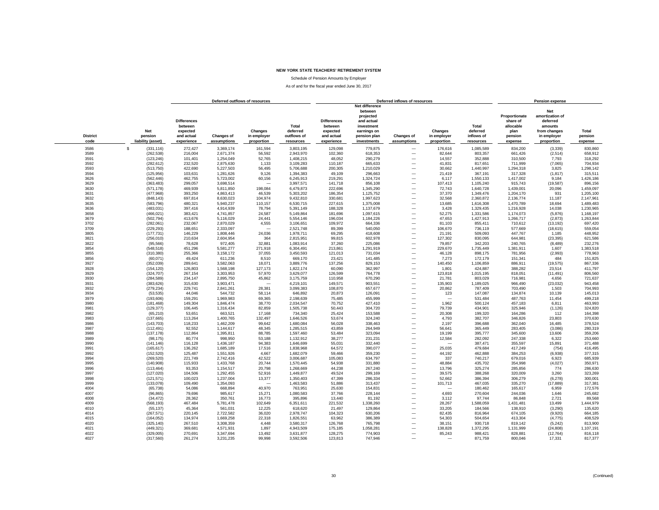Schedule of Pension Amounts by Employer

|                         |                                            |                                                                       | Deferred outflows of resources   |                                      |                                               |                                                                       |                                                                                                                  | Deferred inflows of resources    |                                      |                                              |                                                                      | <b>Pension expense</b>                                                                            |                                    |
|-------------------------|--------------------------------------------|-----------------------------------------------------------------------|----------------------------------|--------------------------------------|-----------------------------------------------|-----------------------------------------------------------------------|------------------------------------------------------------------------------------------------------------------|----------------------------------|--------------------------------------|----------------------------------------------|----------------------------------------------------------------------|---------------------------------------------------------------------------------------------------|------------------------------------|
| <b>District</b><br>code | <b>Net</b><br>pension<br>liability (asset) | <b>Differences</b><br>between<br>expected<br>and actual<br>experience | <b>Changes of</b><br>assumptions | Changes<br>in employer<br>proportion | Total<br>deferred<br>outflows of<br>resources | <b>Differences</b><br>between<br>expected<br>and actual<br>experience | Net difference<br>between<br>projected<br>and actual<br>investment<br>earnings on<br>pension plan<br>investments | <b>Changes of</b><br>assumptions | Changes<br>in employer<br>proportion | Total<br>deferred<br>inflows of<br>resources | Proportionate<br>share of<br>allocable<br>plan<br>pension<br>expense | <b>Net</b><br>amortization of<br>deferred<br>amounts<br>from changes<br>in employer<br>proportion | <b>Total</b><br>pension<br>expense |
| 3586                    | S.<br>(331, 116)                           | 272,427                                                               | 3,369,174                        | 161,594                              | 3,803,195                                     | 129,098                                                               | 779,875                                                                                                          |                                  | 176,616                              | 1,085,589                                    | 834,200                                                              | (3,339)                                                                                           | 830,860                            |
| 3589                    | (262.538)                                  | 216.004                                                               | 2.671.374                        | 56.592                               | 2.943.970                                     | 102.360                                                               | 618.353                                                                                                          | $\overline{\phantom{0}}$         | 82.644                               | 803.357                                      | 661.426                                                              | (2, 514)                                                                                          | 658,912                            |
| 3591                    | (123, 246)                                 | 101,401                                                               | 1,254,049                        | 52,765                               | 1,408,215                                     | 48,052                                                                | 290,279                                                                                                          |                                  | 14,557                               | 352,888                                      | 310,500                                                              | 7,793                                                                                             | 318,292                            |
| 3592                    | (282, 612)                                 | 232,520                                                               | 2,875,630                        | 1,133                                | 3,109,283                                     | 110,187                                                               | 665,633                                                                                                          | $\overline{\phantom{0}}$         | 41,831                               | 817,651                                      | 711,999                                                              | (7,065)                                                                                           | 704,934                            |
| 3593                    | (513.750)                                  | 422.690                                                               | 5.227.503                        | 56.495                               | 5.706.688                                     | 200.305                                                               | 1.210.029                                                                                                        | $\overline{\phantom{0}}$         | 30.662                               | 1,440,997                                    | 1.294.318                                                            | 3.825                                                                                             | 1,298,142                          |
| 3594                    | (125, 956)                                 | 103,631                                                               | 1,281,626                        | 9,126                                | 1,394,383                                     | 49,109                                                                | 296,663                                                                                                          | $\overline{\phantom{a}}$         | 21,419                               | 367,191                                      | 317,328                                                              | (1, 817)                                                                                          | 315,511                            |
| 3626                    | (562, 446)                                 | 462,755                                                               | 5,723,002                        | 60,156                               | 6,245,913                                     | 219,291                                                               | 1,324,724                                                                                                        | $\overline{\phantom{0}}$         | 6,117                                | 1,550,133                                    | 1,417,002                                                            | 9,184                                                                                             | 1,426,186                          |
| 3629                    | (363.483)                                  | 299.057                                                               | 3.698.514                        |                                      | 3.997.571                                     | 141.718                                                               | 856.108                                                                                                          | $\overline{\phantom{0}}$         | 107.413                              | 1.105.240                                    | 915,743                                                              | (19, 587)                                                                                         | 896,156                            |
| 3630                    | (571, 178)                                 | 469,939                                                               | 5,811,850                        | 198,084                              | 6,479,873                                     | 222,696                                                               | 1,345,290                                                                                                        | $\overline{\phantom{a}}$         | 72,743                               | 1,640,728                                    | 1,439,001                                                            | 20,096                                                                                            | 1,459,097                          |
| 3631                    | (477,968)                                  | 393,250                                                               | 4,863,413                        | 46,539                               | 5,303,202                                     | 186,354                                                               | 1,125,752                                                                                                        | $\overline{\phantom{a}}$         | 37,370                               | 1,349,476                                    | 1,204,170                                                            | 931                                                                                               | 1,205,100                          |
| 3632                    | (848.143)                                  | 697.814                                                               | 8.630.023                        | 104.974                              | 9.432.810                                     | 330.681                                                               | 1.997.623                                                                                                        | $\overline{\phantom{0}}$         | 32.568                               | 2.360.872                                    | 2.136.774                                                            | 11.187                                                                                            | 2,147,961                          |
| 3635                    | (583, 796)                                 | 480,321                                                               | 5,940,237                        | 110,157                              | 6,530,715                                     | 227,615                                                               | 1,375,008                                                                                                        | $\overline{\phantom{a}}$         | 13,685                               | 1,616,308                                    | 1,470,789                                                            | 18,694                                                                                            | 1,489,483                          |
| 3636                    | (483, 031)                                 | 397,416                                                               | 4,914,939                        | 78,794                               | 5,391,149                                     | 188,328                                                               | 1,137,679                                                                                                        | $\overline{\phantom{0}}$         | 3,428                                | 1,329,435                                    | 1,216,928                                                            | 14,038                                                                                            | 1,230,965                          |
| 3658                    | (466.021)                                  | 383.421                                                               | 4.741.857                        | 24.587                               | 5.149.864                                     | 181,696                                                               | 1,097,615                                                                                                        | $\overline{\phantom{0}}$         | 52.275                               | 1.331.586                                    | 1.174.073                                                            | (5.876)                                                                                           | 1,168,197                          |
| 3679                    | (502, 794)                                 | 413,676                                                               | 5,116,029                        | 24,441                               | 5,554,146                                     | 196,034                                                               | 1,184,226                                                                                                        | $\equiv$                         | 47,653                               | 1,427,913                                    | 1,266,717                                                            | (2,873)                                                                                           | 1,263,844                          |
| 3702                    | (282,061)                                  | 232,067                                                               | 2,870,029                        | 4,555                                | 3,106,651                                     | 109,972                                                               | 664,336                                                                                                          | $\overline{\phantom{0}}$         | 81,103                               | 855,411                                      | 710,612                                                              | (13, 192)                                                                                         | 697,420                            |
| 3709                    | (229.293)                                  | 188.651                                                               | 2.333.097                        |                                      | 2.521.748                                     | 89.399                                                                | 540.050                                                                                                          | $\overline{\phantom{0}}$         | 106.670                              | 736.119                                      | 577.669                                                              | (18, 615)                                                                                         | 559.054                            |
| 3805                    | (177, 731)                                 | 146,229                                                               | 1,808,446                        | 24,036                               | 1,978,711                                     | 69,295                                                                | 418,608                                                                                                          | $\overline{\phantom{a}}$         | 21,191                               | 509,093                                      | 447,767                                                              | 1,185                                                                                             | 448,952                            |
| 3821                    | (256, 010)                                 | 210,634                                                               | 2,604,954                        | 364                                  | 2,815,951                                     | 99,815                                                                | 602,978                                                                                                          | $\overline{\phantom{0}}$         | 127,302                              | 830,095                                      | 644,981                                                              | (23, 395)                                                                                         | 621,586                            |
| 3822                    | (95, 566)                                  | 78.628                                                                | 972.405                          | 32.881                               | 1.083.914                                     | 37.260                                                                | 225.086                                                                                                          |                                  | 79.857                               | 342.203                                      | 240.765                                                              | (8.489)                                                                                           | 232,276                            |
| 3854                    | (548, 518)                                 | 451,296                                                               | 5,581,277                        | 271,918                              | 6,304,491                                     | 213,861                                                               | 1,291,919                                                                                                        | $\overline{\phantom{a}}$         | 229,670                              | 1,735,449                                    | 1,381,911                                                            | 1,607                                                                                             | 1,383,518                          |
| 3855                    | (310, 380)                                 | 255,366                                                               | 3,158,172                        | 37,055                               | 3,450,593                                     | 121,013                                                               | 731,034                                                                                                          | $\overline{\phantom{a}}$         | 46,128                               | 898,175                                      | 781,956                                                              | (2,993)                                                                                           | 778,963                            |
| 3856                    | (60.071)                                   | 49.424                                                                | 611.236                          | 8.510                                | 669.170                                       | 23.421                                                                | 141.485                                                                                                          | $\overline{\phantom{0}}$         | 7.273                                | 172.179                                      | 151.341                                                              | 484                                                                                               | 151.825                            |
| 3927                    | (352, 039)                                 | 289,641                                                               | 3,582,063                        | 18,071                               | 3,889,776                                     | 137,256                                                               | 829,153                                                                                                          | $\overline{\phantom{a}}$         | 140,450                              | 1,106,859                                    | 886,911                                                              | (19, 575)                                                                                         | 867,336                            |
| 3928                    | (154, 120)                                 | 126,803                                                               | 1,568,198                        | 127,173                              | 1,822,174                                     | 60,090                                                                | 362,997                                                                                                          | $\overline{\phantom{0}}$         | 1,801                                | 424,887                                      | 388,282                                                              | 23,514                                                                                            | 411,797                            |
| 3929                    | (324, 707)                                 | 267,154                                                               | 3,303,953                        | 57,970                               | 3,629,077                                     | 126,599                                                               | 764,778                                                                                                          | $\overline{\phantom{0}}$         | 123,818                              | 1,015,195                                    | 818,051                                                              | (11, 491)                                                                                         | 806,560                            |
| 3930                    | (284, 589)                                 | 234.147                                                               | 2,895,750                        | 45,862                               | 3,175,759                                     | 110,958                                                               | 670,290                                                                                                          | $\equiv$                         | 21,781                               | 803,029                                      | 716,981                                                              | 4,656                                                                                             | 721,637                            |
| 3931                    | (383, 626)                                 | 315,630                                                               | 3,903,471                        |                                      | 4,219,101                                     | 149,571                                                               | 903,551                                                                                                          | $\overline{\phantom{0}}$         | 135,903                              | 1,189,025                                    | 966,490                                                              | (23, 032)                                                                                         | 943,458                            |
| 3932                    | (279, 234)                                 | 229,741                                                               | 2,841,261                        | 28,381                               | 3,099,383                                     | 108,870                                                               | 657,677                                                                                                          | $\overline{\phantom{0}}$         | 20,862                               | 787,409                                      | 703,490                                                              | 1,503                                                                                             | 704,993                            |
| 3934                    | (53, 535)                                  | 44,046                                                                | 544,732                          | 58.114                               | 646,892                                       | 20,873                                                                | 126,091                                                                                                          | $\overline{\phantom{0}}$         | 123                                  | 147,087                                      | 134,874                                                              | 10,139                                                                                            | 145,013                            |
| 3979                    | (193, 606)                                 | 159,291                                                               | 1,969,983                        | 69,365                               | 2,198,639                                     | 75,485                                                                | 455,999                                                                                                          | $\overline{\phantom{0}}$         | $\sim$                               | 531,484                                      | 487,763                                                              | 11,454                                                                                            | 499,218                            |
| 3980                    | (181, 468)                                 | 149,304                                                               | 1,846,474                        | 38,770                               | 2,034,547                                     | 70,752                                                                | 427,410                                                                                                          | $\overline{\phantom{0}}$         | 1,962                                | 500,124                                      | 457,183                                                              | 6,811                                                                                             | 463,993                            |
| 3981                    | (129, 377)                                 | 106,445                                                               | 1,316,434                        | 82,859                               | 1,505,738                                     | 50,443                                                                | 304,720                                                                                                          | $\overline{\phantom{a}}$         | 79,739                               | 434,901                                      | 325,946                                                              | (1, 126)                                                                                          | 324,820                            |
| 3982                    | (65, 210)                                  | 53,651                                                                | 663,521                          | 17,168                               | 734,340                                       | 25,424                                                                | 153,588                                                                                                          | $\overline{\phantom{a}}$         | 20,308                               | 199,320                                      | 164,286                                                              | 112                                                                                               | 164,398                            |
| 3983                    | (137, 665)                                 | 113,264                                                               | 1,400,765                        | 132,497                              | 1,646,526                                     | 53,674                                                                | 324,240                                                                                                          | $\overline{\phantom{0}}$         | 4,793                                | 382,707                                      | 346,826                                                              | 23,803                                                                                            | 370,630                            |
| 3986                    | (143, 703)                                 | 118,233                                                               | 1,462,209                        | 99,642                               | 1,680,084                                     | 56,028                                                                | 338,463                                                                                                          | $\overline{\phantom{a}}$         | 2.197                                | 396,688                                      | 362,040                                                              | 16,485                                                                                            | 378,524                            |
| 3987                    | (112, 491)                                 | 92,552                                                                | 1,144,617                        | 48,345                               | 1,285,515                                     | 43,859                                                                | 264,949                                                                                                          | $\overline{\phantom{0}}$         | 56,641                               | 365,449                                      | 283,405                                                              | (3,086)                                                                                           | 280,319                            |
| 3988                    | (137, 178)                                 | 112,864                                                               | 1,395,811                        | 88,785                               | 1,597,460                                     | 53,484                                                                | 323,094                                                                                                          | $\overline{\phantom{0}}$         | 19,199                               | 395,777                                      | 345,600                                                              | 13,606                                                                                            | 359,206                            |
| 3989                    | (98, 175)                                  | 80,774                                                                | 998,950                          | 53,188                               | 1,132,912                                     | 38,277                                                                | 231,231                                                                                                          | $\equiv$                         | 12,584                               | 282,092                                      | 247,338                                                              | 6,322                                                                                             | 253,660                            |
| 3990                    | (141, 146)                                 | 116,128                                                               | 1,436,187                        | 94,383                               | 1,646,699                                     | 55,031                                                                | 332,440                                                                                                          | $\overline{\phantom{0}}$         | $\sim$                               | 387,471                                      | 355,597                                                              | 15,891                                                                                            | 371,488                            |
| 3991                    | (165, 617)                                 | 136,262                                                               | 1,685,189                        | 17,516                               | 1,838,968                                     | 64,572                                                                | 390,077                                                                                                          | $\overline{\phantom{0}}$         | 25,035                               | 479,684                                      | 417,249                                                              | (754)                                                                                             | 416,495                            |
| 3992                    | (152, 520)                                 | 125,487                                                               | 1,551,926                        | 4,667                                | 1,682,079                                     | 59.466                                                                | 359,230                                                                                                          | $\overline{\phantom{a}}$         | 44,192                               | 462,888                                      | 384,253                                                              | (6,938)                                                                                           | 377,315                            |
| 3994                    | (269, 520)                                 | 221,749                                                               | 2,742,416                        | 42,522                               | 3,006,687                                     | 105,083                                                               | 634,797                                                                                                          | $\overline{\phantom{0}}$         | 337                                  | 740,217                                      | 679,016                                                              | 6,923                                                                                             | 685,939                            |
| 3995                    | (140,908)                                  | 115,933                                                               | 1,433,768                        | 20,744<br>20.798                     | 1,570,445                                     | 54,938<br>44.238                                                      | 331,880                                                                                                          | $\overline{\phantom{a}}$         | 48,884                               | 435,702                                      | 354,998                                                              | (4,027)<br>774                                                                                    | 350,971                            |
| 3996                    | (113, 464)<br>(127, 020)                   | 93,353                                                                | 1,154,517<br>1,292,455           |                                      | 1,268,669                                     | 49,524                                                                | 267,240<br>299,169                                                                                               | $\overline{\phantom{a}}$         | 13,796<br>39,575                     | 325,274<br>388,268                           | 285,856<br>320,009                                                   |                                                                                                   | 286,630<br>323,269                 |
| 3997                    |                                            | 104,506                                                               |                                  | 52,916                               | 1,449,877                                     |                                                                       |                                                                                                                  | $\overline{\phantom{0}}$         |                                      |                                              |                                                                      | 3,260                                                                                             | 300,001                            |
| 3998<br>3999            | (121, 571)<br>(133,078)                    | 100,023<br>109,490                                                    | 1,237,004<br>1,354,093           | 13,377<br>$\sim$                     | 1,350,403<br>1,463,583                        | 47,399<br>51,886                                                      | 286,334<br>313,437                                                                                               | $\overline{\phantom{a}}$         | 52,662<br>101,713                    | 386,394<br>467,035                           | 306,279<br>335,270                                                   | (6,278)<br>(17, 889)                                                                              | 317,381                            |
| 4004                    | (65, 738)                                  | 54,086                                                                | 668,894                          | 40,970                               | 763,951                                       | 25,630                                                                | 154,831                                                                                                          | $\overline{\phantom{0}}$         | $\overline{\phantom{0}}$             | 180,462                                      | 165,617                                                              | 6,959                                                                                             | 172,576                            |
|                         |                                            |                                                                       |                                  |                                      |                                               |                                                                       |                                                                                                                  | $\overline{\phantom{0}}$         |                                      |                                              |                                                                      |                                                                                                   |                                    |
| 4007<br>4008            | (96, 865)<br>(34, 472)                     | 79,696<br>28,362                                                      | 985,617<br>350.761               | 15,271<br>16,773                     | 1,080,583<br>395,896                          | 37,766<br>13,440                                                      | 228,144<br>81,192                                                                                                | $\overline{\phantom{a}}$         | 4,693<br>3,112                       | 270,604<br>97,744                            | 244,036<br>86,848                                                    | 1,646<br>2,721                                                                                    | 245,682<br>89,568                  |
| 4009                    | (568, 193)                                 | 467,484                                                               | 5,781,478                        | 102,649                              | 6,351,611                                     | 221,532                                                               | 1,338,260                                                                                                        | $\overline{\phantom{0}}$         | 28,267                               | 1,588,059                                    | 1,431,481                                                            | 13,499                                                                                            | 1,444,979                          |
| 4010                    | (55, 137)                                  | 45,364                                                                | 561,031                          | 12,225                               | 618,620                                       | 21,497                                                                | 129,864                                                                                                          | $\overline{\phantom{0}}$         | 33,205                               | 184,566                                      | 138,910                                                              | (3,290)                                                                                           | 135,620                            |
| 4014                    | (267, 571)                                 | 220,145                                                               | 2,722,582                        | 36,020                               | 2,978,747                                     | 104,323                                                               | 630,206                                                                                                          | $\overline{\phantom{a}}$         | 82,435                               | 816,964                                      | 674.105                                                              | (9,920)                                                                                           | 664,185                            |
| 4015                    | (164, 052)                                 | 134,974                                                               | 1,669,258                        | 22,318                               | 1,826,551                                     | 63,962                                                                | 386,389                                                                                                          | $\overline{\phantom{0}}$         | 54,303                               | 504,654                                      | 413,304                                                              | (4, 775)                                                                                          | 408,529                            |
| 4020                    | (325, 140)                                 | 267,510                                                               | 3,308,359                        | 4,448                                | 3,580,317                                     | 126,768                                                               | 765,798                                                                                                          |                                  | 38,151                               | 930,718                                      | 819,142                                                              | (5, 242)                                                                                          | 813,900                            |
| 4021                    | (449, 321)                                 | 369.681                                                               | 4.571.931                        | 1,897                                | 4,943,509                                     | 175,185                                                               | 1,058,281                                                                                                        | $\overline{\phantom{0}}$         | 138,828                              | 1,372,295                                    | 1,131,999                                                            | (24, 808)                                                                                         | 1,107,191                          |
| 4022                    | (329,005)                                  | 270,691                                                               | 3,347,694                        | 13,492                               | 3,631,877                                     | 128,275                                                               | 774,903                                                                                                          | $\overline{\phantom{0}}$         | 85,243                               | 988,421                                      | 828,881                                                              | (12, 764)                                                                                         | 816,118                            |
| 4027                    | (317, 560)                                 | 261,274                                                               | 3,231,235                        | 99.998                               | 3,592,506                                     | 123,813                                                               | 747,946                                                                                                          |                                  |                                      | 871,759                                      | 800,046                                                              | 17,331                                                                                            | 817,377                            |
|                         |                                            |                                                                       |                                  |                                      |                                               |                                                                       |                                                                                                                  |                                  |                                      |                                              |                                                                      |                                                                                                   |                                    |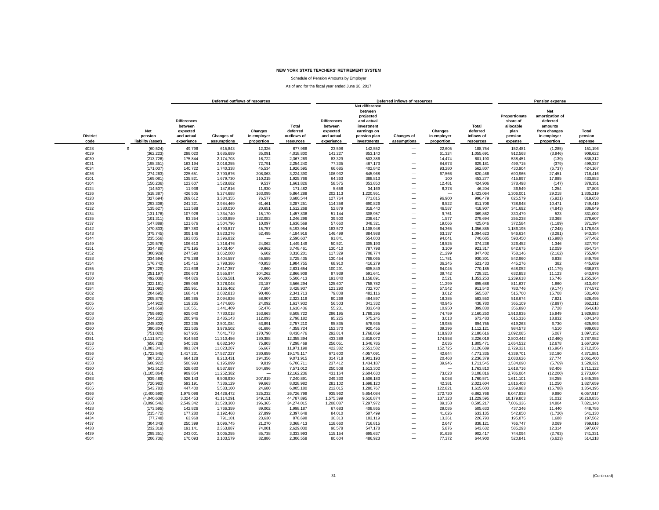Schedule of Pension Amounts by Employer

|                         |                                            |                                                                       | Deferred outflows of resources   |                                      |                                               |                                                                       |                                                                                                                  | Deferred inflows of resources                        |                                      |                                              |                                                                      | <b>Pension expense</b>                                                                            |                                    |
|-------------------------|--------------------------------------------|-----------------------------------------------------------------------|----------------------------------|--------------------------------------|-----------------------------------------------|-----------------------------------------------------------------------|------------------------------------------------------------------------------------------------------------------|------------------------------------------------------|--------------------------------------|----------------------------------------------|----------------------------------------------------------------------|---------------------------------------------------------------------------------------------------|------------------------------------|
| <b>District</b><br>code | <b>Net</b><br>pension<br>liability (asset) | <b>Differences</b><br>between<br>expected<br>and actual<br>experience | <b>Changes of</b><br>assumptions | Changes<br>in employer<br>proportion | Total<br>deferred<br>outflows of<br>resources | <b>Differences</b><br>between<br>expected<br>and actual<br>experience | Net difference<br>between<br>projected<br>and actual<br>investment<br>earnings on<br>pension plan<br>investments | <b>Changes of</b><br>assumptions                     | Changes<br>in employer<br>proportion | Total<br>deferred<br>inflows of<br>resources | Proportionate<br>share of<br>allocable<br>plan<br>pension<br>expense | <b>Net</b><br>amortization of<br>deferred<br>amounts<br>from changes<br>in employer<br>proportion | <b>Total</b><br>pension<br>expense |
| 4028                    | S.<br>(60, 524)                            | 49,796                                                                | 615,843                          | 12,326                               | 677,966                                       | 23,598                                                                | 142,552                                                                                                          |                                                      | 22,605                               | 188,754                                      | 152,481                                                              | (1, 285)                                                                                          | 151,196                            |
| 4029                    | (362.223)                                  | 298.020                                                               | 3.685.689                        | 35.091                               | 4.018.800                                     | 141.227                                                               | 853.140                                                                                                          | $\overline{\phantom{0}}$                             | 61.324                               | 1,055,691                                    | 912.568                                                              | (3,946)                                                                                           | 908.622                            |
| 4030                    | (213, 726)                                 | 175,844                                                               | 2,174,703                        | 16,722                               | 2,367,269                                     | 83,329                                                                | 503,386                                                                                                          |                                                      | 14,474                               | 601,190                                      | 538,451                                                              | (139)                                                                                             | 538,312                            |
| 4031                    | (198, 351)                                 | 163,194                                                               | 2,018,255                        | 72,791                               | 2,254,240                                     | 77,335                                                                | 467,173                                                                                                          | $\overline{\phantom{0}}$                             | 84,673                               | 629,181                                      | 499,715                                                              | (379)                                                                                             | 499,337                            |
| 4034                    | (171.037)                                  | 140.722                                                               | 1.740.338                        | 45.534                               | 1.926.595                                     | 66.685                                                                | 402.842                                                                                                          | $\overline{\phantom{0}}$                             | 93.280                               | 562.807                                      | 430.904                                                              | (6,737)                                                                                           | 424.167                            |
| 4036                    | (274, 263)                                 | 225,651                                                               | 2,790,676                        | 208,063                              | 3,224,390                                     | 106,932                                                               | 645,968                                                                                                          | $\overline{\phantom{a}}$                             | 67,566                               | 820,466                                      | 690,965                                                              | 27,451                                                                                            | 718,416                            |
| 4101                    | (165,081)                                  | 135,821                                                               | 1,679,730                        | 110,215                              | 1,925,766                                     | 64,363                                                                | 388,813                                                                                                          | $\overline{\phantom{0}}$                             | 100                                  | 453,277                                      | 415,897                                                              | 17,985                                                                                            | 433,883                            |
| 4104                    | (150.236)                                  | 123.607                                                               | 1.528.682                        | 9.537                                | 1.661.826                                     | 58.575                                                                | 353.850                                                                                                          | $\overline{\phantom{0}}$                             | 12.481                               | 424.906                                      | 378.498                                                              | (147)                                                                                             | 378.351                            |
| 4124                    | (14, 507)                                  | 11,936                                                                | 147,616                          | 11,930                               | 171,482                                       | 5,656                                                                 | 34,169                                                                                                           | $\overline{\phantom{a}}$                             | 6,378                                | 46,204                                       | 36,549                                                               | 1,254                                                                                             | 37,803                             |
| 4126                    | (518, 387)                                 | 426,505                                                               | 5,274,688                        | 163,095                              | 5,864,288                                     | 202,113                                                               | 1,220,951                                                                                                        | $\overline{\phantom{0}}$                             | $\sim$                               | 1,423,064                                    | 1,306,001                                                            | 29,218                                                                                            | 1,335,219                          |
| 4128                    | (327.694)                                  | 269.612                                                               | 3.334.355                        | 76.577                               | 3.680.544                                     | 127.764                                                               | 771.815                                                                                                          | $\overline{\phantom{0}}$                             | 96.900                               | 996.479                                      | 825.579                                                              | (5.921)                                                                                           | 819,658                            |
| 4130                    | (293, 308)                                 | 241,321                                                               | 2,984,469                        | 61,461                               | 3,287,251                                     | 114,358                                                               | 690,826                                                                                                          | $\overline{\phantom{a}}$                             | 6,522                                | 811,706                                      | 738,948                                                              | 10,471                                                                                            | 749,419                            |
| 4132                    | (135, 627)                                 | 111,588                                                               | 1,380,030                        | 20,651                               | 1,512,268                                     | 52,879                                                                | 319,440                                                                                                          | $\overline{\phantom{0}}$                             | 46,587                               | 418,907                                      | 341,692                                                              | (4, 843)                                                                                          | 336,849                            |
| 4134                    | (131.176)                                  | 107.926                                                               | 1.334.740                        | 15.170                               | 1.457.836                                     | 51.144                                                                | 308.957                                                                                                          | $\overline{\phantom{0}}$                             | 9.761                                | 369.862                                      | 330.479                                                              | 523                                                                                               | 331,002                            |
| 4135                    | (101, 311)                                 | 83,354                                                                | 1,030,859                        | 132,083                              | 1,246,296                                     | 39,500                                                                | 238,617                                                                                                          |                                                      | 1,577                                | 279,694                                      | 255,238                                                              | 23,368                                                                                            | 278,607                            |
| 4137                    | (147, 889)                                 | 121,676                                                               | 1,504,796                        | 10,097                               | 1,636,569                                     | 57,660                                                                | 348,321                                                                                                          | $\overline{\phantom{0}}$                             | 19,066                               | 425,046                                      | 372,584                                                              | (1, 189)                                                                                          | 371,394                            |
| 4142                    | (470.833)                                  | 387,380                                                               | 4.790.817                        | 15.757                               | 5.193.954                                     | 183.572                                                               | 1.108.948                                                                                                        | $\overline{\phantom{0}}$                             | 64.365                               | 1.356.885                                    | 1.186.195                                                            | (7, 248)                                                                                          | 1,178,948                          |
| 4143                    | (375, 745)                                 | 309,146                                                               | 3,823,276                        | 52,495                               | 4,184,916                                     | 146,499                                                               | 884,988                                                                                                          | $\overline{\phantom{a}}$                             | 63,137                               | 1,094,623                                    | 946,634                                                              | (3, 281)                                                                                          | 943,354                            |
| 4144                    | (235, 556)                                 | 193,805                                                               | 2,396,832                        |                                      | 2,590,637                                     | 91,841                                                                | 554,803                                                                                                          | $\overline{\phantom{0}}$                             | 94,041                               | 740,685                                      | 593,450                                                              | (15,988)                                                                                          | 577,462                            |
| 4149                    | (129.578)                                  | 106.610                                                               | 1.318.476                        | 24.062                               | 1.449.149                                     | 50.521                                                                | 305.193                                                                                                          | $\overline{\phantom{0}}$<br>$\overline{\phantom{a}}$ | 18.525                               | 374.238                                      | 326.452                                                              | 1.346                                                                                             | 327,797                            |
| 4151                    | (334, 480)                                 | 275,195                                                               | 3,403,404                        | 69,862                               | 3,748,461                                     | 130,410                                                               | 787,798                                                                                                          | $\overline{\phantom{a}}$                             | 3,109                                | 921,317                                      | 842,675                                                              | 12,059                                                                                            | 854,734                            |
| 4152<br>4153            | (300, 929)<br>(334.594)                    | 247,590<br>275.288                                                    | 3,062,008<br>3.404.557           | 6,602<br>45.589                      | 3,316,201<br>3.725.435                        | 117,329<br>130.454                                                    | 708,774<br>788.065                                                                                               | $\overline{\phantom{0}}$                             | 21,299<br>11.781                     | 847,402<br>930.301                           | 758,146<br>842.960                                                   | (2, 162)<br>6.838                                                                                 | 755,984<br>849.798                 |
| 4154                    | (176, 742)                                 | 145,415                                                               | 1,798,386                        | 40,953                               | 1,984,755                                     | 68,910                                                                | 416,279                                                                                                          | $\overline{\phantom{a}}$                             | 36,245                               | 521,433                                      | 445,276                                                              | 382                                                                                               | 445,659                            |
| 4155                    | (257, 229)                                 | 211,636                                                               | 2,617,357                        | 2,660                                | 2,831,654                                     | 100,291                                                               | 605,849                                                                                                          | $\overline{\phantom{0}}$                             | 64,045                               | 770,185                                      | 648,052                                                              | (11, 179)                                                                                         | 636,873                            |
| 4178                    | (251, 197)                                 | 206,673                                                               | 2,555,974                        | 104,262                              | 2,866,909                                     | 97,939                                                                | 591,641                                                                                                          | $\overline{\phantom{0}}$                             | 39,742                               | 729,321                                      | 632,853                                                              | 11,123                                                                                            | 643,976                            |
| 4180                    | (492, 038)                                 | 404,826                                                               | 5,006,581                        | 95,006                               | 5,506,413                                     | 191,840                                                               | 1,158,891                                                                                                        | $\equiv$                                             | 2,521                                | 1,353,253                                    | 1,239,618                                                            | 15,746                                                                                            | 1,255,364                          |
| 4183                    | (322, 161)                                 | 265,059                                                               | 3,278,048                        | 23,187                               | 3,566,294                                     | 125,607                                                               | 758,782                                                                                                          | $\overline{\phantom{0}}$                             | 11,299                               | 895,688                                      | 811,637                                                              | 1,860                                                                                             | 813,497                            |
| 4184                    | (311,090)                                  | 255,951                                                               | 3,165,402                        | 7,584                                | 3,428,937                                     | 121,290                                                               | 732,707                                                                                                          | $\overline{\phantom{0}}$                             | 57,542                               | 911,540                                      | 783,746                                                              | (9, 174)                                                                                          | 774,572                            |
| 4202                    | (204, 695)                                 | 168,414                                                               | 2,082,813                        | 90.486                               | 2,341,713                                     | 79,808                                                                | 482,116                                                                                                          | $\overline{\phantom{a}}$                             | 3,612                                | 565,537                                      | 515,700                                                              | 15,708                                                                                            | 531,408                            |
| 4203                    | (205, 876)                                 | 169,385                                                               | 2,094,826                        | 58,907                               | 2,323,119                                     | 80,269                                                                | 484,897                                                                                                          | $\overline{\phantom{0}}$                             | 18,385                               | 583,550                                      | 518,674                                                              | 7,821                                                                                             | 526,495                            |
| 4205                    | (144.922)                                  | 119,235                                                               | 1,474,605                        | 24,092                               | 1,617,932                                     | 56,503                                                                | 341,332                                                                                                          | $\overline{\phantom{0}}$                             | 40,945                               | 438,780                                      | 365,109                                                              | (2,897)                                                                                           | 362,212                            |
| 4206                    | (141, 659)                                 | 116,551                                                               | 1.441.409                        | 52,476                               | 1,610,436                                     | 55,231                                                                | 333,648                                                                                                          | $\overline{\phantom{a}}$                             | 10,950                               | 399,830                                      | 356,890                                                              | 7,728                                                                                             | 364,618                            |
| 4208                    | (759, 692)                                 | 625,040                                                               | 7,730,018                        | 153,663                              | 8,508,722                                     | 296,195                                                               | 1,789,295                                                                                                        | $\overline{\phantom{a}}$                             | 74,759                               | 2,160,250                                    | 1,913,935                                                            | 15,949                                                                                            | 1,929,883                          |
| 4258                    | (244, 235)                                 | 200,946                                                               | 2,485,143                        | 112,093                              | 2,798,182                                     | 95,225                                                                | 575,245                                                                                                          | $\overline{\phantom{0}}$                             | 3,013                                | 673,483                                      | 615,316                                                              | 18,832                                                                                            | 634,148                            |
| 4259                    | (245, 802)                                 | 202,235                                                               | 2.501.084                        | 53,891                               | 2,757,210                                     | 95,835                                                                | 578,935                                                                                                          | $\overline{\phantom{a}}$                             | 19,985                               | 694,755                                      | 619,263                                                              | 6,730                                                                                             | 625,993                            |
| 4260                    | (390, 804)                                 | 321,535                                                               | 3,976,502                        | 61,686                               | 4,359,724                                     | 152,370                                                               | 920,455                                                                                                          | $\overline{\phantom{a}}$                             | 39,296                               | 1,112,121                                    | 984,573                                                              | 4,510                                                                                             | 989,083                            |
| 4301                    | (751, 020)                                 | 617,905                                                               | 7,641,773                        | 170,798                              | 8,430,476                                     | 292,814                                                               | 1,768,869                                                                                                        | $\overline{\phantom{0}}$                             | 118,933                              | 2,180,616                                    | 1,892,085                                                            | 5,067                                                                                             | 1,897,152                          |
| 4351                    | (1, 111, 571)                              | 914,550                                                               | 11,310,456                       | 130,388                              | 12,355,394                                    | 433,389                                                               | 2,618,072                                                                                                        | $\equiv$                                             | 174,558                              | 3,226,019                                    | 2,800,442                                                            | (12, 460)                                                                                         | 2,787,982                          |
| 4353                    | (656, 728)                                 | 540,326                                                               | 6,682,340                        | 75,803                               | 7,298,469                                     | 256,051                                                               | 1,546,785                                                                                                        |                                                      | 2,635                                | 1,805,471                                    | 1,654,532                                                            | 12,678                                                                                            | 1,667,209                          |
| 4355                    | (1,083,341)                                | 891,324                                                               | 11,023,207                       | 56,667                               | 11,971,198                                    | 422,382                                                               | 2,551,582                                                                                                        | $\overline{\phantom{0}}$                             | 152,725                              | 3,126,689                                    | 2,729,321                                                            | (16, 964)                                                                                         | 2,712,356                          |
| 4356                    | (1,722,545)                                | 1,417,231                                                             | 17,527,227                       | 230,659                              | 19,175,117                                    | 671,600                                                               | 4,057,091                                                                                                        | $\overline{\phantom{a}}$                             | 42,644                               | 4,771,335                                    | 4,339,701                                                            | 32,180                                                                                            | 4,371,881                          |
| 4357                    | (807, 201)                                 | 664,128                                                               | 8,213,431                        | 194,356                              | 9,071,915                                     | 314,718                                                               | 1,901,193                                                                                                        | $\overline{\phantom{0}}$                             | 20,468                               | 2,236,379                                    | 2,033,626                                                            | 27,774                                                                                            | 2,061,400                          |
| 4358                    | (608, 922)                                 | 500,993                                                               | 6,195,899                        | 9,819                                | 6,706,711                                     | 237,412                                                               | 1,434,187                                                                                                        | $\overline{\phantom{0}}$<br>$\overline{\phantom{a}}$ | 39,946                               | 1,711,545                                    | 1,534,090                                                            | (5,769)<br>92.406                                                                                 | 1,528,321                          |
| 4360                    | (642, 512)                                 | 528,630<br>909,854                                                    | 6,537,687<br>11,252,382          | 504,696                              | 7,571,012<br>12,162,236                       | 250,508                                                               | 1,513,302<br>2,604,630                                                                                           | $\overline{\phantom{a}}$                             | $\overline{\phantom{m}}$<br>73,023   | 1,763,810                                    | 1,618,716<br>2,786,064                                               |                                                                                                   | 1,711,122                          |
| 4361<br>4363            | (1, 105, 864)<br>(639, 489)                | 526,143                                                               | 6,506,930                        | 207,819                              | 7,240,891                                     | 431,164<br>249,330                                                    | 1,506,183                                                                                                        | $\overline{\phantom{0}}$                             | 5,058                                | 3,108,816<br>1,760,571                       | 1,611,101                                                            | (12, 200)<br>34,255                                                                               | 2,773,864<br>1,645,355             |
| 4364                    | (720, 982)                                 | 593.191                                                               | 7,336,129                        | 99,663                               | 8.028.982                                     | 281,102                                                               | 1,698,120                                                                                                        | $\overline{\phantom{a}}$                             | 42.381                               | 2,021,604                                    | 1,816,408                                                            | 11,250                                                                                            | 1,827,659                          |
| 4365                    | (543, 783)                                 | 447,400                                                               | 5,533,100                        | 24,680                               | 6,005,180                                     | 212,015                                                               | 1,280,767                                                                                                        | $\overline{\phantom{a}}$                             | 122,821                              | 1,615,603                                    | 1,369,983                                                            | (15, 788)                                                                                         | 1,354,195                          |
| 4366                    | (2,400,590)                                | 1,975,096                                                             | 24,426,472                       | 325,232                              | 26,726,799                                    | 935,962                                                               | 5,654,084                                                                                                        | $\overline{\phantom{0}}$                             | 272,720                              | 6,862,766                                    | 6,047,938                                                            | 9,980                                                                                             | 6,057,917                          |
| 4367                    | (4,040,639)                                | 3,324,453                                                             | 41,114,291                       | 349,151                              | 44,787,895                                    | 1,575,399                                                             | 9,516,874                                                                                                        | $\equiv$                                             | 137,323                              | 11,229,595                                   | 10,179,803                                                           | 31,032                                                                                            | 10,210,835                         |
| 4368                    | (3,098,546)                                | 2,549,342                                                             | 31,528,308                       | 196,365                              | 34,274,015                                    | 1,208,087                                                             | 7,297,972                                                                                                        | $\overline{\phantom{0}}$                             | 89,158                               | 8,595,217                                    | 7,806,336                                                            | 14,804                                                                                            | 7,821,140                          |
| 4428                    | (173, 595)                                 | 142,826                                                               | 1,766,359                        | 89,002                               | 1,998,187                                     | 67,683                                                                | 408,865                                                                                                          | $\overline{\phantom{0}}$                             | 29,085                               | 505,633                                      | 437,346                                                              | 11,440                                                                                            | 448,786                            |
| 4430                    | (215, 472)                                 | 177,280                                                               | 2,192,468                        | 27,899                               | 2,397,648                                     | 84,010                                                                | 507,499                                                                                                          | $\overline{\phantom{0}}$                             | 41,626                               | 633,135                                      | 542,850                                                              | (1,720)                                                                                           | 541,130                            |
| 4434                    | (77, 748)                                  | 63,968                                                                | 791,101                          | 23,630                               | 878,698                                       | 30,313                                                                | 183,119                                                                                                          | $\overline{\phantom{0}}$                             | 13,361                               | 226,793                                      | 195,875                                                              | 1,688                                                                                             | 197,562                            |
| 4437                    | (304, 343)                                 | 250,399                                                               | 3,096,745                        | 21,270                               | 3,368,413                                     | 118,660                                                               | 716,815                                                                                                          |                                                      | 2,647                                | 838,121                                      | 766,747                                                              | 3,069                                                                                             | 769,816                            |
| 4438                    | (232.319)                                  | 191.141                                                               | 2,363,887                        | 74.001                               | 2.629.030                                     | 90,578                                                                | 547,178                                                                                                          | $\overline{\phantom{0}}$                             | 5,876                                | 643,632                                      | 585,293                                                              | 12.314                                                                                            | 597,607                            |
| 4439                    | (295, 351)                                 | 243,001                                                               | 3,005,255                        | 85,738                               | 3,333,993                                     | 115,154                                                               | 695,637                                                                                                          | $\overline{\phantom{a}}$                             | 91,626                               | 902,417                                      | 744,094                                                              | (2,763)                                                                                           | 741,331                            |
| 4504                    | (206, 736)                                 | 170,093                                                               | 2,103,579                        | 32,886                               | 2,306,558                                     | 80,604                                                                | 486,923                                                                                                          |                                                      | 77,372                               | 644,900                                      | 520,841                                                              | (6,623)                                                                                           | 514,218                            |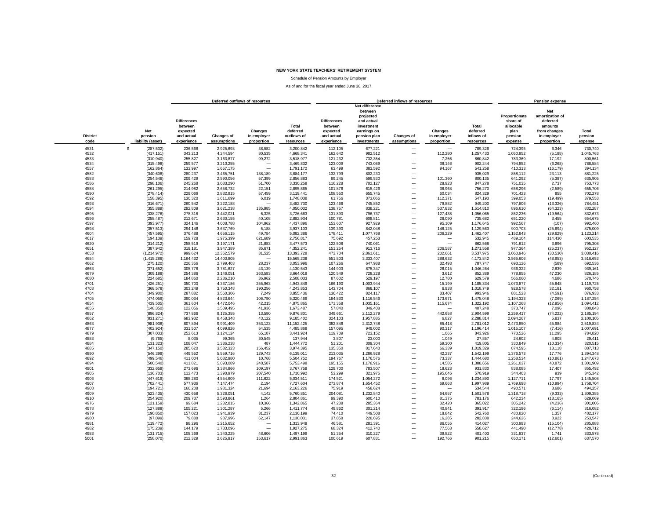Schedule of Pension Amounts by Employer

|                         |                                            |                                                                       | Deferred outflows of resources   |                                      |                                               |                                                                       |                                                                                                                  | Deferred inflows of resources    |                                      |                                              |                                                                      | <b>Pension expense</b>                                                                            |                                    |
|-------------------------|--------------------------------------------|-----------------------------------------------------------------------|----------------------------------|--------------------------------------|-----------------------------------------------|-----------------------------------------------------------------------|------------------------------------------------------------------------------------------------------------------|----------------------------------|--------------------------------------|----------------------------------------------|----------------------------------------------------------------------|---------------------------------------------------------------------------------------------------|------------------------------------|
| <b>District</b><br>code | <b>Net</b><br>pension<br>liability (asset) | <b>Differences</b><br>between<br>expected<br>and actual<br>experience | <b>Changes of</b><br>assumptions | Changes<br>in employer<br>proportion | Total<br>deferred<br>outflows of<br>resources | <b>Differences</b><br>between<br>expected<br>and actual<br>experience | Net difference<br>between<br>projected<br>and actual<br>investment<br>earnings on<br>pension plan<br>investments | <b>Changes of</b><br>assumptions | Changes<br>in employer<br>proportion | Total<br>deferred<br>inflows of<br>resources | Proportionate<br>share of<br>allocable<br>plan<br>pension<br>expense | <b>Net</b><br>amortization of<br>deferred<br>amounts<br>from changes<br>in employer<br>proportion | <b>Total</b><br>pension<br>expense |
| 4531                    | S.<br>(287, 532)                           | 236,568                                                               | 2,925,693                        | 38,582                               | 3,200,842                                     | 112,105                                                               | 677,221                                                                                                          |                                  | $\overline{\phantom{a}}$             | 789,326                                      | 724,395                                                              | 6,346                                                                                             | 730,740                            |
| 4532                    | (417.151)                                  | 343.213                                                               | 4.244.594                        | 80.535                               | 4.668.341                                     | 162.642                                                               | 982.512                                                                                                          | $\overline{\phantom{0}}$         | 112.280                              | 1.257.433                                    | 1,050,952                                                            | (5, 188)                                                                                          | 1,045,763                          |
| 4533                    | (310, 940)                                 | 255,827                                                               | 3,163,877                        | 99,272                               | 3,518,977                                     | 121,232                                                               | 732,354                                                                                                          | $\equiv$                         | 7,256                                | 860,842                                      | 783,369                                                              | 17,192                                                                                            | 800,561                            |
| 4534                    | (315, 498)                                 | 259,577                                                               | 3,210,255                        |                                      | 3,469,832                                     | 123,009                                                               | 743,089                                                                                                          | $\overline{\phantom{0}}$         | 36,146                               | 902,244                                      | 794,852                                                              | (6, 268)                                                                                          | 788,584                            |
| 4557                    | (162.864)                                  | 133.997                                                               | 1.657.175                        |                                      | 1.791.172                                     | 63.499                                                                | 383.592                                                                                                          | $\overline{\phantom{0}}$         | 94,167                               | 541.258                                      | 410.313                                                              | (16, 179)                                                                                         | 394,134                            |
| 4582                    | (340, 608)                                 | 280,237                                                               | 3,465,751                        | 138,189                              | 3,884,177                                     | 132,799                                                               | 802,230                                                                                                          | $\overline{\phantom{0}}$         |                                      | 935,029                                      | 858,112                                                              | 23,113                                                                                            | 881,225                            |
| 4583                    | (254, 546)                                 | 209,429                                                               | 2,590,056                        | 57,399                               | 2,856,883                                     | 99,245                                                                | 599,530                                                                                                          | $\overline{\phantom{0}}$         | 101,360                              | 800,135                                      | 641,292                                                              | (5, 387)                                                                                          | 635,905                            |
| 4586                    | (298.106)                                  | 245.268                                                               | 3.033.290                        | 51.700                               | 3.330.258                                     | 116.228                                                               | 702.127                                                                                                          | $\overline{\phantom{0}}$         | 28.923                               | 847.278                                      | 751.035                                                              | 2.737                                                                                             | 753,773                            |
| 4588                    | (261, 295)                                 | 214,982                                                               | 2,658,732                        | 22,151                               | 2,895,865                                     | 101,876                                                               | 615,426                                                                                                          | $\overline{\phantom{a}}$         | 38,968                               | 756,270                                      | 658,296                                                              | (2, 589)                                                                                          | 655,706                            |
| 4590                    | (278, 414)                                 | 229,066                                                               | 2,832,915                        | 57,459                               | 3,119,441                                     | 108,550                                                               | 655,745                                                                                                          | $\overline{\phantom{0}}$         | 60,034                               | 824,329                                      | 701,423                                                              | 855                                                                                               | 702,278                            |
| 4592                    | (158.395)                                  | 130.320                                                               | 1.611.699                        | 6,019                                | 1.748.038                                     | 61.756                                                                | 373.066                                                                                                          | $\overline{\phantom{0}}$         | 112.371                              | 547.193                                      | 399.053                                                              | (19, 499)                                                                                         | 379,553                            |
| 4593                    | (316, 671)                                 | 260,542                                                               | 3.222.188                        | $\overline{\phantom{m}}$             | 3,482,730                                     | 123,466                                                               | 745,852                                                                                                          | $\overline{\phantom{a}}$         | 79,882                               | 949,200                                      | 797,806                                                              | (13, 326)                                                                                         | 784,481                            |
| 4594                    | (355, 889)                                 | 292,809                                                               | 3,621,238                        | 135,985                              | 4,050,032                                     | 138,757                                                               | 838,221                                                                                                          | $\overline{\phantom{0}}$         | 537,832                              | 1,514,810                                    | 896,610                                                              | (64, 323)                                                                                         | 832,287                            |
| 4595                    | (338.276)                                  | 278.318                                                               | 3.442.021                        | 6.325                                | 3.726.663                                     | 131,890                                                               | 796.737                                                                                                          | $\overline{\phantom{0}}$         | 127.438                              | 1,056,065                                    | 852.236                                                              | (19, 564)                                                                                         | 832.673                            |
| 4596                    | (258, 487)                                 | 212,671                                                               | 2,630,155                        | 40,108                               | 2,882,934                                     | 100,781                                                               | 608,811                                                                                                          | $\equiv$                         | 26,090                               | 735,682                                      | 651,220                                                              | 3,455                                                                                             | 654,675                            |
| 4597                    | (393, 977)                                 | 324,146                                                               | 4,008,788                        | 104,962                              | 4,437,896                                     | 153,607                                                               | 927,929                                                                                                          | $\overline{\phantom{0}}$         | 95,109                               | 1,176,645                                    | 992,567                                                              | (107)                                                                                             | 992,460                            |
| 4598                    | (357.513)                                  | 294.146                                                               | 3.637.769                        | 5.188                                | 3.937.103                                     | 139.390                                                               | 842.048                                                                                                          | $\overline{\phantom{0}}$         | 148.125                              | 1,129,563                                    | 900.703                                                              | (25.694)                                                                                          | 875,009                            |
| 4604                    | (457, 595)                                 | 376,488                                                               | 4,656,115                        | 49,784                               | 5,082,386                                     | 178,411                                                               | 1,077,768                                                                                                        | $\overline{\phantom{a}}$         | 206,229                              | 1,462,407                                    | 1,152,843                                                            | (29, 629)                                                                                         | 1,123,214                          |
| 4617                    | (194, 139)                                 | 159,728                                                               | 1,975,399                        | 621,689                              | 2,756,817                                     | 75,692                                                                | 457,253                                                                                                          | $\overline{\phantom{0}}$         | $\overline{\phantom{0}}$             | 532,945                                      | 489,104                                                              | 114,430                                                                                           | 603,535                            |
| 4620                    | (314.212)                                  | 258,519                                                               | 3.197.171                        | 21.883                               | 3.477.573                                     | 122.508                                                               | 740.061                                                                                                          | $\overline{\phantom{0}}$         | $\overline{\phantom{0}}$             | 862.568                                      | 791.612                                                              | 3,696                                                                                             | 795,308                            |
| 4651                    | (387, 942)                                 | 319,181                                                               | 3,947,389                        | 85,671                               | 4,352,241                                     | 151,254                                                               | 913,716                                                                                                          | $\overline{\phantom{a}}$         | 206,587                              | 1,271,558                                    | 977,364                                                              | (25, 237)                                                                                         | 952,127                            |
| 4653                    | (1, 214, 972)                              | 999,624                                                               | 12,362,579                       | 31,525                               | 13,393,728                                    | 473,704                                                               | 2,861,611                                                                                                        | $\overline{\phantom{a}}$         | 202,661                              | 3,537,975                                    | 3,060,946                                                            | (30, 530)                                                                                         | 3,030,416                          |
| 4654                    | (1,415,286)                                | 1.164.432                                                             | 14.400.805                       | $\overline{\phantom{a}}$             | 15.565.238                                    | 551.803                                                               | 3.333.407                                                                                                        | $\overline{\phantom{0}}$         | 288.632                              | 4.173.842                                    | 3.565.606                                                            | (48, 953)                                                                                         | 3,516,653                          |
| 4662                    | (275, 120)                                 | 226,356                                                               | 2,799,403                        | 28,237                               | 3,053,996                                     | 107,266                                                               | 647,988                                                                                                          | $\overline{\phantom{a}}$         | 32,493                               | 787,747                                      | 693,126                                                              | (589)                                                                                             | 692,536                            |
| 4663                    | (371, 652)                                 | 305,778                                                               | 3,781,627                        | 43,139                               | 4,130,543                                     | 144,903                                                               | 875,347                                                                                                          | $\overline{\phantom{0}}$         | 26,015                               | 1,046,264                                    | 936,322                                                              | 2,839                                                                                             | 939,161                            |
| 4679                    | (309, 188)                                 | 254,386                                                               | 3,146,051                        | 263,583                              | 3,664,019                                     | 120,549                                                               | 728,228                                                                                                          | $\overline{\phantom{0}}$         | 3,612                                | 852,389                                      | 778,955                                                              | 47,230                                                                                            | 826,185                            |
| 4680                    | (224, 685)                                 | 184,860                                                               | 2,286,210                        | 36,962                               | 2,508,033                                     | 87,602                                                                | 529,197                                                                                                          | $\equiv$                         | 12,780                               | 629,579                                      | 566,060                                                              | 4,686                                                                                             | 570,746                            |
| 4701                    | (426, 251)                                 | 350,700                                                               | 4,337,186                        | 255,963                              | 4,943,849                                     | 166,190                                                               | 1,003,944                                                                                                        | $\overline{\phantom{0}}$         | 15,199                               | 1,185,334                                    | 1,073,877                                                            | 45,848                                                                                            | 1,119,725                          |
| 4703                    | (368, 578)                                 | 303,249                                                               | 3,750,348                        | 190,256                              | 4,243,853                                     | 143,704                                                               | 868,107                                                                                                          | $\overline{\phantom{0}}$         | 6,938                                | 1,018,749                                    | 928,578                                                              | 32,181                                                                                            | 960,758                            |
| 4704                    | (349,900)                                  | 287,882                                                               | 3,560,306                        | 7,249                                | 3,855,436                                     | 136,422                                                               | 824,117                                                                                                          | $\overline{\phantom{a}}$         | 33,407                               | 993,946                                      | 881,523                                                              | (4, 591)                                                                                          | 876,933                            |
| 4705                    | (474, 059)                                 | 390,034                                                               | 4,823,644                        | 106,790                              | 5,320,469                                     | 184,830                                                               | 1,116,546                                                                                                        | $\overline{\phantom{0}}$         | 173,671                              | 1,475,048                                    | 1,194,323                                                            | (7,069)                                                                                           | 1,187,254                          |
| 4854                    | (439, 505)                                 | 361,604                                                               | 4,472,046                        | 42,215                               | 4,875,865                                     | 171,358                                                               | 1,035,161                                                                                                        | $\overline{\phantom{0}}$         | 115,674                              | 1,322,192                                    | 1,107,268                                                            | (12, 856)                                                                                         | 1,094,412                          |
| 4855                    | (148, 350)                                 | 122,056                                                               | 1,509,495                        | 41,936                               | 1,673,487                                     | 57,840                                                                | 349,408                                                                                                          | $\overline{\phantom{a}}$         | $\overline{\phantom{m}}$             | 407,248                                      | 373,747                                                              | 7,096                                                                                             | 380,843                            |
| 4857                    | (896, 824)                                 | 737,866                                                               | 9,125,355                        | 13,580                               | 9,876,801                                     | 349,661                                                               | 2,112,279                                                                                                        | $\overline{\phantom{a}}$         | 442,658                              | 2,904,599                                    | 2,259,417                                                            | (74, 222)                                                                                         | 2,185,194                          |
| 4862                    | (831, 271)                                 | 683,932                                                               | 8,458,348                        | 43,122                               | 9,185,402                                     | 324,103                                                               | 1,957,885                                                                                                        | $\overline{\phantom{0}}$         | 6,827                                | 2,288,814                                    | 2,094,267                                                            | 5,837                                                                                             | 2,100,105                          |
| 4863                    | (981, 938)                                 | 807,894                                                               | 9,991,409                        | 353,123                              | 11, 152, 425                                  | 382,846                                                               | 2,312,748                                                                                                        | $\overline{\phantom{a}}$         | 85,418                               | 2,781,012                                    | 2,473,850                                                            | 45,984                                                                                            | 2,519,834                          |
| 4877                    | (402, 924)                                 | 331,507                                                               | 4,099,826                        | 54,535                               | 4,485,868                                     | 157,095                                                               | 949,002                                                                                                          | $\overline{\phantom{0}}$         | 90,317                               | 1,196,414                                    | 1,015,107                                                            | (7, 416)                                                                                          | 1,007,691                          |
| 4879                    | (307, 033)                                 | 252,613                                                               | 3,124,124                        | 65,187                               | 3,441,924                                     | 119,709                                                               | 723,152                                                                                                          | $\overline{\phantom{0}}$         | 1,065                                | 843,926                                      | 773,526                                                              | 11,295                                                                                            | 784,820                            |
| 4883                    | (9,765)                                    | 8,035                                                                 | 99,365                           | 30,545                               | 137,944                                       | 3,807                                                                 | 23,000                                                                                                           | $\equiv$                         | 1,049                                | 27,857                                       | 24,602                                                               | 4,808                                                                                             | 29,411                             |
| 4884                    | (131, 323)                                 | 108,047                                                               | 1,336,238                        | 487                                  | 1,444,772                                     | 51,201                                                                | 309,304                                                                                                          |                                  | 59,300                               | 419,805                                      | 330,849                                                              | (10, 334)                                                                                         | 320,515                            |
| 4885                    | (347, 150)                                 | 285,620                                                               | 3,532,323                        | 156,452                              | 3,974,395                                     | 135,350                                                               | 817,640                                                                                                          | $\overline{\phantom{0}}$         | 66,339                               | 1,019,329                                    | 874,595                                                              | 13,118                                                                                            | 887,713                            |
| 4890                    | (546, 399)                                 | 449,552                                                               | 5,559,716                        | 129,743                              | 6,139,011                                     | 213,035                                                               | 1,286,928                                                                                                        | $\overline{\phantom{a}}$         | 42,237                               | 1,542,199                                    | 1,376,573                                                            | 17,776                                                                                            | 1,394,348                          |
| 4892                    | (499, 546)                                 | 411,004                                                               | 5,082,980                        | 10,768                               | 5,504,752                                     | 194,767                                                               | 1,176,576                                                                                                        | $\overline{\phantom{0}}$         | 73,337                               | 1,444,680                                    | 1,258,534                                                            | (10, 861)                                                                                         | 1,247,673                          |
| 4894                    | (500, 540)                                 | 411,821                                                               | 5,093,089                        | 248,587                              | 5,753,498                                     | 195,155                                                               | 1,178,916                                                                                                        | $\overline{\phantom{0}}$         | 14,585                               | 1,388,656                                    | 1,261,037                                                            | 40,872                                                                                            | 1,301,909                          |
| 4901                    | (332, 659)                                 | 273,696                                                               | 3,384,866                        | 109,197                              | 3,767,759                                     | 129,700                                                               | 783,507                                                                                                          | $\overline{\phantom{a}}$         | 18,623                               | 931,830                                      | 838,085                                                              | 17,407                                                                                            | 855,492                            |
| 4905                    | (136, 703)                                 | 112,473                                                               | 1,390,979                        | 207,540                              | 1,710,992                                     | 53,299                                                                | 321,975                                                                                                          | $\overline{\phantom{a}}$         | 195,646                              | 570,919                                      | 344,403                                                              | 939                                                                                               | 345,342                            |
| 4906                    | (447, 619)                                 | 368,280                                                               | 4,554,609                        | 111,622                              | 5,034,511                                     | 174,521                                                               | 1,054,272                                                                                                        | $\overline{\phantom{0}}$         | 6,096                                | 1,234,890                                    | 1,127,711                                                            | 17,797                                                                                            | 1,145,508                          |
| 4907                    | (702, 441)                                 | 577,936                                                               | 7,147,474                        | 2,194                                | 7,727,604                                     | 273,874                                                               | 1,654,452                                                                                                        | $\overline{\phantom{a}}$         | 69,663                               | 1,997,989                                    | 1,769,698                                                            | (10, 994)                                                                                         | 1,758,704                          |
| 4908                    | (194, 721)                                 | 160,208                                                               | 1,981,324                        | 21,694                               | 2,163,226                                     | 75,919                                                                | 458,624                                                                                                          | $\overline{\phantom{0}}$         |                                      | 534,544                                      | 490,571                                                              | 3,686                                                                                             | 494,257                            |
| 4909                    | (523, 435)                                 | 430,658                                                               | 5,326,051                        | 4,142                                | 5,760,851                                     | 204,081                                                               | 1,232,840                                                                                                        | $\overline{\phantom{0}}$         | 64,657                               | 1,501,578                                    | 1,318,718                                                            | (9, 333)                                                                                          | 1,309,385                          |
| 4910                    | (254, 920)                                 | 209,737                                                               | 2,593,861                        | 1,264                                | 2,804,861                                     | 99,390                                                                | 600,410                                                                                                          | $\overline{\phantom{a}}$         | 81,375                               | 781,176                                      | 642,234                                                              | (13, 165)                                                                                         | 629,069                            |
| 4976                    | (121, 159)                                 | 99,684                                                                | 1,232,815                        | 10,366                               | 1,342,865                                     | 47,238                                                                | 285,364                                                                                                          | $\overline{\phantom{0}}$         | 32,420                               | 365,022                                      | 305,242                                                              | (4,236)                                                                                           | 301,006                            |
| 4978                    | (127, 888)                                 | 105,221                                                               | 1,301,287                        | 5,266                                | 1,411,774                                     | 49,862                                                                | 301,214                                                                                                          | $\overline{\phantom{0}}$         | 40,841                               | 391,917                                      | 322,196                                                              | (6, 114)                                                                                          | 316,082                            |
| 4979                    | (190, 850)                                 | 157,023                                                               | 1,941,939                        | 31,237                               | 2,130,199                                     | 74,410                                                                | 449,508                                                                                                          | $\overline{\phantom{0}}$         | 18,842                               | 542,760                                      | 480,820                                                              | 1,357                                                                                             | 482,177                            |
| 4980                    | (97,099)                                   | 79,888                                                                | 987,996                          | 62,147                               | 1,130,031                                     | 37,858                                                                | 228,695                                                                                                          | $\overline{\phantom{0}}$         | 16,285                               | 282,838                                      | 244,626                                                              | 8,922                                                                                             | 253,547                            |
| 4981                    | (119, 472)                                 | 98,296                                                                | 1,215,652                        |                                      | 1,313,949                                     | 46,581                                                                | 281,391                                                                                                          |                                  | 86,055                               | 414,027                                      | 300,993                                                              | (15, 104)                                                                                         | 285,888                            |
| 4982                    | (175, 239)                                 | 144.179                                                               | 1,783,096                        |                                      | 1,927,275                                     | 68.324                                                                | 412.740                                                                                                          | $\overline{\phantom{0}}$         | 77,563                               | 558,627                                      | 441.490                                                              | (12, 778)                                                                                         | 428,712                            |
| 4983                    | (131, 715)                                 | 108,369                                                               | 1,340,225                        | 48,606                               | 1,497,199                                     | 51,354                                                                | 310,227                                                                                                          | $\overline{\phantom{a}}$         | 39,822                               | 401,403                                      | 331,837                                                              | 1,741                                                                                             | 333,578                            |
| 5001                    | (258,070)                                  | 212,329                                                               | 2,625,917                        | 153,617                              | 2,991,863                                     | 100,619                                                               | 607,831                                                                                                          |                                  | 192,766                              | 901,215                                      | 650,171                                                              | (12,601)                                                                                          | 637,570                            |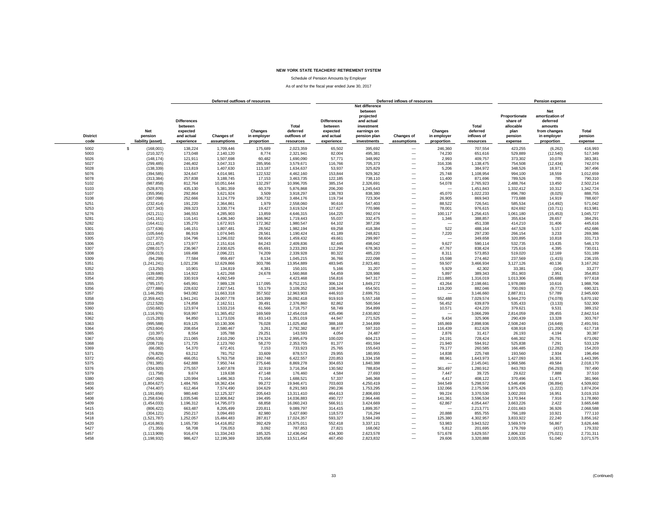Schedule of Pension Amounts by Employer

|                         |                                            |                                                                       |                                  | Deferred outflows of resources       |                                               |                                                                       |                                                                                                                  | Deferred inflows of resources        |                                             |                                              |                                                                      | <b>Pension expense</b>                                                                            |                             |
|-------------------------|--------------------------------------------|-----------------------------------------------------------------------|----------------------------------|--------------------------------------|-----------------------------------------------|-----------------------------------------------------------------------|------------------------------------------------------------------------------------------------------------------|--------------------------------------|---------------------------------------------|----------------------------------------------|----------------------------------------------------------------------|---------------------------------------------------------------------------------------------------|-----------------------------|
| <b>District</b><br>code | <b>Net</b><br>pension<br>liability (asset) | <b>Differences</b><br>between<br>expected<br>and actual<br>experience | <b>Changes of</b><br>assumptions | Changes<br>in employer<br>proportion | Total<br>deferred<br>outflows of<br>resources | <b>Differences</b><br>between<br>expected<br>and actual<br>experience | Net difference<br>between<br>projected<br>and actual<br>investment<br>earnings on<br>pension plan<br>investments | <b>Changes of</b><br>assumptions     | <b>Changes</b><br>in employer<br>proportion | Total<br>deferred<br>inflows of<br>resources | Proportionate<br>share of<br>allocable<br>plan<br>pension<br>expense | <b>Net</b><br>amortization of<br>deferred<br>amounts<br>from changes<br>in employer<br>proportion | Total<br>pension<br>expense |
| 5002                    | \$<br>(168,001)                            | 138,224                                                               | 1,709,446                        | 175,689                              | 2,023,359                                     | 65,502                                                                | 395,692                                                                                                          | $\overline{\phantom{0}}$             | 246,360                                     | 707,554                                      | 423,255                                                              | (6, 262)                                                                                          | 416,993                     |
| 5003                    | (210, 327)                                 | 173,048                                                               | 2,140,120                        | 8,774                                | 2,321,941                                     | 82,004                                                                | 495,381                                                                                                          | $\qquad \qquad -$                    | 74,230                                      | 651,616                                      | 529,889                                                              | (12, 540)                                                                                         | 517,349                     |
| 5026                    | (148.174)                                  | 121.911                                                               | 1.507.698                        | 60.482                               | 1,690,090                                     | 57,771                                                                | 348,992                                                                                                          | $\overline{\phantom{0}}$             | 2,993                                       | 409,757                                      | 373,302                                                              | 10,078                                                                                            | 383,381                     |
| 5027                    | (299, 485)                                 | 246,402                                                               | 3,047,313                        | 285,956                              | 3,579,671                                     | 116,766                                                               | 705,373                                                                                                          | $\overline{\phantom{0}}$             | 316,336                                     | 1,138,475                                    | 754,508                                                              | (12, 434)                                                                                         | 742,074                     |
| 5028                    | (138, 339)                                 | 113,819                                                               | 1,407,630                        | 113,187                              | 1,634,637                                     | 53,937                                                                | 325,829                                                                                                          | $\equiv$                             | 5,206                                       | 384,972                                      | 348,526                                                              | 18,971                                                                                            | 367,496                     |
| 5076                    | (394, 585)                                 | 324,647                                                               | 4,014,981                        | 122,532                              | 4,462,160                                     | 153,844                                                               | 929,362                                                                                                          | $\equiv$                             | 25,748                                      | 1,108,954                                    | 994,100                                                              | 18,559                                                                                            | 1,012,659                   |
| 5078                    | (313, 384)                                 | 257,838                                                               | 3,188,745                        | 17,153                               | 3,463,735                                     | 122,185                                                               | 738,110                                                                                                          | $\equiv$                             | 11,400                                      | 871,696                                      | 789,526                                                              | 785                                                                                               | 790,310                     |
| 5102                    | (987, 858)                                 | 812,764                                                               | 10,051,644                       | 132,297                              | 10,996,705                                    | 385,154                                                               | 2,326,691                                                                                                        | $\overline{\phantom{0}}$             | 54,078                                      | 2,765,923                                    | 2,488,764                                                            | 13,450                                                                                            | 2,502,214                   |
| 5103                    | (528, 870)                                 | 435,130                                                               | 5,381,359                        | 60,379                               | 5,876,868                                     | 206,200                                                               | 1,245,643                                                                                                        | $\overline{\phantom{0}}$             | $\overline{\phantom{m}}$                    | 1,451,843                                    | 1,332,412                                                            | 10,312                                                                                            | 1,342,724                   |
| 5107                    | (355, 956)                                 | 292,864                                                               | 3,621,924                        | 3,509                                | 3,918,297                                     | 138,783                                                               | 838,380                                                                                                          | $\overline{\phantom{0}}$             | 45,070                                      | 1,022,233                                    | 896,780                                                              | (8,025)                                                                                           | 888,755                     |
| 5108                    | (307,098)                                  | 252,666                                                               | 3,124,779                        | 106,732                              | 3,484,176                                     | 119,734                                                               | 723,304                                                                                                          | $\overline{\phantom{0}}$             | 26,905                                      | 869,943                                      | 773,688                                                              | 14,919                                                                                            | 788,607                     |
| 5251                    | (232, 414)                                 | 191,220                                                               | 2,364,861                        | 1,979                                | 2,558,060                                     | 90,616                                                                | 547,403                                                                                                          | $\overline{\phantom{0}}$             | 88,522                                      | 726,541                                      | 585,534                                                              | (14, 492)                                                                                         | 571,042                     |
| 5253                    | (327, 343)                                 | 269,323                                                               | 3,330,774                        | 19,427                               | 3,619,524                                     | 127,627                                                               | 770,986                                                                                                          | $\overline{\phantom{0}}$             | 78,001                                      | 976,615                                      | 824,692                                                              | (10, 711)                                                                                         | 813,981                     |
| 5276                    | (421, 211)                                 | 346,553                                                               | 4,285,903                        | 13,859                               | 4,646,315                                     | 164,225                                                               | 992,074                                                                                                          | $\equiv$                             | 100,117                                     | 1,256,415                                    | 1,061,180                                                            | (15, 453)                                                                                         | 1,045,727                   |
| 5281                    | (141, 161)                                 | 116,141                                                               | 1,436,340                        | 166,962                              | 1,719,443                                     | 55,037                                                                | 332,475                                                                                                          | $\overline{\phantom{0}}$             | 1,346                                       | 388,857                                      | 355,634                                                              | 28,657                                                                                            | 384,291                     |
| 5282<br>5301            | (164, 411)<br>(177, 636)                   | 135,270                                                               | 1,672,915<br>1,807,481           | 172,362<br>28,562                    | 1,980,547<br>1,982,194                        | 64,102                                                                | 387,236<br>418,384                                                                                               | $\equiv$<br>$\equiv$                 | 522                                         | 451,338                                      | 414,210<br>447,528                                                   | 31,406<br>5,157                                                                                   | 445,616<br>452,686          |
| 5303                    | (105, 644)                                 | 146,151<br>86,919                                                     | 1,074,945                        | 28,561                               | 1,190,424                                     | 69,258<br>41,189                                                      | 248,821                                                                                                          | $\overline{\phantom{0}}$             | 7,220                                       | 488,164<br>297,230                           | 266,154                                                              | 3,233                                                                                             | 269,386                     |
| 5305                    | (127, 372)                                 | 104,796                                                               | 1,296,032                        | 58,604                               | 1,459,432                                     | 49,661                                                                | 299,997                                                                                                          | $\overline{\phantom{0}}$             | $\frac{1}{2}$                               | 349,658                                      | 320,895                                                              | 10,818                                                                                            | 331,713                     |
| 5306                    | (211, 457)                                 | 173,977                                                               | 2,151,616                        | 84,243                               | 2,409,836                                     | 82,445                                                                | 498,042                                                                                                          | $\overline{\phantom{0}}$             | 9,627                                       | 590,114                                      | 532,735                                                              | 13,435                                                                                            | 546,170                     |
| 5307                    | (288, 017)                                 | 236,967                                                               | 2,930,625                        | 65,691                               | 3,233,283                                     | 112,294                                                               | 678,363                                                                                                          | $\overline{\phantom{0}}$             | 47.767                                      | 838,424                                      | 725,616                                                              | 4,395                                                                                             | 730,011                     |
| 5308                    | (206, 013)                                 | 169,498                                                               | 2,096,221                        | 74,209                               | 2,339,928                                     | 80,322                                                                | 485,220                                                                                                          | $\overline{\phantom{0}}$             | 8,311                                       | 573,853                                      | 519,020                                                              | 12,169                                                                                            | 531,189                     |
| 5309                    | (94, 298)                                  | 77,584                                                                | 959,497                          | 8,134                                | 1,045,215                                     | 36,766                                                                | 222,098                                                                                                          | $\overline{\phantom{0}}$             | 15,598                                      | 274,462                                      | 237,569                                                              | (1, 415)                                                                                          | 236,155                     |
| 5351                    | (1,241,241)                                | 1,021,236                                                             | 12,629,866                       | 303,786                              | 13,954,889                                    | 483,945                                                               | 2,923,481                                                                                                        | $\overline{\phantom{0}}$             | 59,507                                      | 3,466,934                                    | 3,127,126                                                            | 40,136                                                                                            | 3,167,262                   |
| 5352                    | (13,250)                                   | 10,901                                                                | 134,819                          | 4,381                                | 150,101                                       | 5,166                                                                 | 31,207                                                                                                           | $\overline{\phantom{0}}$             | 5,929                                       | 42,302                                       | 33,381                                                               | (104)                                                                                             | 33,277                      |
| 5353                    | (139, 680)                                 | 114.922                                                               | 1.421.268                        | 24,678                               | 1,560,868                                     | 54.459                                                                | 328,986                                                                                                          | $\overline{\phantom{0}}$             | 5.897                                       | 389.343                                      | 351,903                                                              | 2,951                                                                                             | 354,853                     |
| 5354                    | (402, 208)                                 | 330,919                                                               | 4,092,549                        |                                      | 4,423,468                                     | 156,816                                                               | 947,317                                                                                                          | $\equiv$                             | 211,885                                     | 1,316,019                                    | 1,013,306                                                            | (35, 688)                                                                                         | 977,618                     |
| 5355                    | (785, 157)                                 | 645,991                                                               | 7,989,128                        | 117,095                              | 8,752,215                                     | 306,124                                                               | 1,849,272                                                                                                        | $\overline{\phantom{0}}$             | 43,264                                      | 2,198,661                                    | 1,978,089                                                            | 10,616                                                                                            | 1,988,706                   |
| 5356                    | (277, 886)                                 | 228,632                                                               | 2,827,541                        | 53,179                               | 3,109,352                                     | 108,344                                                               | 654,501                                                                                                          | $\overline{\phantom{0}}$             | 119,200                                     | 882,046                                      | 700,093                                                              | (9, 772)                                                                                          | 690,321                     |
| 5357                    | (1, 146, 250)                              | 943,082                                                               | 11,663,318                       | 357,502                              | 12,963,903                                    | 446,910                                                               | 2,699,751                                                                                                        | $\overline{\phantom{0}}$             | $\overline{\phantom{0}}$                    | 3,146,660                                    | 2,887,811                                                            | 57,789                                                                                            | 2,945,600                   |
| 5358                    | (2,359,442)                                | 1,941,241                                                             | 24,007,778                       | 143,399                              | 26,092,418                                    | 919,919                                                               | 5,557,168                                                                                                        | —<br>$\equiv$                        | 552,488                                     | 7,029,574                                    | 5,944,270                                                            | (74, 078)                                                                                         | 5,870,192                   |
| 5359<br>5360            | (212, 528)<br>(150, 682)                   | 174,858<br>123,974                                                    | 2,162,511<br>1,533,216           | 39,491<br>61,566                     | 2,376,860<br>1,718,757                        | 82,862<br>58.749                                                      | 500,564<br>354,899                                                                                               | $\overline{\phantom{0}}$             | 56,452<br>10,571                            | 639,879<br>424,220                           | 535,433<br>379,621                                                   | (3, 133)<br>9,531                                                                                 | 532,300<br>389,152          |
| 5361                    | (1, 116, 976)                              | 918,997                                                               | 11,365,452                       | 169,569                              | 12,454,018                                    | 435,496                                                               | 2,630,802                                                                                                        | $\overline{\phantom{0}}$             | $\sim$                                      | 3,066,299                                    | 2,814,059                                                            | 28,455                                                                                            | 2,842,514                   |
| 5362                    | (115, 283)                                 | 94,850                                                                | 1,173,026                        | 83,143                               | 1,351,019                                     | 44,947                                                                | 271,525                                                                                                          | $\overline{\phantom{0}}$             | 9,434                                       | 325,906                                      | 290,439                                                              | 13,328                                                                                            | 303,767                     |
| 5363                    | (995, 588)                                 | 819,125                                                               | 10,130,306                       | 76,028                               | 11,025,458                                    | 388,168                                                               | 2,344,899                                                                                                        | $\overline{\phantom{0}}$             | 165,869                                     | 2,898,936                                    | 2,508,240                                                            | (16, 649)                                                                                         | 2,491,591                   |
| 5364                    | (253, 604)                                 | 208,654                                                               | 2,580,467                        | 3,261                                | 2,792,382                                     | 98,877                                                                | 597,310                                                                                                          | $\equiv$                             | 116,439                                     | 812,626                                      | 638,918                                                              | (21, 200)                                                                                         | 617,718                     |
| 5365                    | (10, 397)                                  | 8,554                                                                 | 105,788                          | 29,251                               | 143,593                                       | 4,054                                                                 | 24,487                                                                                                           | $\overline{\phantom{0}}$             | 2,876                                       | 31,417                                       | 26,193                                                               | 4,194                                                                                             | 30,387                      |
| 5367                    | (256, 535)                                 | 211,065                                                               | 2,610,290                        | 174,324                              | 2,995,679                                     | 100,020                                                               | 604,213                                                                                                          | $\equiv$                             | 24,191                                      | 728,424                                      | 646,302                                                              | 26,791                                                                                            | 673,092                     |
| 5368                    | (208, 719)                                 | 171,725                                                               | 2,123,760                        | 58,270                               | 2,353,755                                     | 81,377                                                                | 491,594                                                                                                          | $\overline{\phantom{0}}$             | 21,940                                      | 594,912                                      | 525,838                                                              | 7,291                                                                                             | 533,129                     |
| 5369                    | (66, 082)                                  | 54,370                                                                | 672,401                          | 7,153                                | 733,923                                       | 25,765                                                                | 155,643                                                                                                          | $\overline{\phantom{0}}$             | 79,177                                      | 260,585                                      | 166,485                                                              | (12, 282)                                                                                         | 154,203                     |
| 5371                    | (76, 829)                                  | 63,212                                                                | 781,752                          | 33,609                               | 878,573                                       | 29,955                                                                | 180,955                                                                                                          | $\overline{\phantom{0}}$             | 14,838                                      | 225,748                                      | 193,560                                                              | 2,934                                                                                             | 196,494                     |
| 5372                    | (566, 452)                                 | 466,051                                                               | 5,763,758                        | 192,748                              | 6,422,557                                     | 220,853                                                               | 1,334,158                                                                                                        | $\overline{\phantom{0}}$             | 88,961                                      | 1,643,973                                    | 1,427,093                                                            | 16,301                                                                                            | 1,443,395                   |
| 5375                    | (781, 385)                                 | 642,888                                                               | 7,950,744                        | 275,646                              | 8,869,278                                     | 304,653                                                               | 1,840,388                                                                                                        | $\overline{\phantom{0}}$             |                                             | 2,145,041                                    | 1,968,586                                                            | 49,584                                                                                            | 2,018,170                   |
| 5376                    | (334, 920)                                 | 275,557                                                               | 3,407,878                        | 32,919                               | 3,716,354                                     | 130,582                                                               | 788,834                                                                                                          | $\overline{\phantom{0}}$             | 361,497                                     | 1,280,912                                    | 843,783                                                              | (56, 293)                                                                                         | 787,490                     |
| 5379                    | (11,758)                                   | 9,674                                                                 | 119,638                          | 47,148                               | 176,460                                       | 4,584                                                                 | 27,693                                                                                                           | $\overline{\phantom{0}}$             | 7,447                                       | 39,725                                       | 29,622                                                               | 7,888                                                                                             | 37,510                      |
| 5380<br>5403            | (147,060)                                  | 120,994<br>1,484,765                                                  | 1,496,363<br>18,362,434          | 71,164<br>99,272                     | 1,688,521<br>19,946,471                       | 57,337<br>703,603                                                     | 346,368                                                                                                          | $\overline{\phantom{0}}$<br>$\equiv$ | 4,417<br>344,549                            | 408.122<br>5,298,572                         | 370,496                                                              | 11,471                                                                                            | 381,966<br>4,509,602        |
| 5406                    | (1,804,627)<br>(744, 407)                  | 612,464                                                               | 7.574.490                        | 104.629                              | 8,291,583                                     | 290.236                                                               | 4,250,419<br>1,753,295                                                                                           | $\overline{\phantom{0}}$             | 132.066                                     | 2,175,596                                    | 4,546,496<br>1,875,426                                               | (36, 894)<br>(1,222)                                                                              | 1,874,204                   |
| 5407                    | (1, 191, 656)                              | 980,440                                                               | 12,125,327                       | 205,643                              | 13,311,410                                    | 464,613                                                               | 2,806,693                                                                                                        | $\overline{\phantom{0}}$             | 99,224                                      | 3,370,530                                    | 3,002,203                                                            | 16,951                                                                                            | 3,019,153                   |
| 5408                    | (1,258,634)                                | 1,035,546                                                             | 12,806,842                       | 194,495                              | 14,036,883                                    | 490,727                                                               | 2,964,446                                                                                                        | $\overline{\phantom{0}}$             | 141,361                                     | 3,596,534                                    | 3,170,944                                                            | 7,916                                                                                             | 3,178,860                   |
| 5409                    | (1,454,033)                                | 1,196,312                                                             | 14,795,073                       | 68,858                               | 16,060,243                                    | 566,911                                                               | 3,424,669                                                                                                        | $\overline{\phantom{0}}$             | 62,867                                      | 4,054,447                                    | 3,663,226                                                            | 2,422                                                                                             | 3,665,648                   |
| 5415                    | (806, 422)                                 | 663,487                                                               | 8,205,499                        | 220,811                              | 9,089,797                                     | 314,415                                                               | 1,899,357                                                                                                        | $\overline{\phantom{0}}$             | $\sim$                                      | 2,213,771                                    | 2,031,663                                                            | 36,926                                                                                            | 2,068,588                   |
| 5416                    | (304, 121)                                 | 250,217                                                               | 3,094,493                        | 82,980                               | 3,427,690                                     | 118,573                                                               | 716,294                                                                                                          | $\overline{\phantom{0}}$             | 20,888                                      | 855,755                                      | 766,189                                                              | 10,921                                                                                            | 777,110                     |
| 5418                    | (1,521,787)                                | 1,252,057                                                             | 15,484,483                       | 287,817                              | 17,024,357                                    | 593,327                                                               | 3,584,249                                                                                                        | $\overline{\phantom{0}}$             | 125,380                                     | 4,302,957                                    | 3,833,922                                                            | 22,240                                                                                            | 3,856,162                   |
| 5420                    | (1, 416, 863)                              | 1,165,730                                                             | 14,416,852                       | 392,429                              | 15,975,011                                    | 552,418                                                               | 3,337,121                                                                                                        | ÷.                                   | 53,983                                      | 3,943,522                                    | 3,569,579                                                            | 56,867                                                                                            | 3,626,446                   |
| 5427                    | (71, 355)                                  | 58,708                                                                | 726,053                          | 3,092                                | 787,853                                       | 27,821                                                                | 168,062                                                                                                          | $\overline{\phantom{0}}$             | 5,812                                       | 201,695                                      | 179,769                                                              | (437)                                                                                             | 179,332                     |
| 5457                    | (1, 113, 909)                              | 916,474                                                               | 11,334,243                       | 185,325                              | 12,436,042                                    | 434,300                                                               | 2,623,578                                                                                                        | $\equiv$                             | 571,678                                     | 3,629,557                                    | 2,806,332                                                            | (75, 021)                                                                                         | 2,731,311                   |
| 5458                    | (1, 198, 932)                              | 986,427                                                               | 12,199,369                       | 325,658                              | 13,511,454                                    | 467,450                                                               | 2,823,832                                                                                                        |                                      | 29,606                                      | 3,320,888                                    | 3,020,535                                                            | 51,040                                                                                            | 3,071,575                   |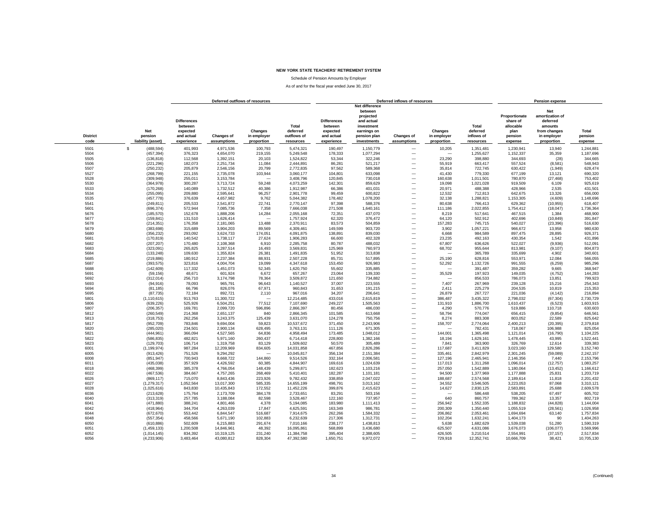Schedule of Pension Amounts by Employer

|                         |                                            |                                                                       | Deferred outflows of resources   |                                      |                                               |                                                                       |                                                                                                                  | Deferred inflows of resources    |                                      |                                              |                                                                      | <b>Pension expense</b>                                                                            |                                    |
|-------------------------|--------------------------------------------|-----------------------------------------------------------------------|----------------------------------|--------------------------------------|-----------------------------------------------|-----------------------------------------------------------------------|------------------------------------------------------------------------------------------------------------------|----------------------------------|--------------------------------------|----------------------------------------------|----------------------------------------------------------------------|---------------------------------------------------------------------------------------------------|------------------------------------|
| <b>District</b><br>code | <b>Net</b><br>pension<br>liability (asset) | <b>Differences</b><br>between<br>expected<br>and actual<br>experience | <b>Changes of</b><br>assumptions | Changes<br>in employer<br>proportion | Total<br>deferred<br>outflows of<br>resources | <b>Differences</b><br>between<br>expected<br>and actual<br>experience | Net difference<br>between<br>projected<br>and actual<br>investment<br>earnings on<br>pension plan<br>investments | <b>Changes of</b><br>assumptions | Changes<br>in employer<br>proportion | Total<br>deferred<br>inflows of<br>resources | Proportionate<br>share of<br>allocable<br>plan<br>pension<br>expense | <b>Net</b><br>amortization of<br>deferred<br>amounts<br>from changes<br>in employer<br>proportion | <b>Total</b><br>pension<br>expense |
| 5501                    | S.<br>(488, 594)                           | 401,993                                                               | 4,971,536                        | 100,793                              | 5,474,321                                     | 190,497                                                               | 1,150,779                                                                                                        |                                  | 10,205                               | 1,351,481                                    | 1,230,941                                                            | 13,940                                                                                            | 1,244,881                          |
| 5504                    | (457.394)                                  | 376.323                                                               | 4.654.070                        | 219.155                              | 5.249.548                                     | 178.333                                                               | 1,077,294                                                                                                        | $\overline{\phantom{0}}$         | $\overline{\phantom{a}}$             | 1,255,627                                    | 1,152,337                                                            | 35,359                                                                                            | 1,187,696                          |
| 5505                    | (136, 818)                                 | 112,568                                                               | 1,392,151                        | 20,103                               | 1,524,822                                     | 53,344                                                                | 322,246                                                                                                          | $\equiv$                         | 23,290                               | 398,880                                      | 344,693                                                              | (28)                                                                                              | 344,665                            |
| 5506                    | (221, 296)                                 | 182,073                                                               | 2,251,734                        | 11,084                               | 2,444,891                                     | 86,281                                                                | 521,217                                                                                                          | $\overline{\phantom{0}}$         | 55,919                               | 663,417                                      | 557,524                                                              | (8,581)                                                                                           | 548,943                            |
| 5507                    | (250.232)                                  | 205.879                                                               | 2.546.156                        | 20.799                               | 2.772.835                                     | 97.562                                                                | 589.368                                                                                                          | $\overline{\phantom{0}}$         | 35,814                               | 722.745                                      | 630.422                                                              | (1.949)                                                                                           | 628,474                            |
| 5527                    |                                            | 221,155                                                               |                                  | 103,944                              | 3,060,177                                     |                                                                       | 633,098                                                                                                          | $\overline{\phantom{a}}$         | 41,430                               |                                              | 677,199                                                              |                                                                                                   |                                    |
|                         | (268, 799)                                 |                                                                       | 2,735,078                        |                                      |                                               | 104,801                                                               |                                                                                                                  |                                  |                                      | 779,330                                      |                                                                      | 13,121                                                                                            | 690,320                            |
| 5528                    | (309, 948)                                 | 255,011                                                               | 3,153,784                        |                                      | 3,408,796                                     | 120,845                                                               | 730,018                                                                                                          | $\overline{\phantom{0}}$         | 160,638                              | 1,011,501                                    | 780,870                                                              | (27, 468)                                                                                         | 753,402                            |
| 5530                    | (364.978)                                  | 300.287                                                               | 3.713.724                        | 59.248                               | 4.073.259                                     | 142.301                                                               | 859.629                                                                                                          | $\overline{\phantom{0}}$         | 19.098                               | 1.021.028                                    | 919.509                                                              | 6,109                                                                                             | 925,619                            |
| 5533                    | (170, 268)                                 | 140,089                                                               | 1,732,512                        | 40,386                               | 1,912,987                                     | 66,386                                                                | 401,031                                                                                                          | $\overline{\phantom{a}}$         | 20,971                               | 488,388                                      | 428,966                                                              | 2,535                                                                                             | 431,501                            |
| 5534                    | (255, 095)                                 | 209,880                                                               | 2,595,641                        | 96,257                               | 2,901,778                                     | 99,459                                                                | 600,822                                                                                                          | $\overline{\phantom{0}}$         | 12,532                               | 712,813                                      | 642,675                                                              | 13,326                                                                                            | 656,000                            |
| 5535                    | (457.778)                                  | 376.639                                                               | 4.657.982                        | 9.762                                | 5.044.382                                     | 178.482                                                               | 1.078.200                                                                                                        | $\overline{\phantom{0}}$         | 32.138                               | 1.288.821                                    | 1.153.305                                                            | (4.609)                                                                                           | 1,148,696                          |
| 5541                    | (249, 811)                                 | 205,533                                                               | 2,541,872                        | 22,741                               | 2,770,147                                     | 97,398                                                                | 588,376                                                                                                          | $\overline{\phantom{a}}$         | 80,638                               | 766,413                                      | 629,362                                                              | (10, 955)                                                                                         | 618,407                            |
| 5601                    | (696, 374)                                 | 572,944                                                               | 7,085,736                        | 7,358                                | 7,666,038                                     | 271,508                                                               | 1,640,161                                                                                                        | $\overline{\phantom{0}}$         | 111,186                              | 2,022,855                                    | 1,754,412                                                            | (18, 047)                                                                                         | 1,736,364                          |
| 5676                    | (185.570)                                  | 152.678                                                               | 1.888.206                        | 14,284                               | 2.055.168                                     | 72.351                                                                | 437.070                                                                                                          | $\overline{\phantom{0}}$         | 8.219                                | 517,641                                      | 467.515                                                              | 1.384                                                                                             | 468,900                            |
| 5677                    | (159, 841)                                 | 131,510                                                               | 1,626,414                        |                                      | 1,757,924                                     | 62,320                                                                | 376,472                                                                                                          |                                  | 64,120                               | 502,912                                      | 402,696                                                              | (10, 849)                                                                                         | 391,847                            |
| 5678                    | (214, 351)                                 | 176,358                                                               | 2,181,065                        | 13,488                               | 2,370,911                                     | 83,573                                                                | 504,859                                                                                                          | $\overline{\phantom{0}}$         | 157,283                              | 745,715                                      | 540,027                                                              | (23, 396)                                                                                         | 516,630                            |
| 5679                    | (383.698)                                  | 315,689                                                               | 3.904.203                        | 89.569                               | 4.309.461                                     | 149.599                                                               | 903.720                                                                                                          | $\overline{\phantom{0}}$         | 3.902                                | 1.057.221                                    | 966.672                                                              | 13.958                                                                                            | 980.630                            |
| 5680                    | (356, 232)                                 | 293,092                                                               | 3,624,733                        | 174,051                              | 4,091,875                                     | 138,891                                                               | 839,030                                                                                                          | $\overline{\phantom{a}}$         | 6,668                                | 984,589                                      | 897,475                                                              | 28,895                                                                                            | 926,371                            |
| 5681                    | (170, 819)                                 | 140,542                                                               | 1,738,117                        | 27,624                               | 1,906,283                                     | 66,600                                                                | 402,328                                                                                                          | $\overline{\phantom{0}}$         | 23,235                               | 492,163                                      | 430,354                                                              | 1,542                                                                                             | 431,896                            |
| 5682                    | (207.207)                                  | 170.480                                                               | 2.108.368                        | 6.910                                | 2.285.758                                     | 80.787                                                                | 488.032                                                                                                          | $\overline{\phantom{0}}$         | 67.807                               | 636.626                                      | 522.027                                                              | (9.936)                                                                                           | 512,091                            |
| 5683                    | (323,091)                                  | 265,825                                                               | 3,287,514                        | 16,493                               | 3,569,831                                     | 125,969                                                               | 760,973                                                                                                          | $\overline{\phantom{a}}$         | 68,702                               | 955,644                                      | 813,981                                                              | (9, 107)                                                                                          | 804,873                            |
| 5684                    | (133, 248)                                 | 109,630                                                               | 1,355,824                        | 26,381                               | 1,491,835                                     | 51,952                                                                | 313,838                                                                                                          | $\overline{\phantom{0}}$         | $\sim$                               | 365,789                                      | 335,699                                                              | 4,902                                                                                             | 340,601                            |
| 5685                    | (219.886)                                  | 180.912                                                               | 2.237.384                        | 88.931                               | 2.507.228                                     | 85.731                                                                | 517.895                                                                                                          | $\overline{\phantom{0}}$         | 25.190                               | 628.816                                      | 553.971                                                              | 12.084                                                                                            | 566,055                            |
| 5687                    | (393, 575)                                 | 323,816                                                               | 4,004,704                        | 19,099                               | 4,347,618                                     | 153,450                                                               | 926,983                                                                                                          | $\overline{\phantom{a}}$         | 52,292                               | 1,132,726                                    | 991,555                                                              | (6, 259)                                                                                          | 985,296                            |
| 5688                    |                                            | 117,332                                                               | 1,451,073                        | 52,345                               | 1,620,750                                     | 55,602                                                                | 335,885                                                                                                          | $\overline{\phantom{0}}$         | $\overline{\phantom{0}}$             | 391,487                                      | 359,282                                                              | 9,665                                                                                             | 368,947                            |
| 5691                    | (142, 609)<br>(59, 156)                    | 48,671                                                                | 601,924                          | 6,672                                | 657,267                                       | 23,064                                                                | 139,330                                                                                                          | $\overline{\phantom{0}}$         | 35,529                               | 197,923                                      | 149,035                                                              | (4, 752)                                                                                          | 144,283                            |
|                         |                                            |                                                                       |                                  |                                      |                                               |                                                                       |                                                                                                                  | $\equiv$                         |                                      |                                              |                                                                      |                                                                                                   |                                    |
| 5692                    | (312, 014)                                 | 256,710                                                               | 3,174,798                        | 78,364                               | 3,509,872                                     | 121,650                                                               | 734,882                                                                                                          |                                  |                                      | 856,533                                      | 786,073                                                              | 13,851                                                                                            | 799,923                            |
| 5693                    | (94, 916)                                  | 78,093                                                                | 965,791                          | 96,643                               | 1,140,527                                     | 37,007                                                                | 223,555                                                                                                          | $\overline{\phantom{0}}$         | 7,407                                | 267,969                                      | 239,128                                                              | 15,216                                                                                            | 254,343                            |
| 5694                    | (81, 185)                                  | 66,796                                                                | 826,076                          | 67,971                               | 960,843                                       | 31,653                                                                | 191,215                                                                                                          | $\overline{\phantom{0}}$         | 2,411                                | 225,279                                      | 204,535                                                              | 10,819                                                                                            | 215,353                            |
| 5695                    | (87, 735)                                  | 72,184                                                                | 892,721                          | 2,110                                | 967,016                                       | 34,207                                                                | 206,641                                                                                                          | $\overline{\phantom{a}}$         | 26,879                               | 267,727                                      | 221,036                                                              | (4, 142)                                                                                          | 216,894                            |
| 5801                    | (1, 110, 615)                              | 913,763                                                               | 11,300,722                       |                                      | 12,214,485                                    | 433,016                                                               | 2,615,819                                                                                                        | $\overline{\phantom{0}}$         | 386,487                              | 3,435,322                                    | 2,798,032                                                            | (67, 304)                                                                                         | 2,730,729                          |
| 5806                    | (639, 226)                                 | 525,926                                                               | 6,504,251                        | 77,512                               | 7,107,690                                     | 249,227                                                               | 1,505,563                                                                                                        |                                  | 131,910                              | 1,886,700                                    | 1,610,437                                                            | (6, 523)                                                                                          | 1,603,915                          |
| 5807                    | (206, 357)                                 | 169,781                                                               | 2,099,720                        | 596,896                              | 2,866,397                                     | 80,456                                                                | 486,030                                                                                                          | $\overline{\phantom{a}}$         | 4,290                                | 570,776                                      | 519,886                                                              | 110,718                                                                                           | 630,603                            |
| 5812                    | (260, 549)                                 | 214,368                                                               | 2,651,137                        | 840                                  | 2,866,345                                     | 101,585                                                               | 613,668                                                                                                          | $\overline{\phantom{a}}$         | 58,794                               | 774,047                                      | 656,415                                                              | (9,854)                                                                                           | 646,561                            |
| 5813                    | (318, 753)                                 | 262,256                                                               | 3,243,375                        | 125,439                              | 3,631,070                                     | 124,278                                                               | 750,756                                                                                                          | $\overline{\phantom{0}}$         | 8,274                                | 883,308                                      | 803,052                                                              | 22,589                                                                                            | 825,642                            |
| 5817                    | (952, 709)                                 | 783,846                                                               | 9,694,004                        | 59,823                               | 10,537,672                                    | 371,450                                                               | 2,243,906                                                                                                        | $\overline{\phantom{a}}$         | 158,707                              | 2,774,064                                    | 2,400,213                                                            | (20, 395)                                                                                         | 2,379,818                          |
| 5820                    | (285, 020)                                 | 234,501                                                               | 2,900,134                        | 628,495                              | 3,763,131                                     | 111,126                                                               | 671,305                                                                                                          | $\overline{\phantom{0}}$         | $\sim$                               | 782,431                                      | 718,067                                                              | 106,988                                                                                           | 825,054                            |
| 5821                    | (444.961)                                  | 366,094                                                               | 4,527,565                        | 64,836                               | 4,958,494                                     | 173,485                                                               | 1,048,012                                                                                                        | $\overline{\phantom{0}}$         | 144,001                              | 1,365,498                                    | 1,121,014                                                            | (16, 790)                                                                                         | 1,104,225                          |
| 5822                    | (586, 835)                                 | 482,821                                                               | 5,971,160                        | 260,437                              | 6,714,418                                     | 228,800                                                               | 1,382,166                                                                                                        | $\equiv$                         | 18,194                               | 1,629,161                                    | 1,478,445                                                            | 43,995                                                                                            | 1,522,441                          |
| 5823                    | (129, 703)                                 | 106,714                                                               | 1,319,758                        | 83,129                               | 1,509,602                                     | 50,570                                                                | 305,489                                                                                                          | $\overline{\phantom{0}}$         | 7,841                                | 363,900                                      | 326,769                                                              | 12,614                                                                                            | 339,383                            |
| 6001                    | (1, 199, 974)                              | 987,284                                                               | 12,209,969                       | 834,605                              | 14,031,858                                    | 467,856                                                               | 2,826,286                                                                                                        | $\overline{\phantom{0}}$         | 117,687                              | 3,411,829                                    | 3,023,160                                                            | 129,580                                                                                           | 3,152,740                          |
| 6005                    | (913, 426)                                 | 751,526                                                               | 9,294,292                        | $\sim$                               | 10,045,817                                    | 356,134                                                               | 2,151,384                                                                                                        | $\overline{\phantom{a}}$         | 335,461                              | 2,842,979                                    | 2,301,245                                                            | (59,089)                                                                                          | 2,242,157                          |
| 6008                    | (851, 947)                                 | 700,943                                                               | 8,668,722                        | 144,860                              | 9,514,526                                     | 332,164                                                               | 2,006,581                                                                                                        | $\overline{\phantom{0}}$         | 127,196                              | 2,465,941                                    | 2,146,356                                                            | 7,440                                                                                             | 2,153,796                          |
| 6011                    | (435, 038)                                 | 357,929                                                               | 4,426,592                        | 60,385                               | 4,844,907                                     | 169,616                                                               | 1,024,639                                                                                                        |                                  | 117,013                              | 1,311,268                                    | 1,096,014                                                            | (12, 757)                                                                                         | 1,083,257                          |
| 6018                    | (468, 399)                                 | 385,378                                                               | 4,766,054                        | 148,439                              | 5,299,871                                     | 182,623                                                               | 1,103,216                                                                                                        | $\overline{\phantom{a}}$         | 257,050                              | 1,542,889                                    | 1,180,064                                                            | (13, 452)                                                                                         | 1,166,612                          |
| 6022                    | (467, 536)                                 | 384,667                                                               | 4,757,265                        | 268,469                              | 5,410,401                                     | 182,287                                                               | 1,101,181                                                                                                        | $\overline{\phantom{a}}$         | 94,500                               | 1,377,969                                    | 1,177,888                                                            | 25,831                                                                                            | 1,203,719                          |
| 6026                    | (869, 117)                                 | 715,070                                                               | 8,843,436                        | 223,926                              | 9,782,432                                     | 338,859                                                               | 2,047,022                                                                                                        | $\overline{\phantom{0}}$         | 188,687                              | 2,574,568                                    | 2,189,614                                                            | 11,818                                                                                            | 2,201,432                          |
|                         |                                            |                                                                       |                                  |                                      |                                               |                                                                       |                                                                                                                  | $\overline{\phantom{a}}$         | 34.552                               |                                              |                                                                      |                                                                                                   |                                    |
| 6027                    | (1,279,317)                                | 1,052,564                                                             | 13,017,300                       | 585,335                              | 14,655,199                                    | 498,791                                                               | 3,013,162                                                                                                        |                                  |                                      | 3,546,505                                    | 3,223,053                                                            | 87,068                                                                                            | 3,310,121                          |
| 6028                    | (1,025,616)                                | 843,830                                                               | 10,435,843                       | 172,552                              | 11,452,226                                    | 399,876                                                               | 2,415,623                                                                                                        | $\overline{\phantom{0}}$         | 14,627                               | 2,830,125                                    | 2,583,891                                                            | 25,688                                                                                            | 2,609,578                          |
| 6036                    | (213, 628)                                 | 175,764                                                               | 2,173,709                        | 384,178                              | 2,733,651                                     | 83,291                                                                | 503,156                                                                                                          | $\overline{\phantom{0}}$         |                                      | 586,448                                      | 538,205                                                              | 67,497                                                                                            | 605,702                            |
| 6040                    | (313, 319)                                 | 257,785                                                               | 3,188,084                        | 82,598                               | 3,528,467                                     | 122,160                                                               | 737,957                                                                                                          | $\equiv$                         | 640                                  | 860,757                                      | 789,362                                                              | 13,357                                                                                            | 802,719                            |
| 6041                    | (471, 880)                                 | 388,241                                                               | 4,801,466                        | 4,378                                | 5,194,085                                     | 183,980                                                               | 1,111,413                                                                                                        | $\overline{\phantom{0}}$         | 256,942                              | 1,552,335                                    | 1,188,832                                                            | (44, 828)                                                                                         | 1,144,004                          |
| 6042                    | (418,964)                                  | 344,704                                                               | 4,263,039                        | 17,847                               | 4,625,591                                     | 163,349                                                               | 986,781                                                                                                          | $\overline{\phantom{0}}$         | 200,309                              | 1,350,440                                    | 1,055,519                                                            | (28, 561)                                                                                         | 1,026,958                          |
| 6044                    | (672, 670)                                 | 553,442                                                               | 6,844,547                        | 516,687                              | 7,914,675                                     | 262,266                                                               | 1,584,332                                                                                                        | $\overline{\phantom{0}}$         | 206,862                              | 2,053,461                                    | 1,694,694                                                            | 63,140                                                                                            | 1,757,834                          |
| 6048                    | (557, 354)                                 | 458,566                                                               | 5,671,190                        | 102,883                              | 6,232,639                                     | 217,306                                                               | 1,312,731                                                                                                        | $\overline{\phantom{0}}$         | 102,204                              | 1,632,241                                    | 1,404,173                                                            | 90                                                                                                | 1,404,263                          |
| 6050                    | (610, 886)                                 | 502,609                                                               | 6,215,883                        | 291,674                              | 7,010,166                                     | 238,177                                                               | 1,438,813                                                                                                        |                                  | 5,638                                | 1,682,629                                    | 1,539,038                                                            | 51,280                                                                                            | 1,590,319                          |
| 6051                    | (1,459,133)                                | 1,200,508                                                             | 14,846,961                       | 48,392                               | 16,095,861                                    | 568,899                                                               | 3,436,680                                                                                                        | $\overline{\phantom{0}}$         | 625,507                              | 4,631,086                                    | 3,676,073                                                            | (106, 077)                                                                                        | 3,569,996                          |
| 6052                    | (1,014,145)                                | 834,392                                                               | 10,319,125                       | 231,240                              | 11,384,758                                    | 395,404                                                               | 2,388,605                                                                                                        | $\overline{\phantom{a}}$         | 426,505                              | 3,210,514                                    | 2,554,991                                                            | (37, 157)                                                                                         | 2,517,834                          |
| 6056                    | (4,233,906)                                | 3,483,464                                                             | 43,080,812                       | 828,304                              | 47,392,580                                    | 1,650,751                                                             | 9,972,072                                                                                                        |                                  | 729,918                              | 12,352,741                                   | 10,666,709                                                           | 38,421                                                                                            | 10,705,130                         |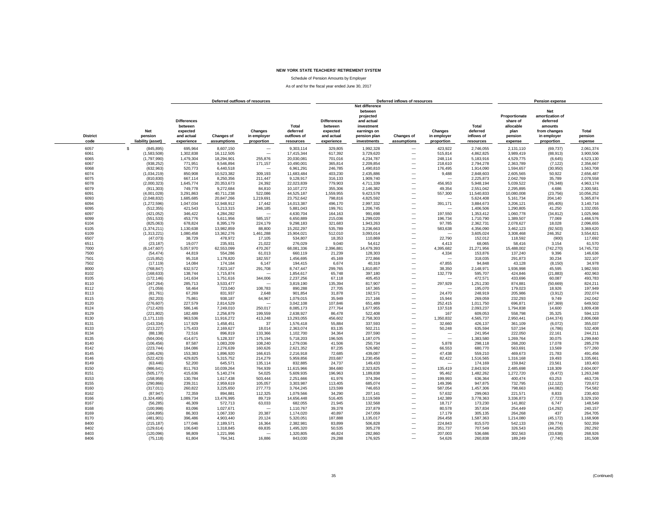Schedule of Pension Amounts by Employer

|                         |                                            |                                                                       | Deferred outflows of resources   |                                      |                                               |                                                                       |                                                                                                                  | Deferred inflows of resources                        |                                      |                                              |                                                                      | <b>Pension expense</b>                                                                            |                                    |
|-------------------------|--------------------------------------------|-----------------------------------------------------------------------|----------------------------------|--------------------------------------|-----------------------------------------------|-----------------------------------------------------------------------|------------------------------------------------------------------------------------------------------------------|------------------------------------------------------|--------------------------------------|----------------------------------------------|----------------------------------------------------------------------|---------------------------------------------------------------------------------------------------|------------------------------------|
| <b>District</b><br>code | <b>Net</b><br>pension<br>liability (asset) | <b>Differences</b><br>between<br>expected<br>and actual<br>experience | <b>Changes of</b><br>assumptions | Changes<br>in employer<br>proportion | Total<br>deferred<br>outflows of<br>resources | <b>Differences</b><br>between<br>expected<br>and actual<br>experience | Net difference<br>between<br>projected<br>and actual<br>investment<br>earnings on<br>pension plan<br>investments | <b>Changes of</b><br>assumptions                     | Changes<br>in employer<br>proportion | Total<br>deferred<br>inflows of<br>resources | Proportionate<br>share of<br>allocable<br>plan<br>pension<br>expense | <b>Net</b><br>amortization of<br>deferred<br>amounts<br>from changes<br>in employer<br>proportion | <b>Total</b><br>pension<br>expense |
| 6057                    | \$<br>(845, 895)                           | 695,964                                                               | 8,607,150                        | $\equiv$                             | 9,303,114                                     | 329,805                                                               | 1,992,328                                                                                                        |                                                      | 423,922                              | 2,746,055                                    | 2,131,110                                                            | (69, 737)                                                                                         | 2,061,374                          |
| 6061                    | (1,583,508)                                | 1.302.838                                                             | 16,112,505                       |                                      | 17,415,344                                    | 617,392                                                               | 3,729,620                                                                                                        | $\overline{\phantom{0}}$                             | 515,814                              | 4.862.825                                    | 3,989,419                                                            | (88, 913)                                                                                         | 3,900,506                          |
| 6065                    | (1,797,990)                                | 1,479,304                                                             | 18,294,901                       | 255,876                              | 20,030,081                                    | 701,016                                                               | 4,234,787                                                                                                        | $\overline{\phantom{0}}$                             | 248,114                              | 5,183,916                                    | 4,529,775                                                            | (6,645)                                                                                           | 4,523,130                          |
| 6067                    | (938, 252)                                 | 771,951                                                               | 9,546,894                        | 171,157                              | 10,490,001                                    | 365,814                                                               | 2,209,854                                                                                                        | $\overline{\phantom{0}}$                             | 218,610                              | 2,794,278                                    | 2,363,789                                                            | (7, 122)                                                                                          | 2,356,667                          |
| 6068                    | (632.963)                                  | 520.773                                                               | 6.440.518                        |                                      | 6.961.291                                     | 246.785                                                               | 1.490.810                                                                                                        | $\overline{\phantom{0}}$                             | 176.495                              | 1.914.090                                    | 1.594.657                                                            | (30, 950)                                                                                         | 1,563,708                          |
| 6074                    | (1,034,219)                                | 850,908                                                               | 10,523,382                       | 309,193                              | 11,683,484                                    | 403,230                                                               | 2,435,886                                                                                                        | $\overline{\phantom{a}}$                             | 9,488                                | 2,848,603                                    | 2,605,565                                                            | 50,922                                                                                            | 2,656,487                          |
| 6075                    | (810, 830)                                 | 667,114                                                               | 8,250,356                        | 211,447                              | 9,128,917                                     | 316,133                                                               | 1,909,740                                                                                                        | $\overline{\phantom{0}}$                             |                                      | 2,225,873                                    | 2,042,769                                                            | 35,789                                                                                            | 2,078,558                          |
| 6078                    | (2.000.323)                                | 1.645.774                                                             | 20.353.673                       | 24.392                               | 22.023.839                                    | 779.903                                                               | 4.711.339                                                                                                        | $\overline{\phantom{0}}$                             | 456.953                              | 5.948.194                                    | 5.039.522                                                            | (76.348)                                                                                          | 4.963.174                          |
| 6079                    | (911, 303)                                 | 749,778                                                               | 9,272,684                        | 84,810                               | 10,107,272                                    | 355,306                                                               | 2,146,382                                                                                                        | $\overline{\phantom{a}}$                             | 49,354                               | 2,551,042                                    | 2,295,895                                                            | 4,686                                                                                             | 2,300,581                          |
| 6091                    | (4,001,028)                                | 3,291,863                                                             | 40,711,238                       | 522,086                              | 44,525,187                                    | 1,559,955                                                             | 9,423,578                                                                                                        | $\overline{\phantom{0}}$                             | 557,300                              | 11,540,833                                   | 10,080,008                                                           | (23, 756)                                                                                         | 10,056,252                         |
| 6093                    | (2.048.832)                                | 1.685.685                                                             | 20.847.266                       | 1.219.691                            | 23.752.642                                    | 798.816                                                               | 4.825.592                                                                                                        | $\overline{\phantom{0}}$                             | $\overline{\phantom{a}}$             | 5.624.408                                    | 5,161,734                                                            | 204.140                                                                                           | 5,365,874                          |
| 6094                    | (1,272,596)                                | 1,047,034                                                             | 12,948,912                       | 17,442                               | 14,013,387                                    | 496,170                                                               | 2,997,332                                                                                                        | $\equiv$                                             | 391,171                              | 3,884,673                                    | 3,206,121                                                            | (65, 405)                                                                                         | 3,140,716                          |
| 6095                    | (512, 355)                                 | 421,543                                                               | 5,213,315                        | 246,185                              | 5,881,043                                     | 199,761                                                               | 1,206,745                                                                                                        | $\overline{\phantom{0}}$                             | $\sim$                               | 1,406,506                                    | 1,290,805                                                            | 41,250                                                                                            | 1,332,055                          |
| 6097                    | (421.052)                                  | 346,422                                                               | 4.284.282                        |                                      | 4.630.704                                     | 164.163                                                               | 991.698                                                                                                          | $\overline{\phantom{0}}$                             | 197.550                              | 1,353,412                                    | 1,060,778                                                            | (34, 812)                                                                                         | 1,025,966                          |
| 6099                    | (551, 533)                                 | 453,776                                                               | 5,611,956                        | 585,157                              | 6,650,889                                     | 215,036                                                               | 1,299,020                                                                                                        | $\overline{\phantom{0}}$                             | 196,734                              | 1,710,790                                    | 1,389,507                                                            | 77,069                                                                                            | 1,466,576                          |
| 6104                    | (825,063)                                  | 678,824                                                               | 8,395,179                        | 224,179                              | 9,298,183                                     | 321,683                                                               | 1,943,263                                                                                                        | $\overline{\phantom{0}}$                             | 97,785                               | 2,362,731                                    | 2,078,627                                                            | 18,028                                                                                            | 2,096,655                          |
| 6105                    | (1.374.211)                                | 1.130.638                                                             | 13.982.859                       | 88,800                               | 15.202.297                                    | 535.789                                                               | 3.236.663                                                                                                        | $\overline{\phantom{0}}$                             | 583,638                              | 4.356.090                                    | 3.462.123                                                            | (92.503)                                                                                          | 3,369,620                          |
| 6109                    | (1,313,221)                                | 1,080,458                                                             | 13,362,276                       | 1,461,288                            | 15,904,021                                    | 512,010                                                               | 3,093,014                                                                                                        | $\overline{\phantom{a}}$                             | $\sim$                               | 3,605,024                                    | 3,308,468                                                            | 246,352                                                                                           | 3,554,821                          |
| 6507                    | (47, 073)                                  | 38,729                                                                | 478,972                          | 17,105                               | 534,807                                       | 18,353                                                                | 110,869                                                                                                          | $\overline{\phantom{0}}$                             | 22,790                               | 152,012                                      | 118,592                                                              | (900)                                                                                             | 117,692                            |
| 6511                    | (23.187)                                   | 19.077                                                                | 235.931                          | 21.022                               | 276.029                                       | 9.040                                                                 | 54.612                                                                                                           | $\overline{\phantom{0}}$                             | 4.413                                | 68.065                                       | 58.416                                                               | 3.154                                                                                             | 61,570                             |
| 7000                    | (6, 147, 607)                              | 5,057,970                                                             | 62,553,099                       | 470,267                              | 68,081,336                                    | 2,396,881                                                             | 14,479,393                                                                                                       | $\equiv$                                             | 4,395,682                            | 21,271,956                                   | 15,488,002                                                           | (742, 270)                                                                                        | 14,745,732                         |
| 7500                    | (54, 474)                                  | 44,819                                                                | 554,286                          | 61,013                               | 660,119                                       | 21,239                                                                | 128,303                                                                                                          | $\overline{\phantom{0}}$                             | 4,334                                | 153,876                                      | 137,240                                                              | 9,396                                                                                             | 146,636                            |
| 7501                    | (115.852)                                  | 95.318                                                                | 1.178.820                        | 182.557                              | 1.456.695                                     | 45.169                                                                | 272.866                                                                                                          | $\overline{\phantom{0}}$                             | $\overline{\phantom{a}}$             | 318.035                                      | 291.873                                                              | 30.234                                                                                            | 322,107                            |
| 7502                    | (17, 119)                                  | 14,084                                                                | 174.184                          | 6.147                                | 194,415                                       | 6,674                                                                 | 40,319                                                                                                           | $\equiv$                                             | 47,855                               | 94,848                                       | 43,128                                                               | (8, 150)                                                                                          | 34,978                             |
| 8000                    | (768, 847)                                 | 632,572                                                               | 7,823,167                        | 291,708                              | 8,747,447                                     | 299,765                                                               | 1,810,857                                                                                                        | $\overline{\phantom{0}}$                             | 38,350                               | 2,148,971                                    | 1,936,998                                                            | 45,595                                                                                            | 1,982,593                          |
| 8102                    | (168, 633)                                 | 138,744                                                               | 1,715,874                        |                                      | 1,854,617                                     | 65,748                                                                | 397,180                                                                                                          | $\overline{\phantom{0}}$                             | 132,779                              | 595,707                                      | 424,846                                                              | (21, 883)                                                                                         | 402,963                            |
| 8105                    | (172, 146)                                 | 141,634                                                               | 1,751,616                        | 344,006                              | 2,237,256                                     | 67,118                                                                | 405,453                                                                                                          | $\overline{\phantom{a}}$                             |                                      | 472,571                                      | 433,696                                                              | 60,087                                                                                            | 493,783                            |
| 8110                    | (347, 264)                                 | 285,713                                                               | 3,533,477                        |                                      | 3,819,190                                     | 135,394                                                               | 817,907                                                                                                          | $\overline{\phantom{0}}$                             | 297,929                              | 1,251,230                                    | 874,881                                                              | (50, 669)                                                                                         | 824,211                            |
| 8112                    | (71, 059)                                  | 58,464                                                                | 723,040                          | 108,783                              | 890,288                                       | 27,705                                                                | 167,365                                                                                                          | $\overline{\phantom{0}}$                             |                                      | 195,070                                      | 179,023                                                              | 18,926                                                                                            | 197,949                            |
| 8113                    | (81, 761)                                  | 67,269                                                                | 831.937                          | 2,648                                | 901,854                                       | 31,878                                                                | 192,571                                                                                                          | $\overline{\phantom{a}}$                             | 24,470                               | 248,919                                      | 205,986                                                              | (3,912)                                                                                           | 202,074                            |
| 8115                    | (92, 203)                                  | 75,861                                                                | 938,187                          | 64,967                               | 1,079,015                                     | 35,949                                                                | 217,166                                                                                                          | $\overline{\phantom{0}}$                             | 15,944                               | 269,059                                      | 232,293                                                              | 9,749                                                                                             | 242,042                            |
| 8120                    | (276, 607)                                 | 227,579                                                               | 2,814,529                        |                                      | 3,042,108                                     | 107,846                                                               | 651,489                                                                                                          | $\overline{\phantom{0}}$                             | 252,415                              | 1,011,750                                    | 696,871                                                              | (47, 369)                                                                                         | 649,502                            |
| 8124                    | (712, 420)                                 | 586.146                                                               | 7,249,010                        | 250,017                              | 8,085,173                                     | 277,764                                                               | 1,677,955                                                                                                        | $\overline{\phantom{0}}$                             | 137,518                              | 2,093,237                                    | 1,794,838                                                            | 14,600                                                                                            | 1,809,438                          |
| 8129                    | (221, 802)                                 | 182,489                                                               | 2,256,879                        | 199,559                              | 2,638,927                                     | 86,478                                                                | 522,408                                                                                                          | $\overline{\phantom{0}}$                             | 167                                  | 609,053                                      | 558,798                                                              | 35,325                                                                                            | 594,123                            |
| 8130                    | (1, 171, 110)                              | 963,536                                                               | 11,916,272                       | 413,248                              | 13,293,055                                    | 456,602                                                               | 2,758,303                                                                                                        | $\overline{\phantom{0}}$                             | 1,350,832                            | 4,565,737                                    | 2,950,441                                                            | (144, 374)                                                                                        | 2,806,068                          |
| 8131                    | (143, 334)                                 | 117,929                                                               | 1,458,451                        | 37                                   | 1,576,418                                     | 55,884                                                                | 337,593                                                                                                          | $\overline{\phantom{a}}$                             | 32,660                               | 426,137                                      | 361,109                                                              | (6,072)                                                                                           | 355,037                            |
| 8133                    | (213, 227)                                 | 175,433                                                               | 2,169,627                        | 18,014                               | 2,363,074                                     | 83,135                                                                | 502,211                                                                                                          | $\overline{\phantom{0}}$                             | 50,248                               | 635,594                                      | 537,194                                                              | (4,786)                                                                                           | 532,408                            |
| 8134                    | (88, 138)                                  | 72,516                                                                | 896,819                          | 133,366                              | 1,102,700                                     | 34,364                                                                | 207,590                                                                                                          | $\overline{\phantom{0}}$<br>$\equiv$                 | $\sim$                               | 241,954                                      | 222,050                                                              | 22,161                                                                                            | 244,211                            |
| 8135                    | (504, 004)                                 | 414.671                                                               | 5,128,337                        | 175,194                              | 5,718,203                                     | 196,505                                                               | 1,187,075                                                                                                        |                                                      |                                      | 1,383,580                                    | 1,269,764                                                            | 30,075                                                                                            | 1,299,840<br>285,278               |
| 8140<br>8142            | (106, 456)<br>(223, 744)                   | 87,587<br>184,086                                                     | 1,083,209<br>2,276,639           | 108,240<br>160,626                   | 1,279,036<br>2,621,352                        | 41,506<br>87,235                                                      | 250,734<br>526,982                                                                                               | $\overline{\phantom{0}}$                             | 5,878<br>66,553                      | 298,118<br>680,770                           | 268,200<br>563,691                                                   | 17,078<br>13,569                                                                                  | 577,260                            |
| 8145                    | (186, 426)                                 | 153,383                                                               | 1,896,920                        | 166,615                              | 2,216,918                                     | 72,685                                                                | 439,087                                                                                                          | $\overline{\phantom{0}}$<br>$\overline{\phantom{a}}$ | 47,438                               | 559,210                                      | 469,673                                                              | 21,783                                                                                            | 491,456                            |
|                         |                                            |                                                                       | 5,315,752                        |                                      | 5,959,856                                     | 203,687                                                               |                                                                                                                  | $\overline{\phantom{0}}$                             |                                      |                                              | 1,316,168                                                            |                                                                                                   | 1,335,661                          |
| 8146<br>8149            | (522, 423)<br>(63, 446)                    | 429,825<br>52,200                                                     | 645,571                          | 214,279<br>135,114                   | 832,885                                       | 24,737                                                                | 1,230,456<br>149,433                                                                                             |                                                      | 82,422                               | 1,516,565<br>174,169                         | 159,842                                                              | 19,493<br>23,561                                                                                  | 183,403                            |
| 8150                    | (986, 641)                                 | 811.763                                                               | 10,039,264                       | 764,939                              | 11,615,966                                    | 384,680                                                               | 2,323,825                                                                                                        | $\overline{\phantom{0}}$                             | 135,419                              | 2,843,924                                    | 2,485,698                                                            | 118,309                                                                                           | 2,604,007                          |
| 8151                    | (505, 177)                                 | 415,636                                                               | 5,140,274                        | 54,025                               | 5,609,935                                     | 196,963                                                               | 1,189,838                                                                                                        | $\overline{\phantom{0}}$                             | 95,462                               | 1,482,262                                    | 1,272,720                                                            | (9, 472)                                                                                          | 1,263,248                          |
| 8153                    | (158, 959)                                 | 130,784                                                               | 1,617,438                        | 503,444                              | 2,251,666                                     | 61,976                                                                | 374,394                                                                                                          | $\overline{\phantom{0}}$                             | 199,993                              | 636,364                                      | 400,474                                                              | 63,253                                                                                            | 463,726                            |
| 8155                    | (290, 866)                                 | 239,311                                                               | 2,959,619                        | 105,057                              | 3,303,987                                     | 113,405                                                               | 685,074                                                                                                          | $\overline{\phantom{a}}$                             | 149,396                              | 947,875                                      | 732,795                                                              | (12, 122)                                                                                         | 720,672                            |
| 8160                    | (317, 011)                                 | 260,822                                                               | 3,225,650                        | 277,773                              | 3,764,245                                     | 123,599                                                               | 746,653                                                                                                          | $\overline{\phantom{0}}$                             | 587,054                              | 1,457,306                                    | 798,663                                                              | (44, 082)                                                                                         | 754,582                            |
| 8162                    | (87, 947)                                  | 72,359                                                                | 894,881                          | 112,325                              | 1,079,566                                     | 34,290                                                                | 207,141                                                                                                          | $\overline{\phantom{0}}$                             | 57,632                               | 299,063                                      | 221,571                                                              | 8,833                                                                                             | 230,403                            |
| 8166                    | (1,324,495)                                | 1,089,734                                                             | 13,476,995                       | 89.719                               | 14,656,448                                    | 516,405                                                               | 3,119,569                                                                                                        | $\equiv$                                             | 142,389                              | 3,778,363                                    | 3,336,873                                                            | (7, 723)                                                                                          | 3,329,150                          |
| 8167                    | (56, 285)                                  | 46,309                                                                | 572,713                          | 63,033                               | 682,055                                       | 21,945                                                                | 132,568                                                                                                          | $\overline{\phantom{0}}$                             | 18,717                               | 173,230                                      | 141,802                                                              | 6,747                                                                                             | 148,549                            |
| 8168                    | (100, 998)                                 | 83,096                                                                | 1,027,671                        |                                      | 1,110,767                                     | 39,378                                                                | 237,879                                                                                                          | $\overline{\phantom{0}}$                             | 80,578                               | 357,834                                      | 254,449                                                              | (14, 292)                                                                                         | 240,157                            |
| 8169                    | (104, 895)                                 | 86,303                                                                | 1,067,330                        | 20,387                               | 1,174,020                                     | 40,897                                                                | 247,059                                                                                                          | $\overline{\phantom{0}}$                             | 17,179                               | 305,135                                      | 264,268                                                              | 437                                                                                               | 264,705                            |
| 8170                    | (481, 901)                                 | 396,486                                                               | 4,903,440                        | 20,124                               | 5,320,051                                     | 187,888                                                               | 1,135,017                                                                                                        | $\overline{\phantom{0}}$                             | 264,458                              | 1,587,363                                    | 1,214,080                                                            | (45, 172)                                                                                         | 1,168,908                          |
| 8400                    | (215, 187)                                 | 177,046                                                               | 2,189,571                        | 16,364                               | 2,382,981                                     | 83,899                                                                | 506,828                                                                                                          |                                                      | 224,843                              | 815,570                                      | 542,133                                                              | (39, 774)                                                                                         | 502,359                            |
| 8402                    | (129, 614)                                 | 106.640                                                               | 1,318,845                        | 69,835                               | 1,495,320                                     | 50,535                                                                | 305,278                                                                                                          | $\overline{\phantom{0}}$                             | 351,737                              | 707,549                                      | 326,543                                                              | (44, 250)                                                                                         | 282,292                            |
| 8403                    | (120,096)                                  | 98,809                                                                | 1,221,996                        |                                      | 1,320,805                                     | 46,824                                                                | 282,860                                                                                                          | $\overline{\phantom{0}}$                             | 207,003                              | 536,686                                      | 302,563                                                              | (33, 638)                                                                                         | 268,926                            |
| 8406                    | (75, 118)                                  | 61,804                                                                | 764,341                          | 16,886                               | 843,030                                       | 29,288                                                                | 176,925                                                                                                          |                                                      | 54,626                               | 260,838                                      | 189,249                                                              | (7,740)                                                                                           | 181,508                            |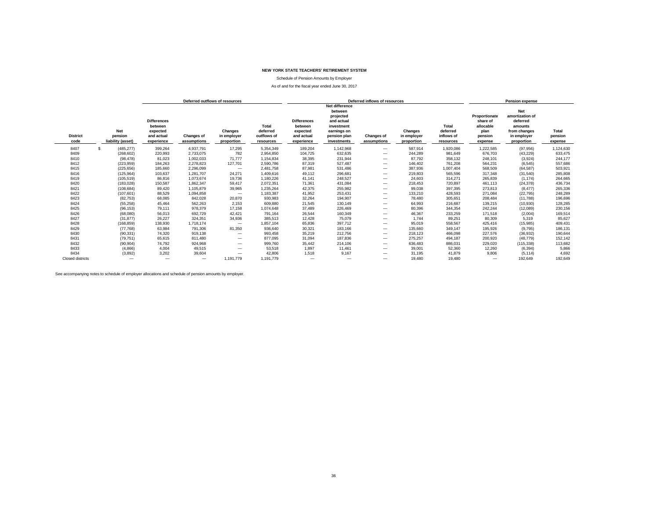Schedule of Pension Amounts by Employer

As of and for the fiscal year ended June 30, 2017

|                         |                                     |                                                                       |                                  | Deferred outflows of resources       |                                                      |                                                                       |                                                                                                                  | Deferred inflows of resources    |                                      |                                                     |                                                                      | Pension expense                                                                                   |                             |
|-------------------------|-------------------------------------|-----------------------------------------------------------------------|----------------------------------|--------------------------------------|------------------------------------------------------|-----------------------------------------------------------------------|------------------------------------------------------------------------------------------------------------------|----------------------------------|--------------------------------------|-----------------------------------------------------|----------------------------------------------------------------------|---------------------------------------------------------------------------------------------------|-----------------------------|
| <b>District</b><br>code | Net<br>pension<br>liability (asset) | <b>Differences</b><br>between<br>expected<br>and actual<br>experience | <b>Changes of</b><br>assumptions | Changes<br>in employer<br>proportion | <b>Total</b><br>deferred<br>outflows of<br>resources | <b>Differences</b><br>between<br>expected<br>and actual<br>experience | Net difference<br>between<br>projected<br>and actual<br>investment<br>earnings on<br>pension plan<br>investments | <b>Changes of</b><br>assumptions | Changes<br>in employer<br>proportion | <b>Total</b><br>deferred<br>inflows of<br>resources | Proportionate<br>share of<br>allocable<br>plan<br>pension<br>expense | <b>Net</b><br>amortization of<br>deferred<br>amounts<br>from changes<br>in employer<br>proportion | Total<br>pension<br>expense |
| 8407                    | s.<br>(485, 277)                    | 399,264                                                               | 4,937,791                        | 17,295                               | 5,354,349                                            | 189,204                                                               | 1,142,968                                                                                                        |                                  | 587,914                              | 1,920,086                                           | 1,222,585                                                            | (97, 956)                                                                                         | 1,124,630                   |
| 8409                    | (268, 602)                          | 220,993                                                               | 2,733,075                        | 782                                  | 2,954,850                                            | 104,725                                                               | 632,635                                                                                                          | —                                | 244,289                              | 981,649                                             | 676,703                                                              | (43, 229)                                                                                         | 633,475                     |
| 8410                    | (98, 478)                           | 81.023                                                                | 1,002,033                        | 71,777                               | 1,154,834                                            | 38,395                                                                | 231,944                                                                                                          | $\equiv$                         | 87,792                               | 358,132                                             | 248,101                                                              | (3,924)                                                                                           | 244,177                     |
| 8412                    | (223, 959)                          | 184,263                                                               | 2,278,823                        | 127,701                              | 2,590,786                                            | 87,319                                                                | 527,487                                                                                                          | $\equiv$                         | 146,402                              | 761,208                                             | 564,231                                                              | (6, 545)                                                                                          | 557,686                     |
| 8415                    | (225, 656)                          | 185,660                                                               | 2,296,099                        |                                      | 2,481,758                                            | 87,981                                                                | 531,486                                                                                                          |                                  | 387,936                              | 1,007,404                                           | 568,509                                                              | (64, 587)                                                                                         | 503,921                     |
| 8416                    | (125, 964)                          | 103,637                                                               | 1,281,707                        | 24,271                               | 1,409,616                                            | 49,112                                                                | 296,681                                                                                                          | $\equiv$                         | 219,803                              | 565,596                                             | 317,348                                                              | (31, 540)                                                                                         | 285,808                     |
| 8419                    | (105, 519)                          | 86,816                                                                | 1,073,674                        | 19,736                               | 1,180,226                                            | 41,141                                                                | 248,527                                                                                                          | $\equiv$                         | 24,603                               | 314,271                                             | 265,839                                                              | (1, 174)                                                                                          | 264,665                     |
| 8420                    | (183, 028)                          | 150,587                                                               | 1,862,347                        | 59.417                               | 2,072,351                                            | 71,361                                                                | 431,084                                                                                                          | —                                | 218,453                              | 720,897                                             | 461,113                                                              | (24, 378)                                                                                         | 436,734                     |
| 8421                    | (108, 684)                          | 89.420                                                                | 1,105,879                        | 39,965                               | 1,235,264                                            | 42,375                                                                | 255,982                                                                                                          | $\qquad \qquad \longleftarrow$   | 99,038                               | 397,395                                             | 273,813                                                              | (8, 477)                                                                                          | 265,336                     |
| 8422                    | (107, 601)                          | 88,529                                                                | 1.094.858                        | $\overline{\phantom{m}}$             | 1,183,387                                            | 41,952                                                                | 253,431                                                                                                          | $\equiv$                         | 133,210                              | 428,593                                             | 271,084                                                              | (22, 795)                                                                                         | 248,289                     |
| 8423                    | (82, 753)                           | 68,085                                                                | 842,028                          | 20,870                               | 930,983                                              | 32,264                                                                | 194,907                                                                                                          | —                                | 78,480                               | 305,651                                             | 208,484                                                              | (11,788)                                                                                          | 196,696                     |
| 8424                    | (55, 258)                           | 45,464                                                                | 562,263                          | 2,153                                | 609,880                                              | 21,545                                                                | 130,149                                                                                                          | —                                | 64,993                               | 216,687                                             | 139,215                                                              | (10, 930)                                                                                         | 128,285                     |
| 8425                    | (96, 153)                           | 79.111                                                                | 978,379                          | 17,158                               | 1,074,648                                            | 37,489                                                                | 226,469                                                                                                          | —                                | 80,396                               | 344,354                                             | 242,244                                                              | (12,089)                                                                                          | 230,156                     |
| 8426                    | (68,080)                            | 56,013                                                                | 692,729                          | 42,421                               | 791,164                                              | 26,544                                                                | 160,349                                                                                                          | —                                | 46,367                               | 233,259                                             | 171,518                                                              | (2,004)                                                                                           | 169,514                     |
| 8427                    | (31, 877)                           | 26,227                                                                | 324,351                          | 34,936                               | 385,513                                              | 12,428                                                                | 75,079                                                                                                           | —                                | 1,744                                | 89,251                                              | 80,309                                                               | 5,319                                                                                             | 85,627                      |
| 8428                    | (168, 859)                          | 138,930                                                               | 1,718,174                        | $\overline{\phantom{0}}$             | 1,857,104                                            | 65,836                                                                | 397,712                                                                                                          | $\equiv$                         | 95,019                               | 558,567                                             | 425,416                                                              | (15, 985)                                                                                         | 409,431                     |
| 8429                    | (77, 768)                           | 63,984                                                                | 791,306                          | 81,350                               | 936,640                                              | 30,321                                                                | 183,166                                                                                                          | —                                | 135,660                              | 349,147                                             | 195,926                                                              | (9,795)                                                                                           | 186,131                     |
| 8430                    | (90, 331)                           | 74,320                                                                | 919,138                          | $\overline{\phantom{m}}$             | 993,458                                              | 35,219                                                                | 212,756                                                                                                          | $\equiv$                         | 218,123                              | 466,098                                             | 227,576                                                              | (36, 932)                                                                                         | 190,644                     |
| 8431                    | (79, 751)                           | 65,615                                                                | 811,480                          | $\overline{\phantom{0}}$             | 877,095                                              | 31,094                                                                | 187,836                                                                                                          | $\qquad \qquad$                  | 275,257                              | 494,187                                             | 200,920                                                              | (48, 779)                                                                                         | 152,142                     |
| 8432                    | (90, 904)                           | 74,792                                                                | 924,968                          |                                      | 999,760                                              | 35,442                                                                | 214,106                                                                                                          | —                                | 636,483                              | 886,031                                             | 229,020                                                              | (115, 338)                                                                                        | 113,682                     |
| 8433                    | (4,866)                             | 4,004                                                                 | 49,515                           |                                      | 53,518                                               | 1.897                                                                 | 11,461                                                                                                           | —                                | 39,001                               | 52,360                                              | 12,260                                                               | (6, 394)                                                                                          | 5,866                       |
| 8434                    | (3,892)                             | 3,202                                                                 | 39,604                           |                                      | 42,806                                               | 1,518                                                                 | 9,167                                                                                                            | —                                | 31,195                               | 41,879                                              | 9,806                                                                | (5, 114)                                                                                          | 4,692                       |
| Closed districts        | $\overline{\phantom{0}}$            | $\overline{\phantom{m}}$                                              | $\overline{\phantom{m}}$         | 1,191,779                            | 1.191.779                                            | $\overline{\phantom{0}}$                                              | $\overline{\phantom{m}}$                                                                                         | —                                | 19,480                               | 19,480                                              | $\overline{\phantom{0}}$                                             | 192.649                                                                                           | 192.649                     |

See accompanying notes to schedule of employer allocations and schedule of pension amounts by employer.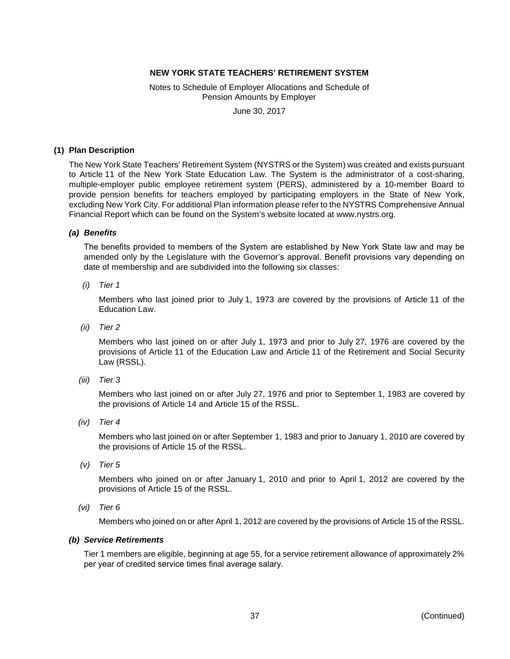Notes to Schedule of Employer Allocations and Schedule of Pension Amounts by Employer

June 30, 2017

### **(1) Plan Description**

The New York State Teachers' Retirement System (NYSTRS or the System) was created and exists pursuant to Article 11 of the New York State Education Law. The System is the administrator of a cost-sharing, multiple-employer public employee retirement system (PERS), administered by a 10-member Board to provide pension benefits for teachers employed by participating employers in the State of New York, excluding New York City. For additional Plan information please refer to the NYSTRS Comprehensive Annual Financial Report which can be found on the System's website located at www.nystrs.org.

### *(a) Benefits*

The benefits provided to members of the System are established by New York State law and may be amended only by the Legislature with the Governor's approval. Benefit provisions vary depending on date of membership and are subdivided into the following six classes:

*(i) Tier 1*

Members who last joined prior to July 1, 1973 are covered by the provisions of Article 11 of the Education Law.

*(ii) Tier 2*

Members who last joined on or after July 1, 1973 and prior to July 27, 1976 are covered by the provisions of Article 11 of the Education Law and Article 11 of the Retirement and Social Security Law (RSSL).

*(iii) Tier 3*

Members who last joined on or after July 27, 1976 and prior to September 1, 1983 are covered by the provisions of Article 14 and Article 15 of the RSSL.

*(iv) Tier 4*

Members who last joined on or after September 1, 1983 and prior to January 1, 2010 are covered by the provisions of Article 15 of the RSSL.

*(v) Tier 5*

Members who joined on or after January 1, 2010 and prior to April 1, 2012 are covered by the provisions of Article 15 of the RSSL.

*(vi) Tier 6*

Members who joined on or after April 1, 2012 are covered by the provisions of Article 15 of the RSSL.

### *(b) Service Retirements*

Tier 1 members are eligible, beginning at age 55, for a service retirement allowance of approximately 2% per year of credited service times final average salary.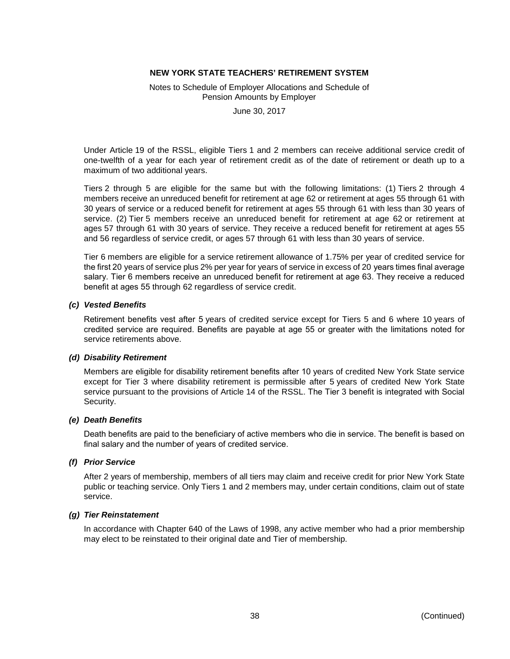Notes to Schedule of Employer Allocations and Schedule of Pension Amounts by Employer

June 30, 2017

Under Article 19 of the RSSL, eligible Tiers 1 and 2 members can receive additional service credit of one-twelfth of a year for each year of retirement credit as of the date of retirement or death up to a maximum of two additional years.

Tiers 2 through 5 are eligible for the same but with the following limitations: (1) Tiers 2 through 4 members receive an unreduced benefit for retirement at age 62 or retirement at ages 55 through 61 with 30 years of service or a reduced benefit for retirement at ages 55 through 61 with less than 30 years of service. (2) Tier 5 members receive an unreduced benefit for retirement at age 62 or retirement at ages 57 through 61 with 30 years of service. They receive a reduced benefit for retirement at ages 55 and 56 regardless of service credit, or ages 57 through 61 with less than 30 years of service.

Tier 6 members are eligible for a service retirement allowance of 1.75% per year of credited service for the first 20 years of service plus 2% per year for years of service in excess of 20 years times final average salary. Tier 6 members receive an unreduced benefit for retirement at age 63. They receive a reduced benefit at ages 55 through 62 regardless of service credit.

### *(c) Vested Benefits*

Retirement benefits vest after 5 years of credited service except for Tiers 5 and 6 where 10 years of credited service are required. Benefits are payable at age 55 or greater with the limitations noted for service retirements above.

### *(d) Disability Retirement*

Members are eligible for disability retirement benefits after 10 years of credited New York State service except for Tier 3 where disability retirement is permissible after 5 years of credited New York State service pursuant to the provisions of Article 14 of the RSSL. The Tier 3 benefit is integrated with Social Security.

### *(e) Death Benefits*

Death benefits are paid to the beneficiary of active members who die in service. The benefit is based on final salary and the number of years of credited service.

### *(f) Prior Service*

After 2 years of membership, members of all tiers may claim and receive credit for prior New York State public or teaching service. Only Tiers 1 and 2 members may, under certain conditions, claim out of state service.

### *(g) Tier Reinstatement*

In accordance with Chapter 640 of the Laws of 1998, any active member who had a prior membership may elect to be reinstated to their original date and Tier of membership.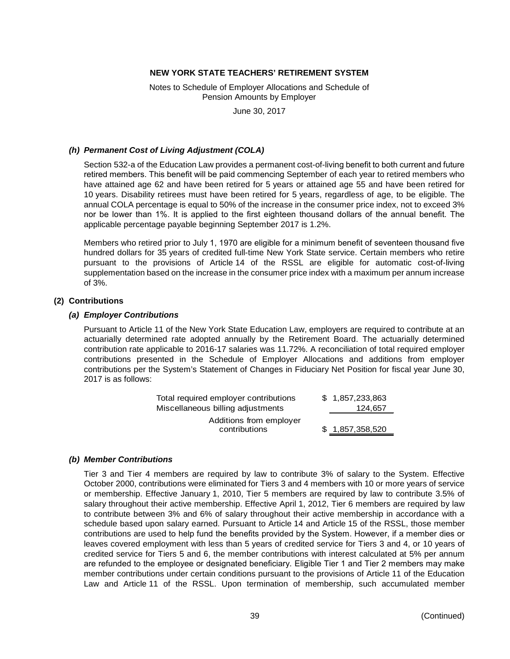Notes to Schedule of Employer Allocations and Schedule of Pension Amounts by Employer

June 30, 2017

### *(h) Permanent Cost of Living Adjustment (COLA)*

Section 532-a of the Education Law provides a permanent cost-of-living benefit to both current and future retired members. This benefit will be paid commencing September of each year to retired members who have attained age 62 and have been retired for 5 years or attained age 55 and have been retired for 10 years. Disability retirees must have been retired for 5 years, regardless of age, to be eligible. The annual COLA percentage is equal to 50% of the increase in the consumer price index, not to exceed 3% nor be lower than 1%. It is applied to the first eighteen thousand dollars of the annual benefit. The applicable percentage payable beginning September 2017 is 1.2%.

Members who retired prior to July 1, 1970 are eligible for a minimum benefit of seventeen thousand five hundred dollars for 35 years of credited full-time New York State service. Certain members who retire pursuant to the provisions of Article 14 of the RSSL are eligible for automatic cost-of-living supplementation based on the increase in the consumer price index with a maximum per annum increase of 3%.

### **(2) Contributions**

### *(a) Employer Contributions*

Pursuant to Article 11 of the New York State Education Law, employers are required to contribute at an actuarially determined rate adopted annually by the Retirement Board. The actuarially determined contribution rate applicable to 2016-17 salaries was 11.72%. A reconciliation of total required employer contributions presented in the Schedule of Employer Allocations and additions from employer contributions per the System's Statement of Changes in Fiduciary Net Position for fiscal year June 30, 2017 is as follows:

| Total required employer contributions    | \$1,857,233,863 |
|------------------------------------------|-----------------|
| Miscellaneous billing adjustments        | 124,657         |
| Additions from employer<br>contributions | \$1,857,358,520 |

### *(b) Member Contributions*

Tier 3 and Tier 4 members are required by law to contribute 3% of salary to the System. Effective October 2000, contributions were eliminated for Tiers 3 and 4 members with 10 or more years of service or membership. Effective January 1, 2010, Tier 5 members are required by law to contribute 3.5% of salary throughout their active membership. Effective April 1, 2012, Tier 6 members are required by law to contribute between 3% and 6% of salary throughout their active membership in accordance with a schedule based upon salary earned. Pursuant to Article 14 and Article 15 of the RSSL, those member contributions are used to help fund the benefits provided by the System. However, if a member dies or leaves covered employment with less than 5 years of credited service for Tiers 3 and 4, or 10 years of credited service for Tiers 5 and 6, the member contributions with interest calculated at 5% per annum are refunded to the employee or designated beneficiary. Eligible Tier 1 and Tier 2 members may make member contributions under certain conditions pursuant to the provisions of Article 11 of the Education Law and Article 11 of the RSSL. Upon termination of membership, such accumulated member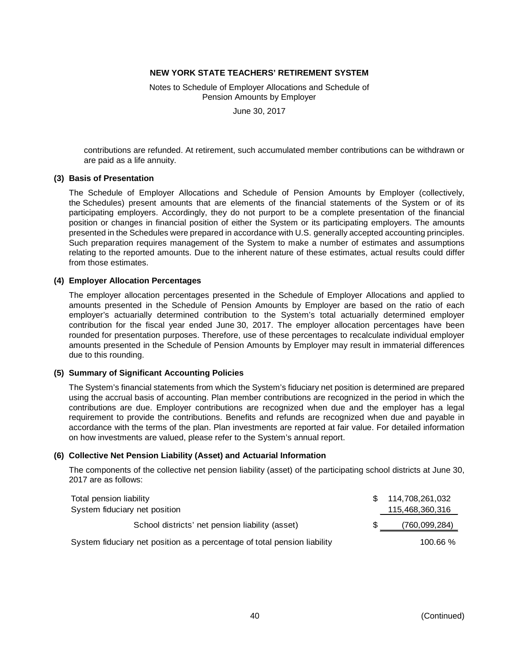Notes to Schedule of Employer Allocations and Schedule of Pension Amounts by Employer

June 30, 2017

contributions are refunded. At retirement, such accumulated member contributions can be withdrawn or are paid as a life annuity.

### **(3) Basis of Presentation**

The Schedule of Employer Allocations and Schedule of Pension Amounts by Employer (collectively, the Schedules) present amounts that are elements of the financial statements of the System or of its participating employers. Accordingly, they do not purport to be a complete presentation of the financial position or changes in financial position of either the System or its participating employers. The amounts presented in the Schedules were prepared in accordance with U.S. generally accepted accounting principles. Such preparation requires management of the System to make a number of estimates and assumptions relating to the reported amounts. Due to the inherent nature of these estimates, actual results could differ from those estimates.

### **(4) Employer Allocation Percentages**

The employer allocation percentages presented in the Schedule of Employer Allocations and applied to amounts presented in the Schedule of Pension Amounts by Employer are based on the ratio of each employer's actuarially determined contribution to the System's total actuarially determined employer contribution for the fiscal year ended June 30, 2017. The employer allocation percentages have been rounded for presentation purposes. Therefore, use of these percentages to recalculate individual employer amounts presented in the Schedule of Pension Amounts by Employer may result in immaterial differences due to this rounding.

### **(5) Summary of Significant Accounting Policies**

The System's financial statements from which the System's fiduciary net position is determined are prepared using the accrual basis of accounting. Plan member contributions are recognized in the period in which the contributions are due. Employer contributions are recognized when due and the employer has a legal requirement to provide the contributions. Benefits and refunds are recognized when due and payable in accordance with the terms of the plan. Plan investments are reported at fair value. For detailed information on how investments are valued, please refer to the System's annual report.

### **(6) Collective Net Pension Liability (Asset) and Actuarial Information**

The components of the collective net pension liability (asset) of the participating school districts at June 30, 2017 are as follows:

| Total pension liability                                                  | SS. | 114.708.261.032 |
|--------------------------------------------------------------------------|-----|-----------------|
| System fiduciary net position                                            |     | 115,468,360,316 |
| School districts' net pension liability (asset)                          |     | (760,099,284)   |
| System fiduciary net position as a percentage of total pension liability |     | 100.66 %        |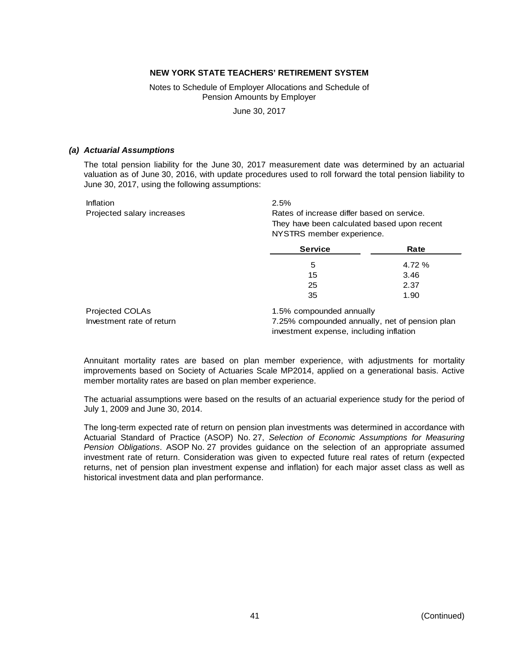Notes to Schedule of Employer Allocations and Schedule of Pension Amounts by Employer

June 30, 2017

### *(a) Actuarial Assumptions*

The total pension liability for the June 30, 2017 measurement date was determined by an actuarial valuation as of June 30, 2016, with update procedures used to roll forward the total pension liability to June 30, 2017, using the following assumptions:

| <b>Inflation</b>           | 2.5%                                        |      |
|----------------------------|---------------------------------------------|------|
| Projected salary increases | Rates of increase differ based on service.  |      |
|                            | They have been calculated based upon recent |      |
|                            | NYSTRS member experience.                   |      |
|                            | <b>Service</b>                              | Rate |

| ------ | -----        |  |
|--------|--------------|--|
| 5      | 4.72 %       |  |
| 15     |              |  |
| 25     | 3.46<br>2.37 |  |
| 35     | 1.90         |  |
|        |              |  |

Projected COLAs 2012 1.5% compounded annually

Investment rate of return 7.25% compounded annually, net of pension plan investment expense, including inflation

Annuitant mortality rates are based on plan member experience, with adjustments for mortality improvements based on Society of Actuaries Scale MP2014, applied on a generational basis. Active member mortality rates are based on plan member experience.

The actuarial assumptions were based on the results of an actuarial experience study for the period of July 1, 2009 and June 30, 2014.

The long-term expected rate of return on pension plan investments was determined in accordance with Actuarial Standard of Practice (ASOP) No. 27, *Selection of Economic Assumptions for Measuring Pension Obligations*. ASOP No. 27 provides guidance on the selection of an appropriate assumed investment rate of return. Consideration was given to expected future real rates of return (expected returns, net of pension plan investment expense and inflation) for each major asset class as well as historical investment data and plan performance.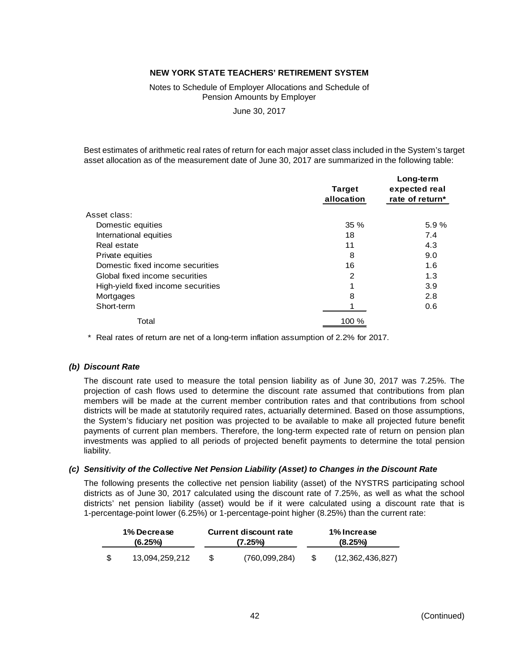Notes to Schedule of Employer Allocations and Schedule of Pension Amounts by Employer

June 30, 2017

Best estimates of arithmetic real rates of return for each major asset class included in the System's target asset allocation as of the measurement date of June 30, 2017 are summarized in the following table:

| <b>Target</b><br>allocation | Long-term<br>expected real<br>rate of return* |
|-----------------------------|-----------------------------------------------|
|                             |                                               |
| 35%                         | 5.9%                                          |
| 18                          | 7.4                                           |
| 11                          | 4.3                                           |
| 8                           | 9.0                                           |
| 16                          | 1.6                                           |
| 2                           | 1.3                                           |
| 1                           | 3.9                                           |
| 8                           | 2.8                                           |
|                             | 0.6                                           |
| 100 %                       |                                               |
|                             |                                               |

\* Real rates of return are net of a long-term inflation assumption of 2.2% for 2017.

### *(b) Discount Rate*

The discount rate used to measure the total pension liability as of June 30, 2017 was 7.25%. The projection of cash flows used to determine the discount rate assumed that contributions from plan members will be made at the current member contribution rates and that contributions from school districts will be made at statutorily required rates, actuarially determined. Based on those assumptions, the System's fiduciary net position was projected to be available to make all projected future benefit payments of current plan members. Therefore, the long-term expected rate of return on pension plan investments was applied to all periods of projected benefit payments to determine the total pension liability.

### *(c) Sensitivity of the Collective Net Pension Liability (Asset) to Changes in the Discount Rate*

The following presents the collective net pension liability (asset) of the NYSTRS participating school districts as of June 30, 2017 calculated using the discount rate of 7.25%, as well as what the school districts' net pension liability (asset) would be if it were calculated using a discount rate that is 1-percentage-point lower (6.25%) or 1-percentage-point higher (8.25%) than the current rate:

| <b>Current discount rate</b><br>1% Decrease<br>(6.25%)<br>(7.25%) |  |               | 1% Increase<br>$(8.25\%)$ |                     |  |  |
|-------------------------------------------------------------------|--|---------------|---------------------------|---------------------|--|--|
| 13,094,259,212                                                    |  | (760,099,284) |                           | (12, 362, 436, 827) |  |  |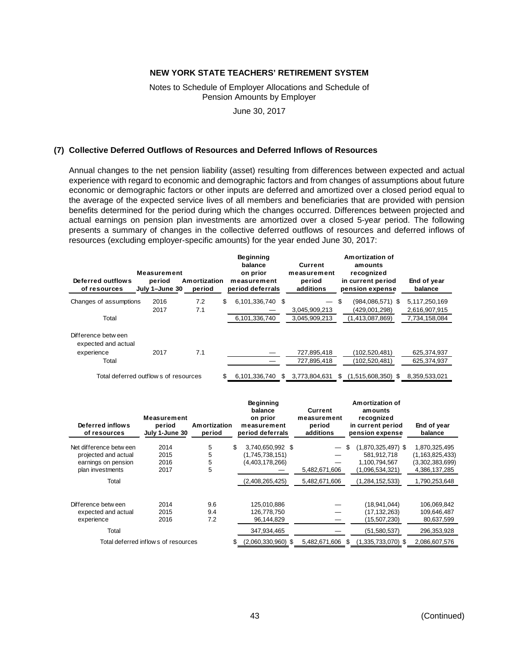Notes to Schedule of Employer Allocations and Schedule of Pension Amounts by Employer

June 30, 2017

### **(7) Collective Deferred Outflows of Resources and Deferred Inflows of Resources**

Annual changes to the net pension liability (asset) resulting from differences between expected and actual experience with regard to economic and demographic factors and from changes of assumptions about future economic or demographic factors or other inputs are deferred and amortized over a closed period equal to the average of the expected service lives of all members and beneficiaries that are provided with pension benefits determined for the period during which the changes occurred. Differences between projected and actual earnings on pension plan investments are amortized over a closed 5-year period. The following presents a summary of changes in the collective deferred outflows of resources and deferred inflows of resources (excluding employer-specific amounts) for the year ended June 30, 2017:

| Deferred outflows<br>of resources         | Measurement<br>period<br>July 1-June 30 | Amortization<br>period | <b>Beginning</b><br>balance<br>on prior<br>measurement<br>period deferrals |     | Current<br>measurement<br>period<br>additions |    | Amortization of<br>amounts<br>recognized<br>in current period<br>pension expense | End of year<br>balance         |
|-------------------------------------------|-----------------------------------------|------------------------|----------------------------------------------------------------------------|-----|-----------------------------------------------|----|----------------------------------------------------------------------------------|--------------------------------|
| Changes of assumptions                    | 2016<br>2017                            | 7.2<br>7.1             | \$<br>6,101,336,740 \$                                                     |     | 3,045,909,213                                 | S  | (984,086,571) \$<br>(429,001,298)                                                | 5,117,250,169<br>2,616,907,915 |
| Total                                     |                                         |                        | 6,101,336,740                                                              |     | 3,045,909,213                                 |    | (1,413,087,869)                                                                  | 7,734,158,084                  |
| Difference between<br>expected and actual |                                         |                        |                                                                            |     |                                               |    |                                                                                  |                                |
| experience                                | 2017                                    | 7.1                    |                                                                            |     | 727,895,418                                   |    | (102,520,481)                                                                    | 625,374,937                    |
| Total                                     |                                         |                        |                                                                            |     | 727,895,418                                   |    | (102,520,481)                                                                    | 625,374,937                    |
|                                           | Total deferred outflows of resources    |                        | \$<br>6.101.336.740                                                        | \$. | 3.773.804.631                                 | S. | $(1.515.608.350)$ \$                                                             | 8.359.533.021                  |

| Deferred inflows<br>of resources | Measurement<br>period<br>July 1-June 30 | <b>Amortization</b><br>period |    | <b>Beginning</b><br>balance<br>on prior<br>measurement<br>period deferrals | Current<br>measurement<br>period<br>additions |   | Amortization of<br>amounts<br>recognized<br>in current period<br>pension expense | End of year<br>balance |
|----------------------------------|-----------------------------------------|-------------------------------|----|----------------------------------------------------------------------------|-----------------------------------------------|---|----------------------------------------------------------------------------------|------------------------|
| Net difference betw een          | 2014                                    | 5                             | \$ | 3,740,650,992 \$                                                           |                                               | S | $(1,870,325,497)$ \$                                                             | 1,870,325,495          |
| projected and actual             | 2015                                    | 5                             |    | (1,745,738,151)                                                            |                                               |   | 581,912,718                                                                      | (1, 163, 825, 433)     |
| earnings on pension              | 2016                                    | 5                             |    | (4,403,178,266)                                                            |                                               |   | 1,100,794,567                                                                    | (3,302,383,699)        |
| plan investments                 | 2017                                    | 5                             |    |                                                                            | 5,482,671,606                                 |   | (1.096, 534, 321)                                                                | 4,386,137,285          |
| Total                            |                                         |                               |    | (2,408,265,425)                                                            | 5,482,671,606                                 |   | (1,284,152,533)                                                                  | 1,790,253,648          |
| Difference between               | 2014                                    | 9.6                           |    | 125,010,886                                                                |                                               |   | (18, 941, 044)                                                                   | 106,069,842            |
| expected and actual              | 2015                                    | 9.4                           |    | 126,778,750                                                                |                                               |   | (17, 132, 263)                                                                   | 109,646,487            |
| experience                       | 2016                                    | 7.2                           |    | 96,144,829                                                                 |                                               |   | (15,507,230)                                                                     | 80,637,599             |
| Total                            |                                         |                               |    | 347,934,465                                                                |                                               |   | (51,580,537)                                                                     | 296,353,928            |
|                                  | Total deferred inflows of resources     |                               | S  | $(2,060,330,960)$ \$                                                       | 5,482,671,606                                 | S | $(1,335,733,070)$ \$                                                             | 2,086,607,576          |